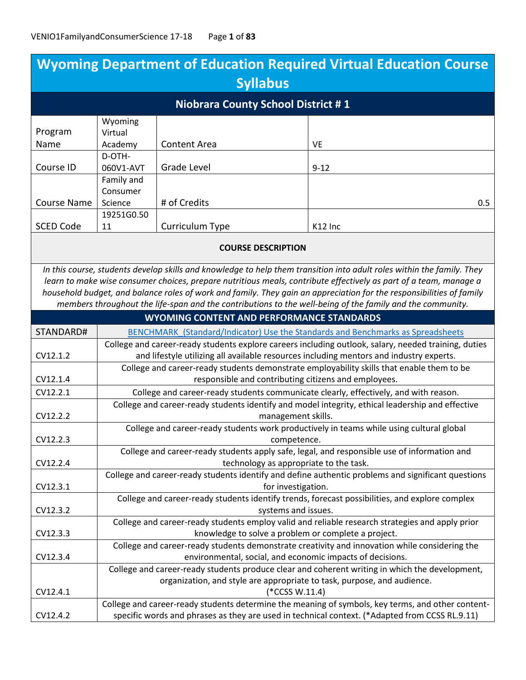| <b>Wyoming Department of Education Required Virtual Education Course</b>                                                                                                                                                                                                                                                                                            |                                                                                                                                                                                                 |                                                                                                   |                                                                                                           |  |
|---------------------------------------------------------------------------------------------------------------------------------------------------------------------------------------------------------------------------------------------------------------------------------------------------------------------------------------------------------------------|-------------------------------------------------------------------------------------------------------------------------------------------------------------------------------------------------|---------------------------------------------------------------------------------------------------|-----------------------------------------------------------------------------------------------------------|--|
| <b>Syllabus</b>                                                                                                                                                                                                                                                                                                                                                     |                                                                                                                                                                                                 |                                                                                                   |                                                                                                           |  |
| <b>Niobrara County School District #1</b>                                                                                                                                                                                                                                                                                                                           |                                                                                                                                                                                                 |                                                                                                   |                                                                                                           |  |
|                                                                                                                                                                                                                                                                                                                                                                     | Wyoming                                                                                                                                                                                         |                                                                                                   |                                                                                                           |  |
| Program<br>Name                                                                                                                                                                                                                                                                                                                                                     | Virtual<br>Academy                                                                                                                                                                              | Content Area                                                                                      | VE                                                                                                        |  |
|                                                                                                                                                                                                                                                                                                                                                                     | D-OTH-                                                                                                                                                                                          |                                                                                                   |                                                                                                           |  |
| Course ID                                                                                                                                                                                                                                                                                                                                                           | 060V1-AVT                                                                                                                                                                                       | <b>Grade Level</b>                                                                                | $9 - 12$                                                                                                  |  |
|                                                                                                                                                                                                                                                                                                                                                                     | Family and                                                                                                                                                                                      |                                                                                                   |                                                                                                           |  |
|                                                                                                                                                                                                                                                                                                                                                                     | Consumer                                                                                                                                                                                        |                                                                                                   |                                                                                                           |  |
| <b>Course Name</b>                                                                                                                                                                                                                                                                                                                                                  | Science                                                                                                                                                                                         | # of Credits                                                                                      | 0.5                                                                                                       |  |
| <b>SCED Code</b>                                                                                                                                                                                                                                                                                                                                                    | 19251G0.50<br>11                                                                                                                                                                                | Curriculum Type                                                                                   | K12 Inc                                                                                                   |  |
|                                                                                                                                                                                                                                                                                                                                                                     |                                                                                                                                                                                                 |                                                                                                   |                                                                                                           |  |
|                                                                                                                                                                                                                                                                                                                                                                     |                                                                                                                                                                                                 | <b>COURSE DESCRIPTION</b>                                                                         |                                                                                                           |  |
| In this course, students develop skills and knowledge to help them transition into adult roles within the family. They<br>learn to make wise consumer choices, prepare nutritious meals, contribute effectively as part of a team, manage a<br>household budget, and balance roles of work and family. They gain an appreciation for the responsibilities of family |                                                                                                                                                                                                 |                                                                                                   |                                                                                                           |  |
|                                                                                                                                                                                                                                                                                                                                                                     |                                                                                                                                                                                                 |                                                                                                   | members throughout the life-span and the contributions to the well-being of the family and the community. |  |
|                                                                                                                                                                                                                                                                                                                                                                     | <b>WYOMING CONTENT AND PERFORMANCE STANDARDS</b>                                                                                                                                                |                                                                                                   |                                                                                                           |  |
| STANDARD#                                                                                                                                                                                                                                                                                                                                                           | BENCHMARK (Standard/Indicator) Use the Standards and Benchmarks as Spreadsheets                                                                                                                 |                                                                                                   |                                                                                                           |  |
| CV12.1.2                                                                                                                                                                                                                                                                                                                                                            | College and career-ready students explore careers including outlook, salary, needed training, duties<br>and lifestyle utilizing all available resources including mentors and industry experts. |                                                                                                   |                                                                                                           |  |
|                                                                                                                                                                                                                                                                                                                                                                     |                                                                                                                                                                                                 |                                                                                                   | College and career-ready students demonstrate employability skills that enable them to be                 |  |
| CV12.1.4                                                                                                                                                                                                                                                                                                                                                            | responsible and contributing citizens and employees.                                                                                                                                            |                                                                                                   |                                                                                                           |  |
| CV12.2.1                                                                                                                                                                                                                                                                                                                                                            | College and career-ready students communicate clearly, effectively, and with reason.                                                                                                            |                                                                                                   |                                                                                                           |  |
|                                                                                                                                                                                                                                                                                                                                                                     | College and career-ready students identify and model integrity, ethical leadership and effective                                                                                                |                                                                                                   |                                                                                                           |  |
| CV12.2.2                                                                                                                                                                                                                                                                                                                                                            | management skills.                                                                                                                                                                              |                                                                                                   |                                                                                                           |  |
|                                                                                                                                                                                                                                                                                                                                                                     | College and career-ready students work productively in teams while using cultural global                                                                                                        |                                                                                                   |                                                                                                           |  |
| CV12.2.3                                                                                                                                                                                                                                                                                                                                                            | competence.                                                                                                                                                                                     |                                                                                                   |                                                                                                           |  |
| CV12.2.4                                                                                                                                                                                                                                                                                                                                                            | College and career-ready students apply safe, legal, and responsible use of information and<br>technology as appropriate to the task.                                                           |                                                                                                   |                                                                                                           |  |
|                                                                                                                                                                                                                                                                                                                                                                     | College and career-ready students identify and define authentic problems and significant questions                                                                                              |                                                                                                   |                                                                                                           |  |
| CV12.3.1                                                                                                                                                                                                                                                                                                                                                            | for investigation.                                                                                                                                                                              |                                                                                                   |                                                                                                           |  |
|                                                                                                                                                                                                                                                                                                                                                                     | College and career-ready students identify trends, forecast possibilities, and explore complex                                                                                                  |                                                                                                   |                                                                                                           |  |
| CV12.3.2                                                                                                                                                                                                                                                                                                                                                            | systems and issues.                                                                                                                                                                             |                                                                                                   |                                                                                                           |  |
|                                                                                                                                                                                                                                                                                                                                                                     | College and career-ready students employ valid and reliable research strategies and apply prior<br>knowledge to solve a problem or complete a project.                                          |                                                                                                   |                                                                                                           |  |
| CV12.3.3                                                                                                                                                                                                                                                                                                                                                            |                                                                                                                                                                                                 |                                                                                                   |                                                                                                           |  |
| CV12.3.4                                                                                                                                                                                                                                                                                                                                                            | College and career-ready students demonstrate creativity and innovation while considering the<br>environmental, social, and economic impacts of decisions.                                      |                                                                                                   |                                                                                                           |  |
|                                                                                                                                                                                                                                                                                                                                                                     |                                                                                                                                                                                                 |                                                                                                   | College and career-ready students produce clear and coherent writing in which the development,            |  |
|                                                                                                                                                                                                                                                                                                                                                                     |                                                                                                                                                                                                 | organization, and style are appropriate to task, purpose, and audience.                           |                                                                                                           |  |
| CV12.4.1                                                                                                                                                                                                                                                                                                                                                            |                                                                                                                                                                                                 | (*CCSS W.11.4)                                                                                    |                                                                                                           |  |
|                                                                                                                                                                                                                                                                                                                                                                     |                                                                                                                                                                                                 | College and career-ready students determine the meaning of symbols, key terms, and other content- |                                                                                                           |  |
| CV12.4.2                                                                                                                                                                                                                                                                                                                                                            |                                                                                                                                                                                                 |                                                                                                   | specific words and phrases as they are used in technical context. (*Adapted from CCSS RL.9.11)            |  |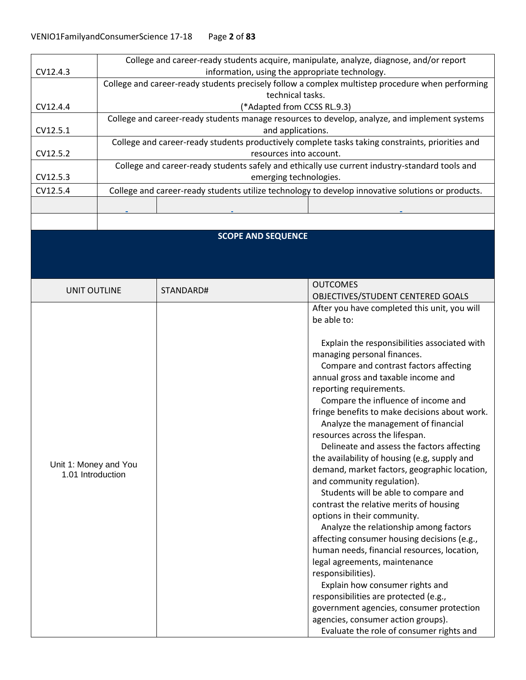| College and career-ready students acquire, manipulate, analyze, diagnose, and/or report           |  |  |
|---------------------------------------------------------------------------------------------------|--|--|
| information, using the appropriate technology.                                                    |  |  |
| College and career-ready students precisely follow a complex multistep procedure when performing  |  |  |
| technical tasks.                                                                                  |  |  |
| (*Adapted from CCSS RL.9.3)                                                                       |  |  |
| College and career-ready students manage resources to develop, analyze, and implement systems     |  |  |
| and applications.                                                                                 |  |  |
| College and career-ready students productively complete tasks taking constraints, priorities and  |  |  |
| resources into account.                                                                           |  |  |
| College and career-ready students safely and ethically use current industry-standard tools and    |  |  |
| emerging technologies.                                                                            |  |  |
| College and career-ready students utilize technology to develop innovative solutions or products. |  |  |
|                                                                                                   |  |  |
|                                                                                                   |  |  |
|                                                                                                   |  |  |
| <b>SCOPE AND SEQUENCE</b>                                                                         |  |  |
|                                                                                                   |  |  |
|                                                                                                   |  |  |
|                                                                                                   |  |  |
|                                                                                                   |  |  |
| <b>OUTCOMES</b>                                                                                   |  |  |
| OBJECTIVES/STUDENT CENTERED GOALS                                                                 |  |  |
| After you have completed this unit, you will                                                      |  |  |
| be able to:                                                                                       |  |  |
|                                                                                                   |  |  |
| Explain the responsibilities associated with                                                      |  |  |
| managing personal finances.                                                                       |  |  |
| Compare and contrast factors affecting                                                            |  |  |
| annual gross and taxable income and                                                               |  |  |
| reporting requirements.                                                                           |  |  |
| Compare the influence of income and                                                               |  |  |
| fringe benefits to make decisions about work.                                                     |  |  |
| Analyze the management of financial                                                               |  |  |
| resources across the lifespan.                                                                    |  |  |
| Delineate and assess the factors affecting                                                        |  |  |
| the availability of housing (e.g, supply and                                                      |  |  |
| demand, market factors, geographic location,                                                      |  |  |
| and community regulation).                                                                        |  |  |
| Students will be able to compare and                                                              |  |  |
| contrast the relative merits of housing                                                           |  |  |
| options in their community.                                                                       |  |  |
| Analyze the relationship among factors                                                            |  |  |
| affecting consumer housing decisions (e.g.,                                                       |  |  |
| human needs, financial resources, location,                                                       |  |  |
| legal agreements, maintenance                                                                     |  |  |
| responsibilities).                                                                                |  |  |
| Explain how consumer rights and                                                                   |  |  |
| responsibilities are protected (e.g.,                                                             |  |  |
| government agencies, consumer protection                                                          |  |  |
| agencies, consumer action groups).                                                                |  |  |
| Evaluate the role of consumer rights and                                                          |  |  |
|                                                                                                   |  |  |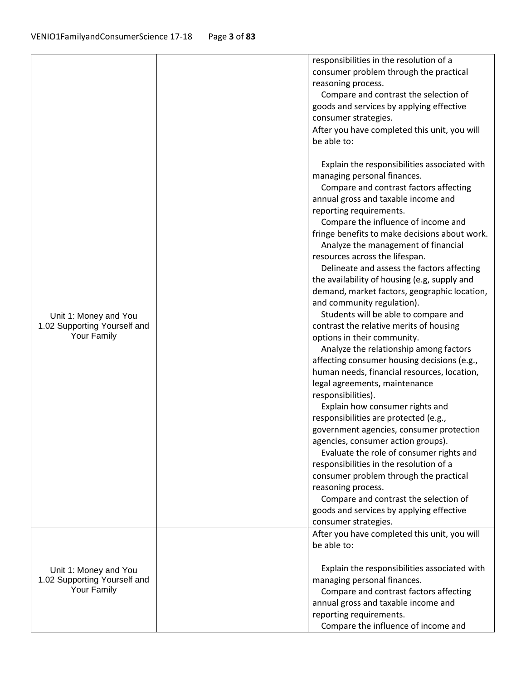|                                                                      | responsibilities in the resolution of a<br>consumer problem through the practical<br>reasoning process.<br>Compare and contrast the selection of<br>goods and services by applying effective<br>consumer strategies.                                                                                                                                                                                                                                                                                                                                                                                                                                                                                                                                                                                                                                                                                                                                                                                                                                                                                                                                                                                                                                                               |
|----------------------------------------------------------------------|------------------------------------------------------------------------------------------------------------------------------------------------------------------------------------------------------------------------------------------------------------------------------------------------------------------------------------------------------------------------------------------------------------------------------------------------------------------------------------------------------------------------------------------------------------------------------------------------------------------------------------------------------------------------------------------------------------------------------------------------------------------------------------------------------------------------------------------------------------------------------------------------------------------------------------------------------------------------------------------------------------------------------------------------------------------------------------------------------------------------------------------------------------------------------------------------------------------------------------------------------------------------------------|
| Unit 1: Money and You<br>1.02 Supporting Yourself and<br>Your Family | After you have completed this unit, you will<br>be able to:<br>Explain the responsibilities associated with<br>managing personal finances.<br>Compare and contrast factors affecting<br>annual gross and taxable income and<br>reporting requirements.<br>Compare the influence of income and<br>fringe benefits to make decisions about work.<br>Analyze the management of financial<br>resources across the lifespan.<br>Delineate and assess the factors affecting<br>the availability of housing (e.g, supply and<br>demand, market factors, geographic location,<br>and community regulation).<br>Students will be able to compare and<br>contrast the relative merits of housing<br>options in their community.<br>Analyze the relationship among factors<br>affecting consumer housing decisions (e.g.,<br>human needs, financial resources, location,<br>legal agreements, maintenance<br>responsibilities).<br>Explain how consumer rights and<br>responsibilities are protected (e.g.,<br>government agencies, consumer protection<br>agencies, consumer action groups).<br>Evaluate the role of consumer rights and<br>responsibilities in the resolution of a<br>consumer problem through the practical<br>reasoning process.<br>Compare and contrast the selection of |
|                                                                      | goods and services by applying effective<br>consumer strategies.<br>After you have completed this unit, you will<br>be able to:                                                                                                                                                                                                                                                                                                                                                                                                                                                                                                                                                                                                                                                                                                                                                                                                                                                                                                                                                                                                                                                                                                                                                    |
| Unit 1: Money and You<br>1.02 Supporting Yourself and<br>Your Family | Explain the responsibilities associated with<br>managing personal finances.<br>Compare and contrast factors affecting<br>annual gross and taxable income and<br>reporting requirements.<br>Compare the influence of income and                                                                                                                                                                                                                                                                                                                                                                                                                                                                                                                                                                                                                                                                                                                                                                                                                                                                                                                                                                                                                                                     |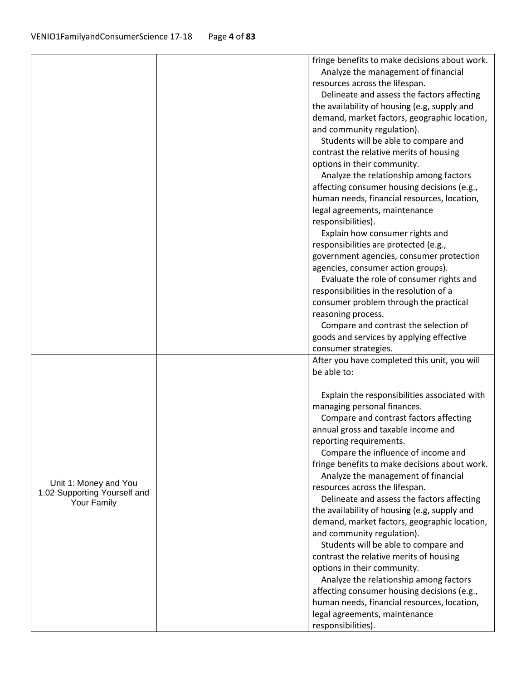|                              | fringe benefits to make decisions about work. |
|------------------------------|-----------------------------------------------|
|                              | Analyze the management of financial           |
|                              | resources across the lifespan.                |
|                              | Delineate and assess the factors affecting    |
|                              | the availability of housing (e.g, supply and  |
|                              | demand, market factors, geographic location,  |
|                              | and community regulation).                    |
|                              | Students will be able to compare and          |
|                              | contrast the relative merits of housing       |
|                              | options in their community.                   |
|                              | Analyze the relationship among factors        |
|                              | affecting consumer housing decisions (e.g.,   |
|                              | human needs, financial resources, location,   |
|                              | legal agreements, maintenance                 |
|                              | responsibilities).                            |
|                              | Explain how consumer rights and               |
|                              | responsibilities are protected (e.g.,         |
|                              |                                               |
|                              | government agencies, consumer protection      |
|                              | agencies, consumer action groups).            |
|                              | Evaluate the role of consumer rights and      |
|                              | responsibilities in the resolution of a       |
|                              | consumer problem through the practical        |
|                              | reasoning process.                            |
|                              | Compare and contrast the selection of         |
|                              | goods and services by applying effective      |
|                              | consumer strategies.                          |
|                              | After you have completed this unit, you will  |
|                              | be able to:                                   |
|                              | Explain the responsibilities associated with  |
|                              | managing personal finances.                   |
|                              | Compare and contrast factors affecting        |
|                              | annual gross and taxable income and           |
|                              | reporting requirements.                       |
|                              | Compare the influence of income and           |
|                              | fringe benefits to make decisions about work. |
|                              | Analyze the management of financial           |
| Unit 1: Money and You        | resources across the lifespan.                |
| 1.02 Supporting Yourself and | Delineate and assess the factors affecting    |
| Your Family                  | the availability of housing (e.g, supply and  |
|                              | demand, market factors, geographic location,  |
|                              | and community regulation).                    |
|                              | Students will be able to compare and          |
|                              | contrast the relative merits of housing       |
|                              |                                               |
|                              | options in their community.                   |
|                              | Analyze the relationship among factors        |
|                              | affecting consumer housing decisions (e.g.,   |
|                              | human needs, financial resources, location,   |
|                              | legal agreements, maintenance                 |
|                              | responsibilities).                            |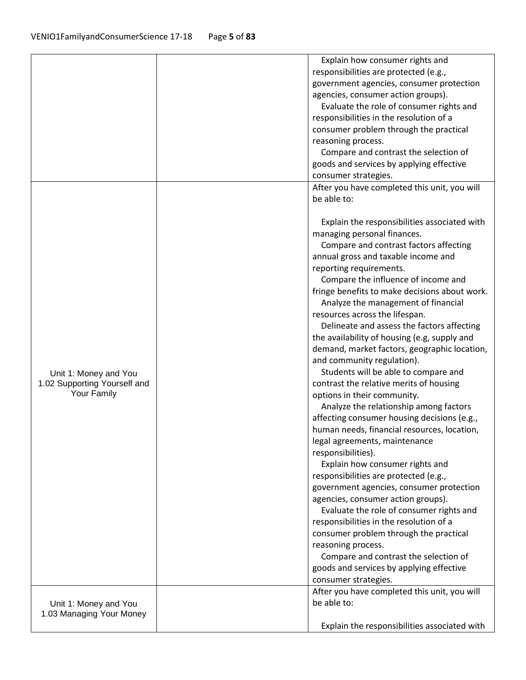|                                                       | Explain how consumer rights and                                       |
|-------------------------------------------------------|-----------------------------------------------------------------------|
|                                                       | responsibilities are protected (e.g.,                                 |
|                                                       | government agencies, consumer protection                              |
|                                                       | agencies, consumer action groups).                                    |
|                                                       | Evaluate the role of consumer rights and                              |
|                                                       | responsibilities in the resolution of a                               |
|                                                       | consumer problem through the practical                                |
|                                                       | reasoning process.                                                    |
|                                                       |                                                                       |
|                                                       | Compare and contrast the selection of                                 |
|                                                       | goods and services by applying effective                              |
|                                                       | consumer strategies.                                                  |
|                                                       | After you have completed this unit, you will                          |
|                                                       | be able to:                                                           |
|                                                       | Explain the responsibilities associated with                          |
|                                                       | managing personal finances.                                           |
|                                                       | Compare and contrast factors affecting                                |
|                                                       | annual gross and taxable income and                                   |
|                                                       | reporting requirements.                                               |
|                                                       | Compare the influence of income and                                   |
|                                                       | fringe benefits to make decisions about work.                         |
|                                                       | Analyze the management of financial                                   |
|                                                       | resources across the lifespan.                                        |
|                                                       | Delineate and assess the factors affecting                            |
|                                                       | the availability of housing (e.g, supply and                          |
|                                                       | demand, market factors, geographic location,                          |
|                                                       |                                                                       |
|                                                       | and community regulation).                                            |
| Unit 1: Money and You<br>1.02 Supporting Yourself and | Students will be able to compare and                                  |
| Your Family                                           | contrast the relative merits of housing                               |
|                                                       | options in their community.<br>Analyze the relationship among factors |
|                                                       | affecting consumer housing decisions (e.g.,                           |
|                                                       | human needs, financial resources, location,                           |
|                                                       | legal agreements, maintenance                                         |
|                                                       | responsibilities).                                                    |
|                                                       | Explain how consumer rights and                                       |
|                                                       | responsibilities are protected (e.g.,                                 |
|                                                       | government agencies, consumer protection                              |
|                                                       | agencies, consumer action groups).                                    |
|                                                       | Evaluate the role of consumer rights and                              |
|                                                       | responsibilities in the resolution of a                               |
|                                                       | consumer problem through the practical                                |
|                                                       | reasoning process.                                                    |
|                                                       | Compare and contrast the selection of                                 |
|                                                       | goods and services by applying effective                              |
|                                                       | consumer strategies.                                                  |
|                                                       | After you have completed this unit, you will                          |
|                                                       | be able to:                                                           |
| Unit 1: Money and You<br>1.03 Managing Your Money     |                                                                       |
|                                                       |                                                                       |
|                                                       | Explain the responsibilities associated with                          |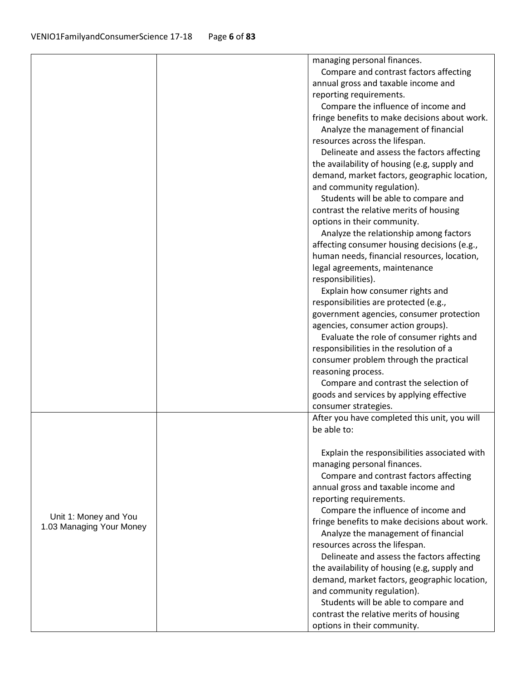|                          | managing personal finances.                                                                  |
|--------------------------|----------------------------------------------------------------------------------------------|
|                          | Compare and contrast factors affecting                                                       |
|                          | annual gross and taxable income and                                                          |
|                          | reporting requirements.                                                                      |
|                          | Compare the influence of income and                                                          |
|                          | fringe benefits to make decisions about work.                                                |
|                          | Analyze the management of financial                                                          |
|                          | resources across the lifespan.                                                               |
|                          | Delineate and assess the factors affecting                                                   |
|                          | the availability of housing (e.g, supply and                                                 |
|                          | demand, market factors, geographic location,                                                 |
|                          | and community regulation).                                                                   |
|                          | Students will be able to compare and                                                         |
|                          | contrast the relative merits of housing                                                      |
|                          | options in their community.                                                                  |
|                          | Analyze the relationship among factors                                                       |
|                          | affecting consumer housing decisions (e.g.,                                                  |
|                          | human needs, financial resources, location,                                                  |
|                          | legal agreements, maintenance                                                                |
|                          | responsibilities).                                                                           |
|                          | Explain how consumer rights and                                                              |
|                          | responsibilities are protected (e.g.,                                                        |
|                          | government agencies, consumer protection                                                     |
|                          | agencies, consumer action groups).                                                           |
|                          | Evaluate the role of consumer rights and                                                     |
|                          | responsibilities in the resolution of a                                                      |
|                          | consumer problem through the practical                                                       |
|                          | reasoning process.                                                                           |
|                          | Compare and contrast the selection of                                                        |
|                          | goods and services by applying effective                                                     |
|                          | consumer strategies.                                                                         |
|                          | After you have completed this unit, you will                                                 |
|                          | be able to:                                                                                  |
|                          |                                                                                              |
|                          | Explain the responsibilities associated with                                                 |
|                          | managing personal finances.                                                                  |
|                          | Compare and contrast factors affecting                                                       |
|                          | annual gross and taxable income and                                                          |
|                          | reporting requirements.                                                                      |
| Unit 1: Money and You    | Compare the influence of income and                                                          |
| 1.03 Managing Your Money | fringe benefits to make decisions about work.                                                |
|                          | Analyze the management of financial                                                          |
|                          | resources across the lifespan.                                                               |
|                          | Delineate and assess the factors affecting                                                   |
|                          | the availability of housing (e.g, supply and<br>demand, market factors, geographic location, |
|                          | and community regulation).                                                                   |
|                          | Students will be able to compare and                                                         |
|                          | contrast the relative merits of housing                                                      |
|                          |                                                                                              |
|                          | options in their community.                                                                  |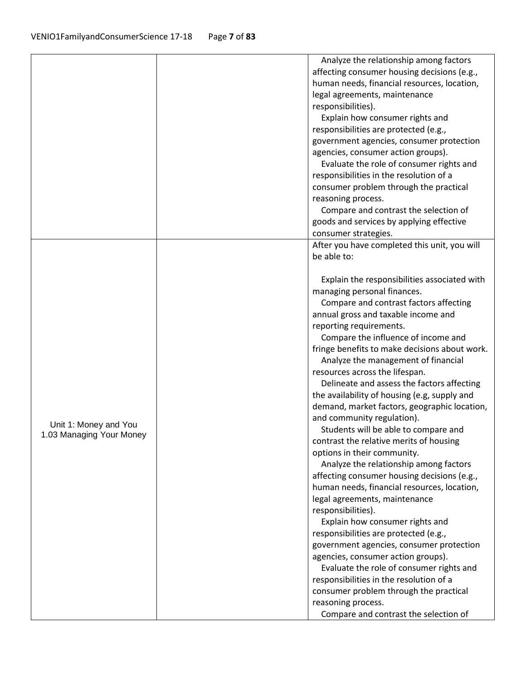|                          | Analyze the relationship among factors                                            |
|--------------------------|-----------------------------------------------------------------------------------|
|                          | affecting consumer housing decisions (e.g.,                                       |
|                          | human needs, financial resources, location,                                       |
|                          | legal agreements, maintenance                                                     |
|                          | responsibilities).                                                                |
|                          | Explain how consumer rights and                                                   |
|                          | responsibilities are protected (e.g.,                                             |
|                          | government agencies, consumer protection                                          |
|                          | agencies, consumer action groups).                                                |
|                          | Evaluate the role of consumer rights and                                          |
|                          | responsibilities in the resolution of a                                           |
|                          | consumer problem through the practical                                            |
|                          | reasoning process.                                                                |
|                          | Compare and contrast the selection of                                             |
|                          | goods and services by applying effective                                          |
|                          | consumer strategies.                                                              |
|                          | After you have completed this unit, you will                                      |
|                          | be able to:                                                                       |
|                          |                                                                                   |
|                          | Explain the responsibilities associated with                                      |
|                          | managing personal finances.                                                       |
|                          | Compare and contrast factors affecting                                            |
|                          | annual gross and taxable income and                                               |
|                          | reporting requirements.                                                           |
|                          | Compare the influence of income and                                               |
|                          | fringe benefits to make decisions about work.                                     |
|                          | Analyze the management of financial                                               |
|                          | resources across the lifespan.                                                    |
|                          | Delineate and assess the factors affecting                                        |
|                          | the availability of housing (e.g, supply and                                      |
|                          | demand, market factors, geographic location,                                      |
|                          | and community regulation).                                                        |
| Unit 1: Money and You    | Students will be able to compare and                                              |
| 1.03 Managing Your Money | contrast the relative merits of housing                                           |
|                          | options in their community.                                                       |
|                          | Analyze the relationship among factors                                            |
|                          | affecting consumer housing decisions (e.g.,                                       |
|                          | human needs, financial resources, location,                                       |
|                          | legal agreements, maintenance                                                     |
|                          | responsibilities).                                                                |
|                          | Explain how consumer rights and                                                   |
|                          |                                                                                   |
|                          | responsibilities are protected (e.g.,<br>government agencies, consumer protection |
|                          |                                                                                   |
|                          | agencies, consumer action groups).                                                |
|                          | Evaluate the role of consumer rights and                                          |
|                          | responsibilities in the resolution of a                                           |
|                          | consumer problem through the practical                                            |
|                          | reasoning process.                                                                |
|                          | Compare and contrast the selection of                                             |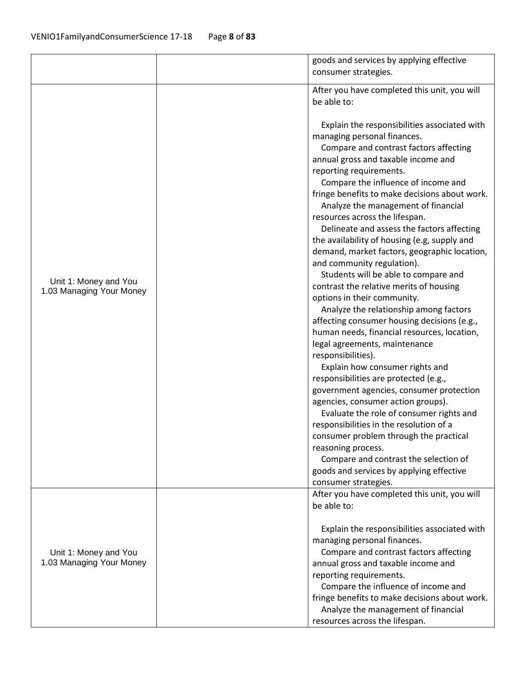|                                                   | goods and services by applying effective<br>consumer strategies.                                                                                                                                                                                                                                                                                                                                                                                                                                                                                                                                                                                                                                                                                                                                                                                                                                                                                                                                                                                                                                                                                                                                                                                                                        |
|---------------------------------------------------|-----------------------------------------------------------------------------------------------------------------------------------------------------------------------------------------------------------------------------------------------------------------------------------------------------------------------------------------------------------------------------------------------------------------------------------------------------------------------------------------------------------------------------------------------------------------------------------------------------------------------------------------------------------------------------------------------------------------------------------------------------------------------------------------------------------------------------------------------------------------------------------------------------------------------------------------------------------------------------------------------------------------------------------------------------------------------------------------------------------------------------------------------------------------------------------------------------------------------------------------------------------------------------------------|
|                                                   | After you have completed this unit, you will<br>be able to:                                                                                                                                                                                                                                                                                                                                                                                                                                                                                                                                                                                                                                                                                                                                                                                                                                                                                                                                                                                                                                                                                                                                                                                                                             |
| Unit 1: Money and You<br>1.03 Managing Your Money | Explain the responsibilities associated with<br>managing personal finances.<br>Compare and contrast factors affecting<br>annual gross and taxable income and<br>reporting requirements.<br>Compare the influence of income and<br>fringe benefits to make decisions about work.<br>Analyze the management of financial<br>resources across the lifespan.<br>Delineate and assess the factors affecting<br>the availability of housing (e.g, supply and<br>demand, market factors, geographic location,<br>and community regulation).<br>Students will be able to compare and<br>contrast the relative merits of housing<br>options in their community.<br>Analyze the relationship among factors<br>affecting consumer housing decisions (e.g.,<br>human needs, financial resources, location,<br>legal agreements, maintenance<br>responsibilities).<br>Explain how consumer rights and<br>responsibilities are protected (e.g.,<br>government agencies, consumer protection<br>agencies, consumer action groups).<br>Evaluate the role of consumer rights and<br>responsibilities in the resolution of a<br>consumer problem through the practical<br>reasoning process.<br>Compare and contrast the selection of<br>goods and services by applying effective<br>consumer strategies. |
|                                                   | After you have completed this unit, you will                                                                                                                                                                                                                                                                                                                                                                                                                                                                                                                                                                                                                                                                                                                                                                                                                                                                                                                                                                                                                                                                                                                                                                                                                                            |
|                                                   | be able to:<br>Explain the responsibilities associated with<br>managing personal finances.                                                                                                                                                                                                                                                                                                                                                                                                                                                                                                                                                                                                                                                                                                                                                                                                                                                                                                                                                                                                                                                                                                                                                                                              |
| Unit 1: Money and You<br>1.03 Managing Your Money | Compare and contrast factors affecting<br>annual gross and taxable income and                                                                                                                                                                                                                                                                                                                                                                                                                                                                                                                                                                                                                                                                                                                                                                                                                                                                                                                                                                                                                                                                                                                                                                                                           |
|                                                   | reporting requirements.                                                                                                                                                                                                                                                                                                                                                                                                                                                                                                                                                                                                                                                                                                                                                                                                                                                                                                                                                                                                                                                                                                                                                                                                                                                                 |
|                                                   | Compare the influence of income and                                                                                                                                                                                                                                                                                                                                                                                                                                                                                                                                                                                                                                                                                                                                                                                                                                                                                                                                                                                                                                                                                                                                                                                                                                                     |
|                                                   | fringe benefits to make decisions about work.                                                                                                                                                                                                                                                                                                                                                                                                                                                                                                                                                                                                                                                                                                                                                                                                                                                                                                                                                                                                                                                                                                                                                                                                                                           |
|                                                   | Analyze the management of financial<br>resources across the lifespan.                                                                                                                                                                                                                                                                                                                                                                                                                                                                                                                                                                                                                                                                                                                                                                                                                                                                                                                                                                                                                                                                                                                                                                                                                   |
|                                                   |                                                                                                                                                                                                                                                                                                                                                                                                                                                                                                                                                                                                                                                                                                                                                                                                                                                                                                                                                                                                                                                                                                                                                                                                                                                                                         |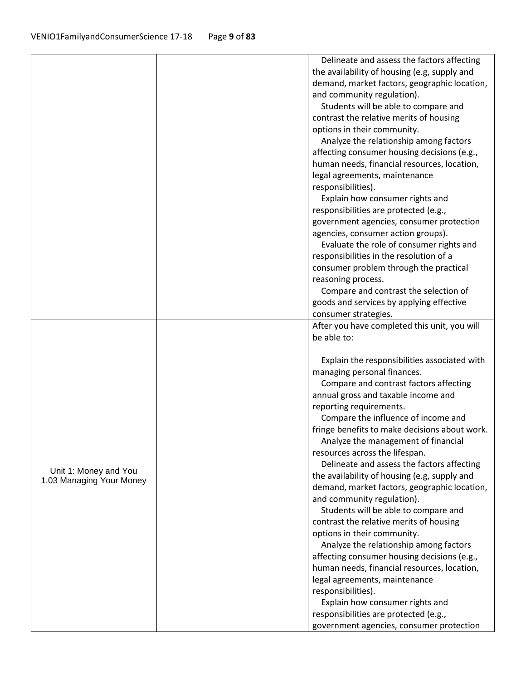|                          | Delineate and assess the factors affecting                                      |
|--------------------------|---------------------------------------------------------------------------------|
|                          | the availability of housing (e.g, supply and                                    |
|                          | demand, market factors, geographic location,                                    |
|                          | and community regulation).                                                      |
|                          | Students will be able to compare and                                            |
|                          | contrast the relative merits of housing                                         |
|                          | options in their community.                                                     |
|                          | Analyze the relationship among factors                                          |
|                          | affecting consumer housing decisions (e.g.,                                     |
|                          | human needs, financial resources, location,                                     |
|                          | legal agreements, maintenance                                                   |
|                          | responsibilities).                                                              |
|                          | Explain how consumer rights and                                                 |
|                          | responsibilities are protected (e.g.,                                           |
|                          | government agencies, consumer protection                                        |
|                          | agencies, consumer action groups).                                              |
|                          | Evaluate the role of consumer rights and                                        |
|                          | responsibilities in the resolution of a                                         |
|                          | consumer problem through the practical                                          |
|                          | reasoning process.                                                              |
|                          | Compare and contrast the selection of                                           |
|                          | goods and services by applying effective                                        |
|                          | consumer strategies.                                                            |
|                          | After you have completed this unit, you will                                    |
|                          | be able to:                                                                     |
|                          |                                                                                 |
|                          | Explain the responsibilities associated with                                    |
|                          | managing personal finances.                                                     |
|                          | Compare and contrast factors affecting                                          |
|                          | annual gross and taxable income and                                             |
|                          | reporting requirements.                                                         |
|                          | Compare the influence of income and                                             |
|                          | fringe benefits to make decisions about work.                                   |
|                          | Analyze the management of financial                                             |
|                          | resources across the lifespan.                                                  |
| Unit 1: Money and You    | Delineate and assess the factors affecting                                      |
| 1.03 Managing Your Money | the availability of housing (e.g, supply and                                    |
|                          | demand, market factors, geographic location,                                    |
|                          | and community regulation).                                                      |
|                          | Students will be able to compare and<br>contrast the relative merits of housing |
|                          | options in their community.                                                     |
|                          | Analyze the relationship among factors                                          |
|                          | affecting consumer housing decisions (e.g.,                                     |
|                          | human needs, financial resources, location,                                     |
|                          | legal agreements, maintenance                                                   |
|                          | responsibilities).                                                              |
|                          | Explain how consumer rights and                                                 |
|                          | responsibilities are protected (e.g.,                                           |
|                          | government agencies, consumer protection                                        |
|                          |                                                                                 |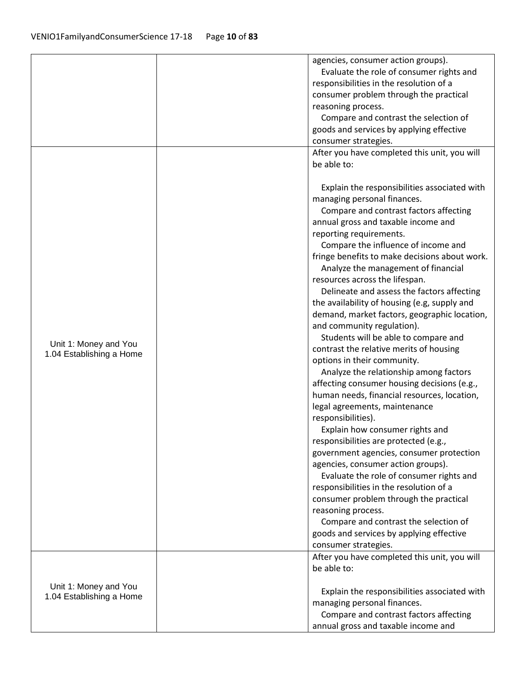|                          | agencies, consumer action groups).            |
|--------------------------|-----------------------------------------------|
|                          | Evaluate the role of consumer rights and      |
|                          | responsibilities in the resolution of a       |
|                          | consumer problem through the practical        |
|                          | reasoning process.                            |
|                          | Compare and contrast the selection of         |
|                          | goods and services by applying effective      |
|                          | consumer strategies.                          |
|                          | After you have completed this unit, you will  |
|                          | be able to:                                   |
|                          | Explain the responsibilities associated with  |
|                          | managing personal finances.                   |
|                          | Compare and contrast factors affecting        |
|                          | annual gross and taxable income and           |
|                          | reporting requirements.                       |
|                          | Compare the influence of income and           |
|                          | fringe benefits to make decisions about work. |
|                          | Analyze the management of financial           |
|                          | resources across the lifespan.                |
|                          | Delineate and assess the factors affecting    |
|                          | the availability of housing (e.g, supply and  |
|                          | demand, market factors, geographic location,  |
|                          | and community regulation).                    |
|                          | Students will be able to compare and          |
| Unit 1: Money and You    | contrast the relative merits of housing       |
| 1.04 Establishing a Home | options in their community.                   |
|                          | Analyze the relationship among factors        |
|                          | affecting consumer housing decisions (e.g.,   |
|                          | human needs, financial resources, location,   |
|                          | legal agreements, maintenance                 |
|                          | responsibilities).                            |
|                          | Explain how consumer rights and               |
|                          | responsibilities are protected (e.g.,         |
|                          | government agencies, consumer protection      |
|                          | agencies, consumer action groups).            |
|                          | Evaluate the role of consumer rights and      |
|                          | responsibilities in the resolution of a       |
|                          | consumer problem through the practical        |
|                          | reasoning process.                            |
|                          | Compare and contrast the selection of         |
|                          | goods and services by applying effective      |
|                          | consumer strategies.                          |
|                          | After you have completed this unit, you will  |
|                          | be able to:                                   |
|                          |                                               |
| Unit 1: Money and You    | Explain the responsibilities associated with  |
| 1.04 Establishing a Home | managing personal finances.                   |
|                          | Compare and contrast factors affecting        |
|                          | annual gross and taxable income and           |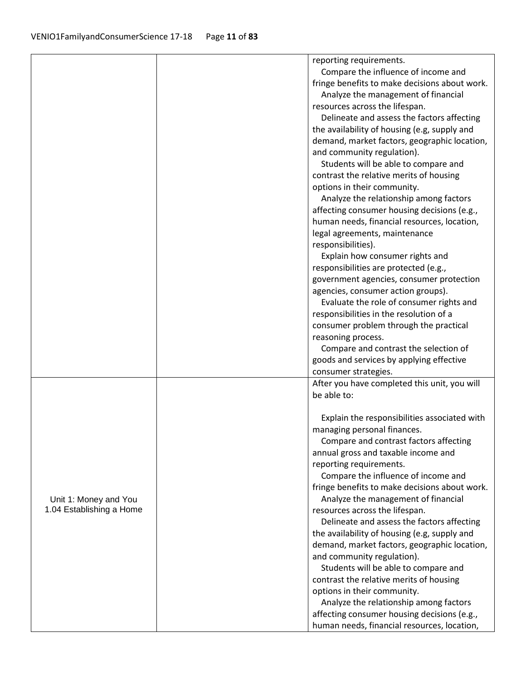|                          | reporting requirements.                                                    |
|--------------------------|----------------------------------------------------------------------------|
|                          | Compare the influence of income and                                        |
|                          | fringe benefits to make decisions about work.                              |
|                          | Analyze the management of financial                                        |
|                          | resources across the lifespan.                                             |
|                          | Delineate and assess the factors affecting                                 |
|                          | the availability of housing (e.g, supply and                               |
|                          |                                                                            |
|                          | demand, market factors, geographic location,<br>and community regulation). |
|                          |                                                                            |
|                          | Students will be able to compare and                                       |
|                          | contrast the relative merits of housing                                    |
|                          | options in their community.                                                |
|                          | Analyze the relationship among factors                                     |
|                          | affecting consumer housing decisions (e.g.,                                |
|                          | human needs, financial resources, location,                                |
|                          | legal agreements, maintenance                                              |
|                          | responsibilities).                                                         |
|                          | Explain how consumer rights and                                            |
|                          | responsibilities are protected (e.g.,                                      |
|                          | government agencies, consumer protection                                   |
|                          | agencies, consumer action groups).                                         |
|                          | Evaluate the role of consumer rights and                                   |
|                          | responsibilities in the resolution of a                                    |
|                          | consumer problem through the practical                                     |
|                          | reasoning process.                                                         |
|                          | Compare and contrast the selection of                                      |
|                          | goods and services by applying effective                                   |
|                          | consumer strategies.                                                       |
|                          | After you have completed this unit, you will                               |
|                          | be able to:                                                                |
|                          |                                                                            |
|                          | Explain the responsibilities associated with                               |
|                          | managing personal finances.                                                |
|                          | Compare and contrast factors affecting                                     |
|                          | annual gross and taxable income and                                        |
|                          | reporting requirements.                                                    |
|                          | Compare the influence of income and                                        |
|                          | fringe benefits to make decisions about work.                              |
| Unit 1: Money and You    | Analyze the management of financial                                        |
| 1.04 Establishing a Home | resources across the lifespan.                                             |
|                          | Delineate and assess the factors affecting                                 |
|                          | the availability of housing (e.g, supply and                               |
|                          | demand, market factors, geographic location,                               |
|                          | and community regulation).                                                 |
|                          | Students will be able to compare and                                       |
|                          | contrast the relative merits of housing                                    |
|                          | options in their community.                                                |
|                          | Analyze the relationship among factors                                     |
|                          | affecting consumer housing decisions (e.g.,                                |
|                          | human needs, financial resources, location,                                |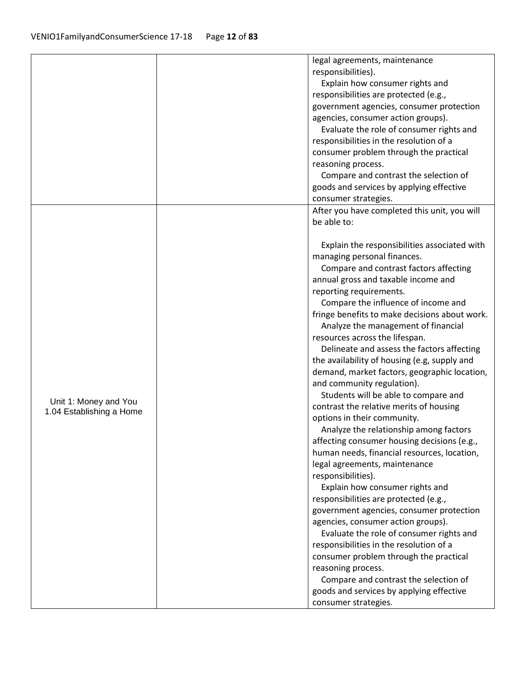|                          | legal agreements, maintenance                                              |
|--------------------------|----------------------------------------------------------------------------|
|                          | responsibilities).                                                         |
|                          | Explain how consumer rights and                                            |
|                          | responsibilities are protected (e.g.,                                      |
|                          | government agencies, consumer protection                                   |
|                          | agencies, consumer action groups).                                         |
|                          | Evaluate the role of consumer rights and                                   |
|                          | responsibilities in the resolution of a                                    |
|                          | consumer problem through the practical                                     |
|                          | reasoning process.                                                         |
|                          | Compare and contrast the selection of                                      |
|                          | goods and services by applying effective                                   |
|                          | consumer strategies.                                                       |
|                          | After you have completed this unit, you will                               |
|                          | be able to:                                                                |
|                          |                                                                            |
|                          | Explain the responsibilities associated with                               |
|                          | managing personal finances.                                                |
|                          | Compare and contrast factors affecting                                     |
|                          | annual gross and taxable income and                                        |
|                          | reporting requirements.                                                    |
|                          | Compare the influence of income and                                        |
|                          | fringe benefits to make decisions about work.                              |
|                          | Analyze the management of financial                                        |
|                          | resources across the lifespan.                                             |
|                          | Delineate and assess the factors affecting                                 |
|                          | the availability of housing (e.g, supply and                               |
|                          |                                                                            |
|                          | demand, market factors, geographic location,<br>and community regulation). |
|                          |                                                                            |
| Unit 1: Money and You    | Students will be able to compare and                                       |
| 1.04 Establishing a Home | contrast the relative merits of housing                                    |
|                          | options in their community.                                                |
|                          | Analyze the relationship among factors                                     |
|                          | affecting consumer housing decisions (e.g.,                                |
|                          | human needs, financial resources, location,                                |
|                          | legal agreements, maintenance                                              |
|                          | responsibilities).                                                         |
|                          | Explain how consumer rights and                                            |
|                          | responsibilities are protected (e.g.,                                      |
|                          | government agencies, consumer protection                                   |
|                          | agencies, consumer action groups).                                         |
|                          | Evaluate the role of consumer rights and                                   |
|                          | responsibilities in the resolution of a                                    |
|                          | consumer problem through the practical                                     |
|                          | reasoning process.                                                         |
|                          | Compare and contrast the selection of                                      |
|                          | goods and services by applying effective                                   |
|                          | consumer strategies.                                                       |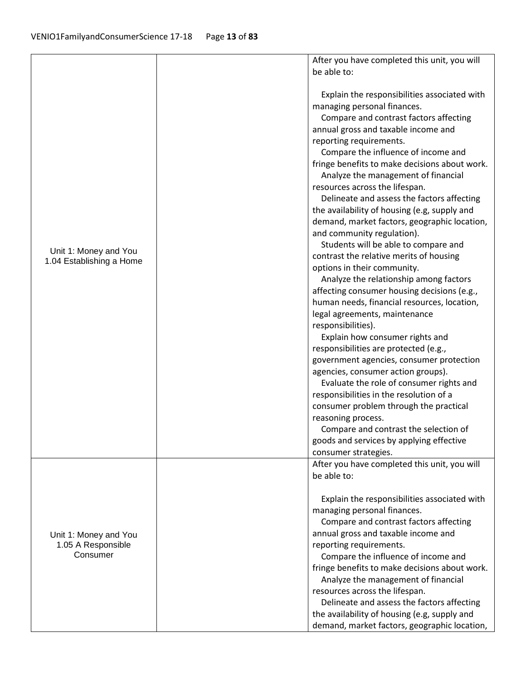|                                             | After you have completed this unit, you will<br>be able to: |
|---------------------------------------------|-------------------------------------------------------------|
|                                             |                                                             |
|                                             | Explain the responsibilities associated with                |
|                                             | managing personal finances.                                 |
|                                             | Compare and contrast factors affecting                      |
|                                             | annual gross and taxable income and                         |
|                                             | reporting requirements.                                     |
|                                             | Compare the influence of income and                         |
|                                             | fringe benefits to make decisions about work.               |
|                                             | Analyze the management of financial                         |
|                                             | resources across the lifespan.                              |
|                                             | Delineate and assess the factors affecting                  |
|                                             | the availability of housing (e.g, supply and                |
|                                             | demand, market factors, geographic location,                |
|                                             | and community regulation).                                  |
|                                             | Students will be able to compare and                        |
| Unit 1: Money and You                       | contrast the relative merits of housing                     |
| 1.04 Establishing a Home                    | options in their community.                                 |
|                                             | Analyze the relationship among factors                      |
|                                             | affecting consumer housing decisions (e.g.,                 |
|                                             | human needs, financial resources, location,                 |
|                                             | legal agreements, maintenance                               |
|                                             | responsibilities).                                          |
|                                             | Explain how consumer rights and                             |
|                                             | responsibilities are protected (e.g.,                       |
|                                             | government agencies, consumer protection                    |
|                                             | agencies, consumer action groups).                          |
|                                             | Evaluate the role of consumer rights and                    |
|                                             | responsibilities in the resolution of a                     |
|                                             | consumer problem through the practical                      |
|                                             | reasoning process.                                          |
|                                             | Compare and contrast the selection of                       |
|                                             | goods and services by applying effective                    |
|                                             | consumer strategies.                                        |
|                                             | After you have completed this unit, you will                |
|                                             | be able to:                                                 |
|                                             | Explain the responsibilities associated with                |
|                                             | managing personal finances.                                 |
| Unit 1: Money and You<br>1.05 A Responsible | Compare and contrast factors affecting                      |
|                                             | annual gross and taxable income and                         |
|                                             | reporting requirements.                                     |
| Consumer                                    | Compare the influence of income and                         |
|                                             | fringe benefits to make decisions about work.               |
|                                             | Analyze the management of financial                         |
|                                             | resources across the lifespan.                              |
|                                             | Delineate and assess the factors affecting                  |
|                                             | the availability of housing (e.g, supply and                |
|                                             | demand, market factors, geographic location,                |
|                                             |                                                             |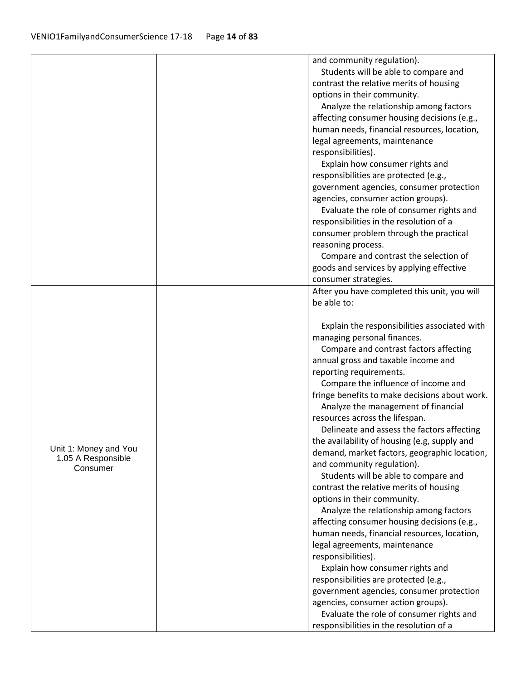|                       | and community regulation).                                            |
|-----------------------|-----------------------------------------------------------------------|
|                       | Students will be able to compare and                                  |
|                       | contrast the relative merits of housing                               |
|                       | options in their community.                                           |
|                       | Analyze the relationship among factors                                |
|                       | affecting consumer housing decisions (e.g.,                           |
|                       | human needs, financial resources, location,                           |
|                       | legal agreements, maintenance                                         |
|                       | responsibilities).                                                    |
|                       | Explain how consumer rights and                                       |
|                       | responsibilities are protected (e.g.,                                 |
|                       | government agencies, consumer protection                              |
|                       | agencies, consumer action groups).                                    |
|                       | Evaluate the role of consumer rights and                              |
|                       | responsibilities in the resolution of a                               |
|                       | consumer problem through the practical                                |
|                       | reasoning process.                                                    |
|                       | Compare and contrast the selection of                                 |
|                       | goods and services by applying effective                              |
|                       | consumer strategies.                                                  |
|                       | After you have completed this unit, you will                          |
|                       | be able to:                                                           |
|                       |                                                                       |
|                       | Explain the responsibilities associated with                          |
|                       | managing personal finances.                                           |
|                       | Compare and contrast factors affecting                                |
|                       | annual gross and taxable income and                                   |
|                       | reporting requirements.                                               |
|                       | Compare the influence of income and                                   |
|                       | fringe benefits to make decisions about work.                         |
|                       | Analyze the management of financial                                   |
|                       | resources across the lifespan.                                        |
|                       | Delineate and assess the factors affecting                            |
| Unit 1: Money and You | the availability of housing (e.g, supply and                          |
| 1.05 A Responsible    | demand, market factors, geographic location,                          |
| Consumer              | and community regulation).                                            |
|                       | Students will be able to compare and                                  |
|                       | contrast the relative merits of housing                               |
|                       | options in their community.<br>Analyze the relationship among factors |
|                       | affecting consumer housing decisions (e.g.,                           |
|                       | human needs, financial resources, location,                           |
|                       | legal agreements, maintenance                                         |
|                       | responsibilities).                                                    |
|                       | Explain how consumer rights and                                       |
|                       | responsibilities are protected (e.g.,                                 |
|                       | government agencies, consumer protection                              |
|                       | agencies, consumer action groups).                                    |
|                       | Evaluate the role of consumer rights and                              |
|                       |                                                                       |
|                       | responsibilities in the resolution of a                               |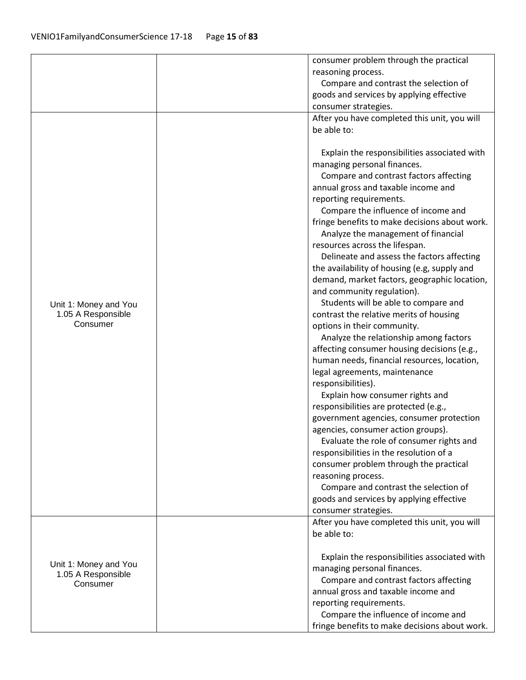|                       | consumer problem through the practical        |
|-----------------------|-----------------------------------------------|
|                       | reasoning process.                            |
|                       | Compare and contrast the selection of         |
|                       | goods and services by applying effective      |
|                       | consumer strategies.                          |
|                       | After you have completed this unit, you will  |
|                       | be able to:                                   |
|                       |                                               |
|                       |                                               |
|                       | Explain the responsibilities associated with  |
|                       | managing personal finances.                   |
|                       | Compare and contrast factors affecting        |
|                       | annual gross and taxable income and           |
|                       | reporting requirements.                       |
|                       | Compare the influence of income and           |
|                       | fringe benefits to make decisions about work. |
|                       | Analyze the management of financial           |
|                       | resources across the lifespan.                |
|                       | Delineate and assess the factors affecting    |
|                       | the availability of housing (e.g, supply and  |
|                       | demand, market factors, geographic location,  |
|                       | and community regulation).                    |
| Unit 1: Money and You | Students will be able to compare and          |
| 1.05 A Responsible    | contrast the relative merits of housing       |
| Consumer              | options in their community.                   |
|                       | Analyze the relationship among factors        |
|                       | affecting consumer housing decisions (e.g.,   |
|                       | human needs, financial resources, location,   |
|                       | legal agreements, maintenance                 |
|                       | responsibilities).                            |
|                       | Explain how consumer rights and               |
|                       | responsibilities are protected (e.g.,         |
|                       | government agencies, consumer protection      |
|                       | agencies, consumer action groups).            |
|                       | Evaluate the role of consumer rights and      |
|                       | responsibilities in the resolution of a       |
|                       | consumer problem through the practical        |
|                       | reasoning process.                            |
|                       | Compare and contrast the selection of         |
|                       | goods and services by applying effective      |
|                       | consumer strategies.                          |
|                       | After you have completed this unit, you will  |
|                       | be able to:                                   |
|                       |                                               |
|                       | Explain the responsibilities associated with  |
| Unit 1: Money and You | managing personal finances.                   |
| 1.05 A Responsible    | Compare and contrast factors affecting        |
| Consumer              | annual gross and taxable income and           |
|                       | reporting requirements.                       |
|                       | Compare the influence of income and           |
|                       |                                               |
|                       | fringe benefits to make decisions about work. |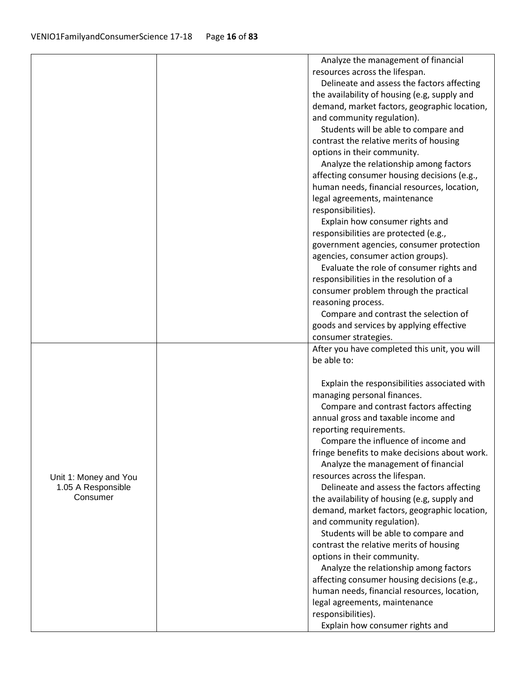|                       | Analyze the management of financial                         |
|-----------------------|-------------------------------------------------------------|
|                       | resources across the lifespan.                              |
|                       | Delineate and assess the factors affecting                  |
|                       | the availability of housing (e.g, supply and                |
|                       | demand, market factors, geographic location,                |
|                       | and community regulation).                                  |
|                       | Students will be able to compare and                        |
|                       | contrast the relative merits of housing                     |
|                       | options in their community.                                 |
|                       | Analyze the relationship among factors                      |
|                       | affecting consumer housing decisions (e.g.,                 |
|                       | human needs, financial resources, location,                 |
|                       | legal agreements, maintenance                               |
|                       | responsibilities).                                          |
|                       | Explain how consumer rights and                             |
|                       | responsibilities are protected (e.g.,                       |
|                       | government agencies, consumer protection                    |
|                       | agencies, consumer action groups).                          |
|                       | Evaluate the role of consumer rights and                    |
|                       | responsibilities in the resolution of a                     |
|                       | consumer problem through the practical                      |
|                       | reasoning process.                                          |
|                       | Compare and contrast the selection of                       |
|                       | goods and services by applying effective                    |
|                       | consumer strategies.                                        |
|                       |                                                             |
|                       |                                                             |
|                       | After you have completed this unit, you will<br>be able to: |
|                       |                                                             |
|                       | Explain the responsibilities associated with                |
|                       | managing personal finances.                                 |
|                       | Compare and contrast factors affecting                      |
|                       | annual gross and taxable income and                         |
|                       | reporting requirements.                                     |
|                       | Compare the influence of income and                         |
|                       | fringe benefits to make decisions about work.               |
|                       | Analyze the management of financial                         |
| Unit 1: Money and You | resources across the lifespan.                              |
| 1.05 A Responsible    | Delineate and assess the factors affecting                  |
| Consumer              | the availability of housing (e.g, supply and                |
|                       | demand, market factors, geographic location,                |
|                       | and community regulation).                                  |
|                       | Students will be able to compare and                        |
|                       | contrast the relative merits of housing                     |
|                       | options in their community.                                 |
|                       | Analyze the relationship among factors                      |
|                       | affecting consumer housing decisions (e.g.,                 |
|                       | human needs, financial resources, location,                 |
|                       | legal agreements, maintenance                               |
|                       | responsibilities).<br>Explain how consumer rights and       |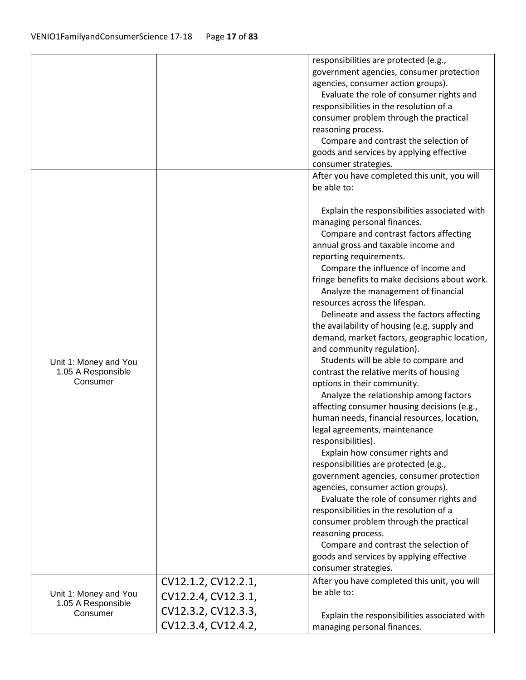|                                             |                     | responsibilities are protected (e.g.,                                               |
|---------------------------------------------|---------------------|-------------------------------------------------------------------------------------|
|                                             |                     | government agencies, consumer protection                                            |
|                                             |                     | agencies, consumer action groups).                                                  |
|                                             |                     |                                                                                     |
|                                             |                     | Evaluate the role of consumer rights and<br>responsibilities in the resolution of a |
|                                             |                     |                                                                                     |
|                                             |                     | consumer problem through the practical                                              |
|                                             |                     | reasoning process.                                                                  |
|                                             |                     | Compare and contrast the selection of                                               |
|                                             |                     | goods and services by applying effective                                            |
|                                             |                     | consumer strategies.                                                                |
|                                             |                     | After you have completed this unit, you will                                        |
|                                             |                     | be able to:                                                                         |
|                                             |                     | Explain the responsibilities associated with                                        |
|                                             |                     | managing personal finances.                                                         |
|                                             |                     | Compare and contrast factors affecting                                              |
|                                             |                     | annual gross and taxable income and                                                 |
|                                             |                     | reporting requirements.                                                             |
|                                             |                     | Compare the influence of income and                                                 |
|                                             |                     | fringe benefits to make decisions about work.                                       |
|                                             |                     | Analyze the management of financial                                                 |
|                                             |                     | resources across the lifespan.                                                      |
|                                             |                     | Delineate and assess the factors affecting                                          |
|                                             |                     | the availability of housing (e.g, supply and                                        |
|                                             |                     | demand, market factors, geographic location,                                        |
|                                             |                     | and community regulation).                                                          |
|                                             |                     | Students will be able to compare and                                                |
| Unit 1: Money and You<br>1.05 A Responsible |                     |                                                                                     |
| Consumer                                    |                     | contrast the relative merits of housing                                             |
|                                             |                     | options in their community.                                                         |
|                                             |                     | Analyze the relationship among factors                                              |
|                                             |                     | affecting consumer housing decisions (e.g.,                                         |
|                                             |                     | human needs, financial resources, location,                                         |
|                                             |                     | legal agreements, maintenance                                                       |
|                                             |                     | responsibilities).                                                                  |
|                                             |                     | Explain how consumer rights and                                                     |
|                                             |                     | responsibilities are protected (e.g.,                                               |
|                                             |                     | government agencies, consumer protection                                            |
|                                             |                     | agencies, consumer action groups).                                                  |
|                                             |                     | Evaluate the role of consumer rights and                                            |
|                                             |                     | responsibilities in the resolution of a                                             |
|                                             |                     | consumer problem through the practical                                              |
|                                             |                     | reasoning process.                                                                  |
|                                             |                     | Compare and contrast the selection of                                               |
|                                             |                     | goods and services by applying effective                                            |
|                                             |                     | consumer strategies.                                                                |
|                                             | CV12.1.2, CV12.2.1, | After you have completed this unit, you will                                        |
| Unit 1: Money and You<br>1.05 A Responsible | CV12.2.4, CV12.3.1, | be able to:                                                                         |
| Consumer                                    | CV12.3.2, CV12.3.3, | Explain the responsibilities associated with                                        |
|                                             | CV12.3.4, CV12.4.2, | managing personal finances.                                                         |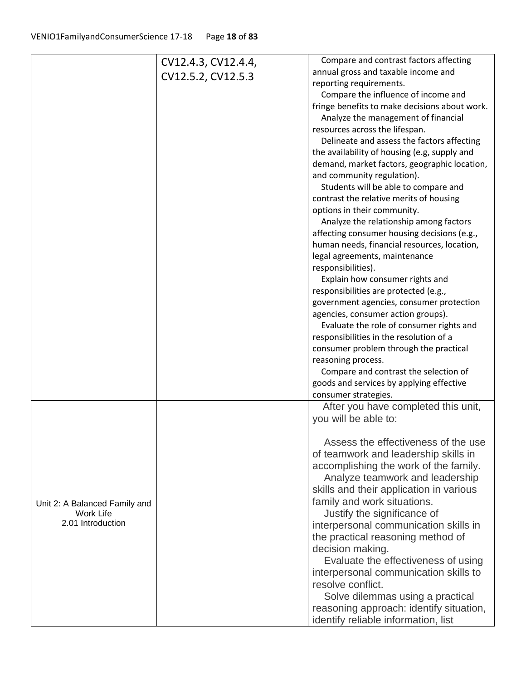|                               | CV12.4.3, CV12.4.4, | Compare and contrast factors affecting        |
|-------------------------------|---------------------|-----------------------------------------------|
|                               | CV12.5.2, CV12.5.3  | annual gross and taxable income and           |
|                               |                     | reporting requirements.                       |
|                               |                     | Compare the influence of income and           |
|                               |                     | fringe benefits to make decisions about work. |
|                               |                     | Analyze the management of financial           |
|                               |                     | resources across the lifespan.                |
|                               |                     | Delineate and assess the factors affecting    |
|                               |                     | the availability of housing (e.g, supply and  |
|                               |                     | demand, market factors, geographic location,  |
|                               |                     | and community regulation).                    |
|                               |                     | Students will be able to compare and          |
|                               |                     | contrast the relative merits of housing       |
|                               |                     | options in their community.                   |
|                               |                     | Analyze the relationship among factors        |
|                               |                     | affecting consumer housing decisions (e.g.,   |
|                               |                     | human needs, financial resources, location,   |
|                               |                     | legal agreements, maintenance                 |
|                               |                     | responsibilities).                            |
|                               |                     | Explain how consumer rights and               |
|                               |                     | responsibilities are protected (e.g.,         |
|                               |                     | government agencies, consumer protection      |
|                               |                     | agencies, consumer action groups).            |
|                               |                     | Evaluate the role of consumer rights and      |
|                               |                     | responsibilities in the resolution of a       |
|                               |                     | consumer problem through the practical        |
|                               |                     | reasoning process.                            |
|                               |                     | Compare and contrast the selection of         |
|                               |                     | goods and services by applying effective      |
|                               |                     | consumer strategies.                          |
|                               |                     | After you have completed this unit,           |
|                               |                     | you will be able to:                          |
|                               |                     |                                               |
|                               |                     | Assess the effectiveness of the use           |
|                               |                     | of teamwork and leadership skills in          |
|                               |                     | accomplishing the work of the family.         |
|                               |                     | Analyze teamwork and leadership               |
|                               |                     | skills and their application in various       |
| Unit 2: A Balanced Family and |                     | family and work situations.                   |
| Work Life                     |                     | Justify the significance of                   |
| 2.01 Introduction             |                     | interpersonal communication skills in         |
|                               |                     | the practical reasoning method of             |
|                               |                     | decision making.                              |
|                               |                     | Evaluate the effectiveness of using           |
|                               |                     | interpersonal communication skills to         |
|                               |                     | resolve conflict.                             |
|                               |                     | Solve dilemmas using a practical              |
|                               |                     | reasoning approach: identify situation,       |
|                               |                     | identify reliable information, list           |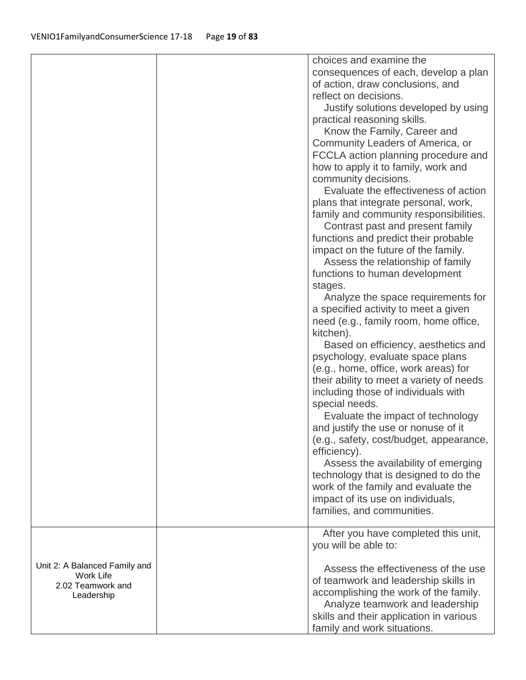|                                                                               | choices and examine the<br>consequences of each, develop a plan<br>of action, draw conclusions, and<br>reflect on decisions.<br>Justify solutions developed by using<br>practical reasoning skills.<br>Know the Family, Career and<br>Community Leaders of America, or<br>FCCLA action planning procedure and<br>how to apply it to family, work and<br>community decisions.<br>Evaluate the effectiveness of action<br>plans that integrate personal, work,<br>family and community responsibilities.<br>Contrast past and present family<br>functions and predict their probable<br>impact on the future of the family.<br>Assess the relationship of family<br>functions to human development<br>stages.<br>Analyze the space requirements for<br>a specified activity to meet a given<br>need (e.g., family room, home office,<br>kitchen).<br>Based on efficiency, aesthetics and<br>psychology, evaluate space plans<br>(e.g., home, office, work areas) for<br>their ability to meet a variety of needs<br>including those of individuals with<br>special needs.<br>Evaluate the impact of technology<br>and justify the use or nonuse of it<br>(e.g., safety, cost/budget, appearance,<br>efficiency).<br>Assess the availability of emerging<br>technology that is designed to do the<br>work of the family and evaluate the<br>impact of its use on individuals,<br>families, and communities. |
|-------------------------------------------------------------------------------|----------------------------------------------------------------------------------------------------------------------------------------------------------------------------------------------------------------------------------------------------------------------------------------------------------------------------------------------------------------------------------------------------------------------------------------------------------------------------------------------------------------------------------------------------------------------------------------------------------------------------------------------------------------------------------------------------------------------------------------------------------------------------------------------------------------------------------------------------------------------------------------------------------------------------------------------------------------------------------------------------------------------------------------------------------------------------------------------------------------------------------------------------------------------------------------------------------------------------------------------------------------------------------------------------------------------------------------------------------------------------------------------------------|
| Unit 2: A Balanced Family and<br>Work Life<br>2.02 Teamwork and<br>Leadership | After you have completed this unit,<br>you will be able to:<br>Assess the effectiveness of the use<br>of teamwork and leadership skills in<br>accomplishing the work of the family.<br>Analyze teamwork and leadership<br>skills and their application in various<br>family and work situations.                                                                                                                                                                                                                                                                                                                                                                                                                                                                                                                                                                                                                                                                                                                                                                                                                                                                                                                                                                                                                                                                                                         |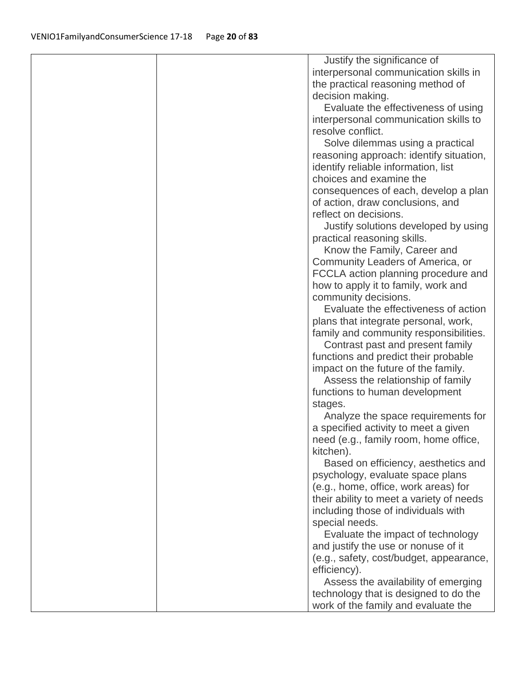| Justify the significance of                                              |  |
|--------------------------------------------------------------------------|--|
| interpersonal communication skills in                                    |  |
| the practical reasoning method of                                        |  |
| decision making.                                                         |  |
| Evaluate the effectiveness of using                                      |  |
| interpersonal communication skills to                                    |  |
| resolve conflict.                                                        |  |
| Solve dilemmas using a practical                                         |  |
| reasoning approach: identify situation,                                  |  |
| identify reliable information, list                                      |  |
| choices and examine the                                                  |  |
| consequences of each, develop a plan                                     |  |
| of action, draw conclusions, and                                         |  |
| reflect on decisions.                                                    |  |
| Justify solutions developed by using                                     |  |
| practical reasoning skills.                                              |  |
| Know the Family, Career and                                              |  |
| Community Leaders of America, or                                         |  |
| FCCLA action planning procedure and                                      |  |
| how to apply it to family, work and                                      |  |
| community decisions.<br>Evaluate the effectiveness of action             |  |
| plans that integrate personal, work,                                     |  |
| family and community responsibilities.                                   |  |
| Contrast past and present family                                         |  |
| functions and predict their probable                                     |  |
| impact on the future of the family.                                      |  |
| Assess the relationship of family                                        |  |
| functions to human development                                           |  |
| stages.                                                                  |  |
| Analyze the space requirements for                                       |  |
| a specified activity to meet a given                                     |  |
| need (e.g., family room, home office,                                    |  |
| kitchen).                                                                |  |
| Based on efficiency, aesthetics and                                      |  |
| psychology, evaluate space plans                                         |  |
| (e.g., home, office, work areas) for                                     |  |
| their ability to meet a variety of needs                                 |  |
| including those of individuals with                                      |  |
| special needs.                                                           |  |
| Evaluate the impact of technology<br>and justify the use or nonuse of it |  |
| (e.g., safety, cost/budget, appearance,                                  |  |
| efficiency).                                                             |  |
| Assess the availability of emerging                                      |  |
|                                                                          |  |
| technology that is designed to do the                                    |  |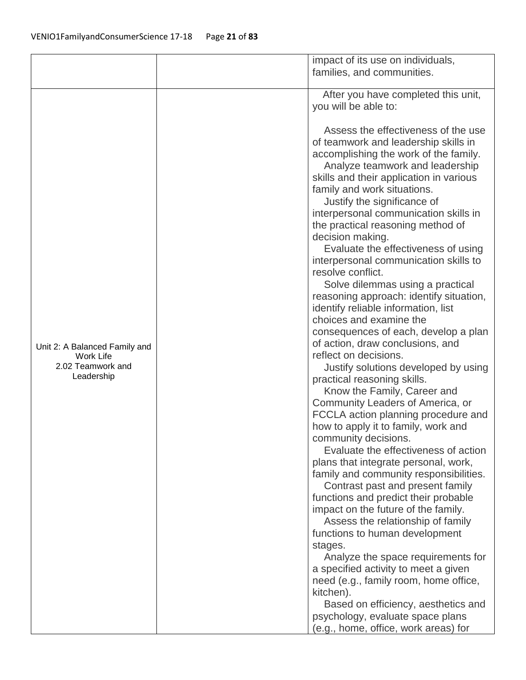|                                 | impact of its use on individuals,                                          |
|---------------------------------|----------------------------------------------------------------------------|
|                                 | families, and communities.                                                 |
|                                 |                                                                            |
|                                 | After you have completed this unit,                                        |
|                                 | you will be able to:                                                       |
|                                 |                                                                            |
|                                 | Assess the effectiveness of the use                                        |
|                                 | of teamwork and leadership skills in                                       |
|                                 | accomplishing the work of the family.                                      |
|                                 | Analyze teamwork and leadership                                            |
|                                 | skills and their application in various                                    |
|                                 | family and work situations.                                                |
|                                 | Justify the significance of                                                |
|                                 | interpersonal communication skills in                                      |
|                                 | the practical reasoning method of                                          |
|                                 | decision making.                                                           |
|                                 | Evaluate the effectiveness of using                                        |
|                                 | interpersonal communication skills to                                      |
|                                 | resolve conflict.                                                          |
|                                 | Solve dilemmas using a practical                                           |
|                                 | reasoning approach: identify situation,                                    |
|                                 | identify reliable information, list                                        |
|                                 | choices and examine the                                                    |
|                                 | consequences of each, develop a plan                                       |
| Unit 2: A Balanced Family and   | of action, draw conclusions, and                                           |
| Work Life                       | reflect on decisions.                                                      |
| 2.02 Teamwork and<br>Leadership | Justify solutions developed by using                                       |
|                                 | practical reasoning skills.                                                |
|                                 | Know the Family, Career and                                                |
|                                 | Community Leaders of America, or                                           |
|                                 | FCCLA action planning procedure and<br>how to apply it to family, work and |
|                                 | community decisions.                                                       |
|                                 | Evaluate the effectiveness of action                                       |
|                                 | plans that integrate personal, work,                                       |
|                                 | family and community responsibilities.                                     |
|                                 | Contrast past and present family                                           |
|                                 | functions and predict their probable                                       |
|                                 | impact on the future of the family.                                        |
|                                 | Assess the relationship of family                                          |
|                                 | functions to human development                                             |
|                                 | stages.                                                                    |
|                                 | Analyze the space requirements for                                         |
|                                 | a specified activity to meet a given                                       |
|                                 | need (e.g., family room, home office,                                      |
|                                 | kitchen).                                                                  |
|                                 | Based on efficiency, aesthetics and                                        |
|                                 | psychology, evaluate space plans                                           |
|                                 | (e.g., home, office, work areas) for                                       |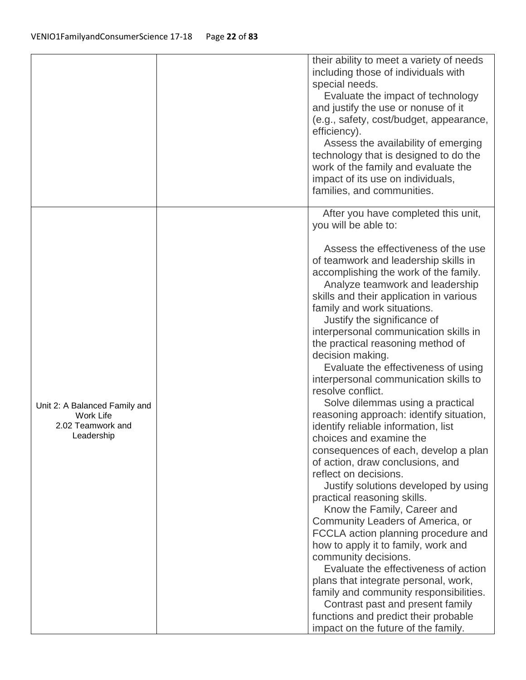|                                                                               | their ability to meet a variety of needs<br>including those of individuals with<br>special needs.<br>Evaluate the impact of technology<br>and justify the use or nonuse of it<br>(e.g., safety, cost/budget, appearance,<br>efficiency).<br>Assess the availability of emerging<br>technology that is designed to do the<br>work of the family and evaluate the<br>impact of its use on individuals,<br>families, and communities.                                                                                                                                                                                                                                                                                                                                                                                                                                                                                                                                                                                                                                                                                                                                                                                                                                                        |
|-------------------------------------------------------------------------------|-------------------------------------------------------------------------------------------------------------------------------------------------------------------------------------------------------------------------------------------------------------------------------------------------------------------------------------------------------------------------------------------------------------------------------------------------------------------------------------------------------------------------------------------------------------------------------------------------------------------------------------------------------------------------------------------------------------------------------------------------------------------------------------------------------------------------------------------------------------------------------------------------------------------------------------------------------------------------------------------------------------------------------------------------------------------------------------------------------------------------------------------------------------------------------------------------------------------------------------------------------------------------------------------|
| Unit 2: A Balanced Family and<br>Work Life<br>2.02 Teamwork and<br>Leadership | After you have completed this unit,<br>you will be able to:<br>Assess the effectiveness of the use<br>of teamwork and leadership skills in<br>accomplishing the work of the family.<br>Analyze teamwork and leadership<br>skills and their application in various<br>family and work situations.<br>Justify the significance of<br>interpersonal communication skills in<br>the practical reasoning method of<br>decision making.<br>Evaluate the effectiveness of using<br>interpersonal communication skills to<br>resolve conflict.<br>Solve dilemmas using a practical<br>reasoning approach: identify situation,<br>identify reliable information, list<br>choices and examine the<br>consequences of each, develop a plan<br>of action, draw conclusions, and<br>reflect on decisions.<br>Justify solutions developed by using<br>practical reasoning skills.<br>Know the Family, Career and<br>Community Leaders of America, or<br>FCCLA action planning procedure and<br>how to apply it to family, work and<br>community decisions.<br>Evaluate the effectiveness of action<br>plans that integrate personal, work,<br>family and community responsibilities.<br>Contrast past and present family<br>functions and predict their probable<br>impact on the future of the family. |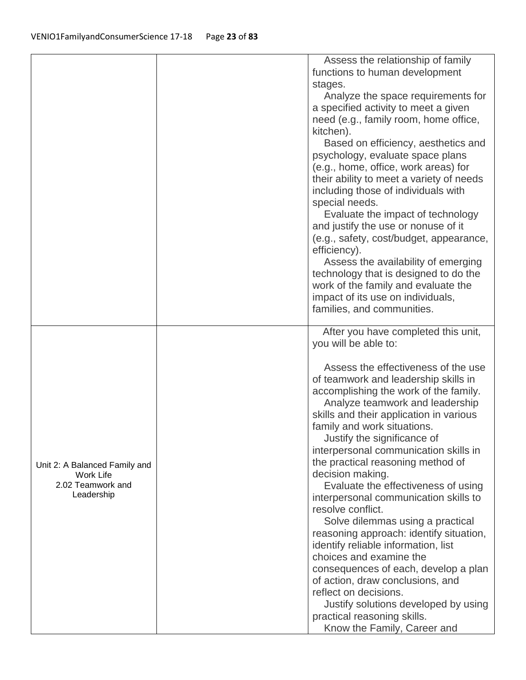|                                                     | Assess the relationship of family                                      |
|-----------------------------------------------------|------------------------------------------------------------------------|
|                                                     | functions to human development                                         |
|                                                     | stages.                                                                |
|                                                     | Analyze the space requirements for                                     |
|                                                     | a specified activity to meet a given                                   |
|                                                     | need (e.g., family room, home office,                                  |
|                                                     | kitchen).                                                              |
|                                                     | Based on efficiency, aesthetics and                                    |
|                                                     | psychology, evaluate space plans                                       |
|                                                     | (e.g., home, office, work areas) for                                   |
|                                                     | their ability to meet a variety of needs                               |
|                                                     | including those of individuals with                                    |
|                                                     | special needs.                                                         |
|                                                     | Evaluate the impact of technology                                      |
|                                                     | and justify the use or nonuse of it                                    |
|                                                     | (e.g., safety, cost/budget, appearance,                                |
|                                                     | efficiency).                                                           |
|                                                     | Assess the availability of emerging                                    |
|                                                     | technology that is designed to do the                                  |
|                                                     | work of the family and evaluate the                                    |
|                                                     | impact of its use on individuals,                                      |
|                                                     | families, and communities.                                             |
|                                                     |                                                                        |
|                                                     | After you have completed this unit,                                    |
|                                                     | you will be able to:                                                   |
|                                                     | Assess the effectiveness of the use                                    |
|                                                     |                                                                        |
|                                                     | of teamwork and leadership skills in                                   |
|                                                     | accomplishing the work of the family.                                  |
|                                                     | Analyze teamwork and leadership                                        |
|                                                     | skills and their application in various<br>family and work situations. |
|                                                     |                                                                        |
|                                                     | Justify the significance of<br>interpersonal communication skills in   |
|                                                     | the practical reasoning method of                                      |
| Unit 2: A Balanced Family and                       | decision making.                                                       |
| <b>Work Life</b><br>2.02 Teamwork and<br>Leadership | Evaluate the effectiveness of using                                    |
|                                                     | interpersonal communication skills to                                  |
|                                                     | resolve conflict.                                                      |
|                                                     | Solve dilemmas using a practical                                       |
|                                                     | reasoning approach: identify situation,                                |
|                                                     | identify reliable information, list                                    |
|                                                     | choices and examine the                                                |
|                                                     | consequences of each, develop a plan                                   |
|                                                     | of action, draw conclusions, and                                       |
|                                                     | reflect on decisions.                                                  |
|                                                     | Justify solutions developed by using                                   |
|                                                     | practical reasoning skills.                                            |
|                                                     |                                                                        |
|                                                     | Know the Family, Career and                                            |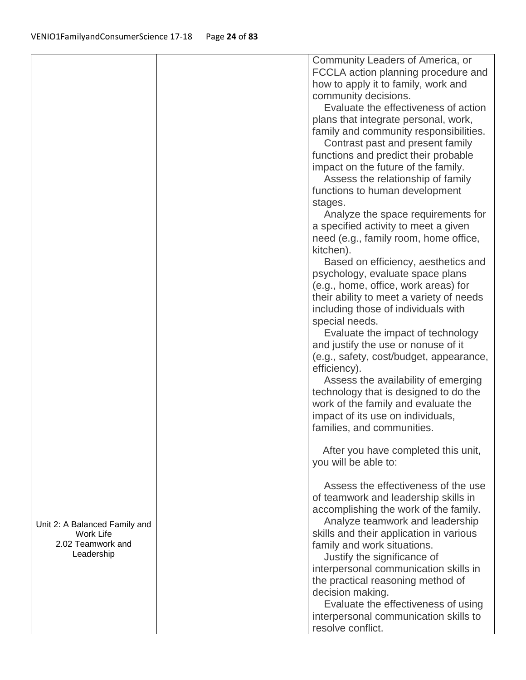|                                                                               | Community Leaders of America, or<br>FCCLA action planning procedure and<br>how to apply it to family, work and<br>community decisions.<br>Evaluate the effectiveness of action<br>plans that integrate personal, work,<br>family and community responsibilities.<br>Contrast past and present family<br>functions and predict their probable<br>impact on the future of the family.<br>Assess the relationship of family<br>functions to human development<br>stages.<br>Analyze the space requirements for<br>a specified activity to meet a given<br>need (e.g., family room, home office,<br>kitchen).<br>Based on efficiency, aesthetics and<br>psychology, evaluate space plans<br>(e.g., home, office, work areas) for<br>their ability to meet a variety of needs<br>including those of individuals with<br>special needs.<br>Evaluate the impact of technology<br>and justify the use or nonuse of it<br>(e.g., safety, cost/budget, appearance,<br>efficiency).<br>Assess the availability of emerging<br>technology that is designed to do the<br>work of the family and evaluate the<br>impact of its use on individuals,<br>families, and communities. |
|-------------------------------------------------------------------------------|--------------------------------------------------------------------------------------------------------------------------------------------------------------------------------------------------------------------------------------------------------------------------------------------------------------------------------------------------------------------------------------------------------------------------------------------------------------------------------------------------------------------------------------------------------------------------------------------------------------------------------------------------------------------------------------------------------------------------------------------------------------------------------------------------------------------------------------------------------------------------------------------------------------------------------------------------------------------------------------------------------------------------------------------------------------------------------------------------------------------------------------------------------------------|
|                                                                               | After you have completed this unit,<br>you will be able to:                                                                                                                                                                                                                                                                                                                                                                                                                                                                                                                                                                                                                                                                                                                                                                                                                                                                                                                                                                                                                                                                                                        |
| Unit 2: A Balanced Family and<br>Work Life<br>2.02 Teamwork and<br>Leadership | Assess the effectiveness of the use<br>of teamwork and leadership skills in<br>accomplishing the work of the family.<br>Analyze teamwork and leadership<br>skills and their application in various<br>family and work situations.<br>Justify the significance of<br>interpersonal communication skills in<br>the practical reasoning method of<br>decision making.<br>Evaluate the effectiveness of using<br>interpersonal communication skills to<br>resolve conflict.                                                                                                                                                                                                                                                                                                                                                                                                                                                                                                                                                                                                                                                                                            |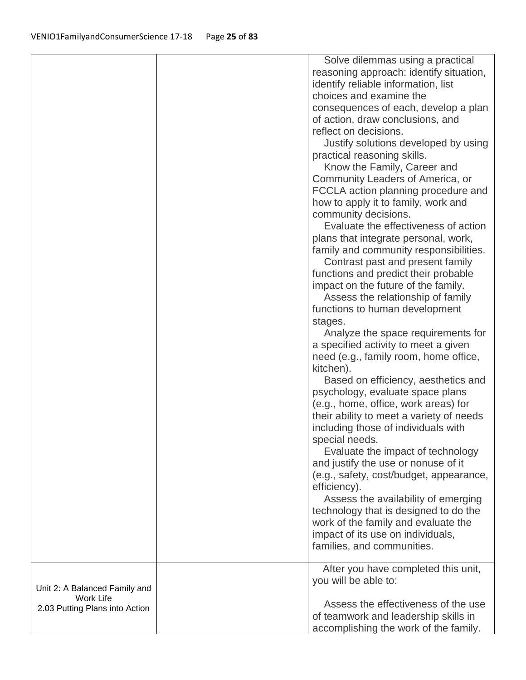|                                | Solve dilemmas using a practical                                           |
|--------------------------------|----------------------------------------------------------------------------|
|                                | reasoning approach: identify situation,                                    |
|                                | identify reliable information, list                                        |
|                                | choices and examine the                                                    |
|                                | consequences of each, develop a plan                                       |
|                                | of action, draw conclusions, and                                           |
|                                | reflect on decisions.                                                      |
|                                | Justify solutions developed by using                                       |
|                                | practical reasoning skills.                                                |
|                                | Know the Family, Career and                                                |
|                                | Community Leaders of America, or                                           |
|                                | FCCLA action planning procedure and                                        |
|                                | how to apply it to family, work and                                        |
|                                | community decisions.                                                       |
|                                | Evaluate the effectiveness of action                                       |
|                                |                                                                            |
|                                | plans that integrate personal, work,                                       |
|                                | family and community responsibilities.<br>Contrast past and present family |
|                                | functions and predict their probable                                       |
|                                | impact on the future of the family.                                        |
|                                | Assess the relationship of family                                          |
|                                | functions to human development                                             |
|                                | stages.                                                                    |
|                                | Analyze the space requirements for                                         |
|                                | a specified activity to meet a given                                       |
|                                | need (e.g., family room, home office,                                      |
|                                | kitchen).                                                                  |
|                                | Based on efficiency, aesthetics and                                        |
|                                | psychology, evaluate space plans                                           |
|                                | (e.g., home, office, work areas) for                                       |
|                                | their ability to meet a variety of needs                                   |
|                                | including those of individuals with                                        |
|                                | special needs.                                                             |
|                                | Evaluate the impact of technology                                          |
|                                | and justify the use or nonuse of it                                        |
|                                | (e.g., safety, cost/budget, appearance,                                    |
|                                | efficiency).                                                               |
|                                | Assess the availability of emerging                                        |
|                                | technology that is designed to do the                                      |
|                                | work of the family and evaluate the                                        |
|                                | impact of its use on individuals,                                          |
|                                | families, and communities.                                                 |
|                                |                                                                            |
|                                | After you have completed this unit,                                        |
|                                | you will be able to:                                                       |
| Unit 2: A Balanced Family and  |                                                                            |
| <b>Work Life</b>               | Assess the effectiveness of the use                                        |
| 2.03 Putting Plans into Action | of teamwork and leadership skills in                                       |
|                                | accomplishing the work of the family.                                      |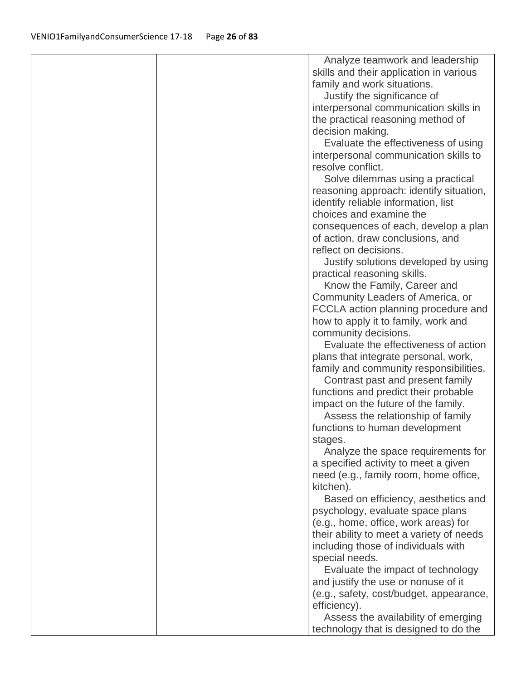| Analyze teamwork and leadership                                          |
|--------------------------------------------------------------------------|
| skills and their application in various                                  |
| family and work situations.                                              |
| Justify the significance of                                              |
| interpersonal communication skills in                                    |
| the practical reasoning method of                                        |
| decision making.                                                         |
| Evaluate the effectiveness of using                                      |
| interpersonal communication skills to                                    |
| resolve conflict.                                                        |
| Solve dilemmas using a practical                                         |
| reasoning approach: identify situation,                                  |
| identify reliable information, list                                      |
| choices and examine the                                                  |
| consequences of each, develop a plan                                     |
| of action, draw conclusions, and                                         |
| reflect on decisions.                                                    |
| Justify solutions developed by using                                     |
| practical reasoning skills.                                              |
| Know the Family, Career and                                              |
| Community Leaders of America, or                                         |
| FCCLA action planning procedure and                                      |
| how to apply it to family, work and                                      |
| community decisions.                                                     |
| Evaluate the effectiveness of action                                     |
| plans that integrate personal, work,                                     |
| family and community responsibilities.                                   |
| Contrast past and present family                                         |
| functions and predict their probable                                     |
| impact on the future of the family.<br>Assess the relationship of family |
| functions to human development                                           |
| stages.                                                                  |
| Analyze the space requirements for                                       |
| a specified activity to meet a given                                     |
| need (e.g., family room, home office,                                    |
| kitchen).                                                                |
| Based on efficiency, aesthetics and                                      |
| psychology, evaluate space plans                                         |
| (e.g., home, office, work areas) for                                     |
| their ability to meet a variety of needs                                 |
| including those of individuals with                                      |
| special needs.                                                           |
| Evaluate the impact of technology                                        |
| and justify the use or nonuse of it                                      |
| (e.g., safety, cost/budget, appearance,                                  |
| efficiency).                                                             |
| Assess the availability of emerging                                      |
| technology that is designed to do the                                    |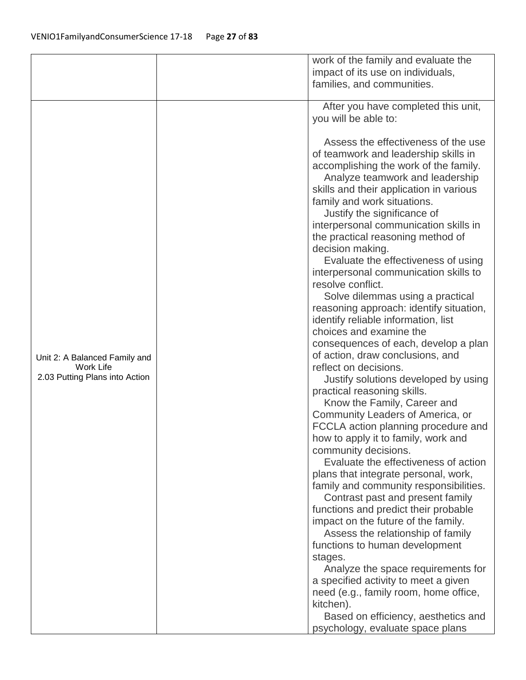|                                            |  | work of the family and evaluate the     |
|--------------------------------------------|--|-----------------------------------------|
|                                            |  | impact of its use on individuals,       |
|                                            |  | families, and communities.              |
|                                            |  |                                         |
|                                            |  | After you have completed this unit,     |
|                                            |  | you will be able to:                    |
|                                            |  |                                         |
|                                            |  | Assess the effectiveness of the use     |
|                                            |  | of teamwork and leadership skills in    |
|                                            |  | accomplishing the work of the family.   |
|                                            |  | Analyze teamwork and leadership         |
|                                            |  | skills and their application in various |
|                                            |  | family and work situations.             |
|                                            |  | Justify the significance of             |
|                                            |  | interpersonal communication skills in   |
|                                            |  | the practical reasoning method of       |
|                                            |  | decision making.                        |
|                                            |  | Evaluate the effectiveness of using     |
|                                            |  | interpersonal communication skills to   |
|                                            |  | resolve conflict.                       |
|                                            |  | Solve dilemmas using a practical        |
|                                            |  | reasoning approach: identify situation, |
|                                            |  | identify reliable information, list     |
|                                            |  | choices and examine the                 |
|                                            |  | consequences of each, develop a plan    |
|                                            |  | of action, draw conclusions, and        |
| Unit 2: A Balanced Family and<br>Work Life |  | reflect on decisions.                   |
| 2.03 Putting Plans into Action             |  | Justify solutions developed by using    |
|                                            |  | practical reasoning skills.             |
|                                            |  | Know the Family, Career and             |
|                                            |  | Community Leaders of America, or        |
|                                            |  | FCCLA action planning procedure and     |
|                                            |  | how to apply it to family, work and     |
|                                            |  | community decisions.                    |
|                                            |  | Evaluate the effectiveness of action    |
|                                            |  | plans that integrate personal, work,    |
|                                            |  | family and community responsibilities.  |
|                                            |  | Contrast past and present family        |
|                                            |  | functions and predict their probable    |
|                                            |  | impact on the future of the family.     |
|                                            |  | Assess the relationship of family       |
|                                            |  | functions to human development          |
|                                            |  | stages.                                 |
|                                            |  | Analyze the space requirements for      |
|                                            |  | a specified activity to meet a given    |
|                                            |  | need (e.g., family room, home office,   |
|                                            |  | kitchen).                               |
|                                            |  | Based on efficiency, aesthetics and     |
|                                            |  |                                         |
|                                            |  | psychology, evaluate space plans        |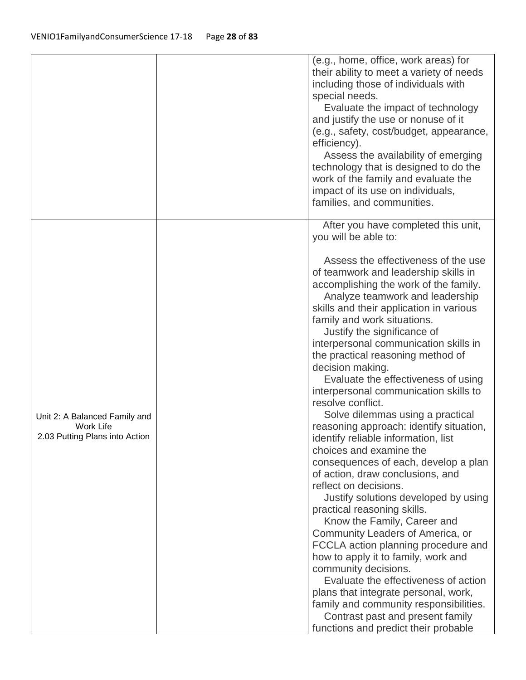|                                                                              | (e.g., home, office, work areas) for<br>their ability to meet a variety of needs<br>including those of individuals with<br>special needs.<br>Evaluate the impact of technology<br>and justify the use or nonuse of it<br>(e.g., safety, cost/budget, appearance,<br>efficiency).<br>Assess the availability of emerging<br>technology that is designed to do the<br>work of the family and evaluate the<br>impact of its use on individuals,<br>families, and communities.                                                                                                                                                                                                                                                                                                                                                                                                                                                                                                                                                                                                                                                                                                          |
|------------------------------------------------------------------------------|-------------------------------------------------------------------------------------------------------------------------------------------------------------------------------------------------------------------------------------------------------------------------------------------------------------------------------------------------------------------------------------------------------------------------------------------------------------------------------------------------------------------------------------------------------------------------------------------------------------------------------------------------------------------------------------------------------------------------------------------------------------------------------------------------------------------------------------------------------------------------------------------------------------------------------------------------------------------------------------------------------------------------------------------------------------------------------------------------------------------------------------------------------------------------------------|
|                                                                              | After you have completed this unit,<br>you will be able to:                                                                                                                                                                                                                                                                                                                                                                                                                                                                                                                                                                                                                                                                                                                                                                                                                                                                                                                                                                                                                                                                                                                         |
| Unit 2: A Balanced Family and<br>Work Life<br>2.03 Putting Plans into Action | Assess the effectiveness of the use<br>of teamwork and leadership skills in<br>accomplishing the work of the family.<br>Analyze teamwork and leadership<br>skills and their application in various<br>family and work situations.<br>Justify the significance of<br>interpersonal communication skills in<br>the practical reasoning method of<br>decision making.<br>Evaluate the effectiveness of using<br>interpersonal communication skills to<br>resolve conflict.<br>Solve dilemmas using a practical<br>reasoning approach: identify situation,<br>identify reliable information, list<br>choices and examine the<br>consequences of each, develop a plan<br>of action, draw conclusions, and<br>reflect on decisions.<br>Justify solutions developed by using<br>practical reasoning skills.<br>Know the Family, Career and<br>Community Leaders of America, or<br>FCCLA action planning procedure and<br>how to apply it to family, work and<br>community decisions.<br>Evaluate the effectiveness of action<br>plans that integrate personal, work,<br>family and community responsibilities.<br>Contrast past and present family<br>functions and predict their probable |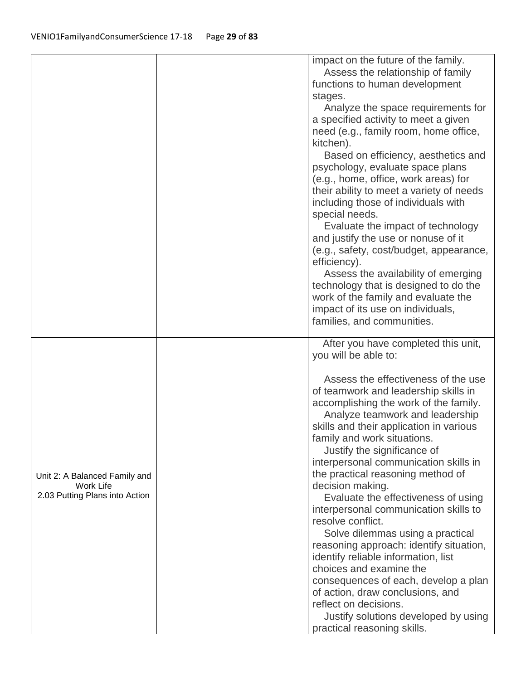|                                                                              | impact on the future of the family.<br>Assess the relationship of family<br>functions to human development<br>stages.<br>Analyze the space requirements for<br>a specified activity to meet a given<br>need (e.g., family room, home office,<br>kitchen).<br>Based on efficiency, aesthetics and<br>psychology, evaluate space plans<br>(e.g., home, office, work areas) for<br>their ability to meet a variety of needs<br>including those of individuals with<br>special needs.<br>Evaluate the impact of technology<br>and justify the use or nonuse of it<br>(e.g., safety, cost/budget, appearance,<br>efficiency).<br>Assess the availability of emerging<br>technology that is designed to do the<br>work of the family and evaluate the<br>impact of its use on individuals,<br>families, and communities.                                                  |
|------------------------------------------------------------------------------|---------------------------------------------------------------------------------------------------------------------------------------------------------------------------------------------------------------------------------------------------------------------------------------------------------------------------------------------------------------------------------------------------------------------------------------------------------------------------------------------------------------------------------------------------------------------------------------------------------------------------------------------------------------------------------------------------------------------------------------------------------------------------------------------------------------------------------------------------------------------|
| Unit 2: A Balanced Family and<br>Work Life<br>2.03 Putting Plans into Action | After you have completed this unit,<br>you will be able to:<br>Assess the effectiveness of the use<br>of teamwork and leadership skills in<br>accomplishing the work of the family.<br>Analyze teamwork and leadership<br>skills and their application in various<br>family and work situations.<br>Justify the significance of<br>interpersonal communication skills in<br>the practical reasoning method of<br>decision making.<br>Evaluate the effectiveness of using<br>interpersonal communication skills to<br>resolve conflict.<br>Solve dilemmas using a practical<br>reasoning approach: identify situation,<br>identify reliable information, list<br>choices and examine the<br>consequences of each, develop a plan<br>of action, draw conclusions, and<br>reflect on decisions.<br>Justify solutions developed by using<br>practical reasoning skills. |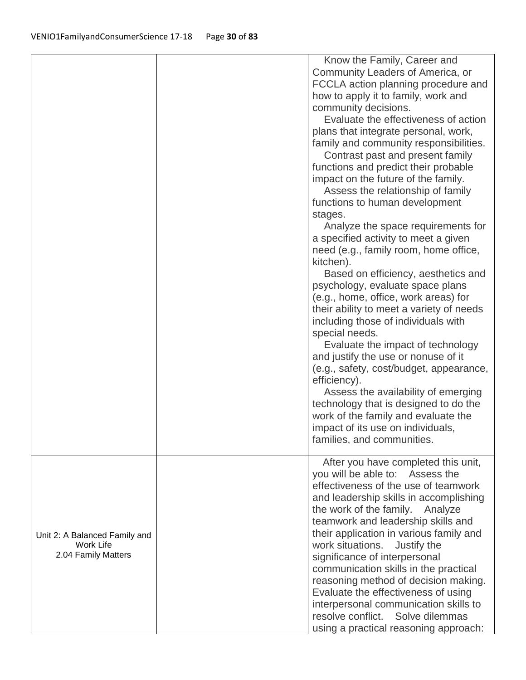|                                                                   | Know the Family, Career and<br>Community Leaders of America, or<br>FCCLA action planning procedure and<br>how to apply it to family, work and<br>community decisions.<br>Evaluate the effectiveness of action<br>plans that integrate personal, work,<br>family and community responsibilities.<br>Contrast past and present family<br>functions and predict their probable<br>impact on the future of the family.<br>Assess the relationship of family<br>functions to human development<br>stages.<br>Analyze the space requirements for<br>a specified activity to meet a given<br>need (e.g., family room, home office,<br>kitchen).<br>Based on efficiency, aesthetics and<br>psychology, evaluate space plans<br>(e.g., home, office, work areas) for<br>their ability to meet a variety of needs<br>including those of individuals with<br>special needs.<br>Evaluate the impact of technology<br>and justify the use or nonuse of it<br>(e.g., safety, cost/budget, appearance,<br>efficiency).<br>Assess the availability of emerging<br>technology that is designed to do the<br>work of the family and evaluate the<br>impact of its use on individuals,<br>families, and communities. |
|-------------------------------------------------------------------|---------------------------------------------------------------------------------------------------------------------------------------------------------------------------------------------------------------------------------------------------------------------------------------------------------------------------------------------------------------------------------------------------------------------------------------------------------------------------------------------------------------------------------------------------------------------------------------------------------------------------------------------------------------------------------------------------------------------------------------------------------------------------------------------------------------------------------------------------------------------------------------------------------------------------------------------------------------------------------------------------------------------------------------------------------------------------------------------------------------------------------------------------------------------------------------------------|
| Unit 2: A Balanced Family and<br>Work Life<br>2.04 Family Matters | After you have completed this unit,<br>you will be able to: Assess the<br>effectiveness of the use of teamwork<br>and leadership skills in accomplishing<br>the work of the family. Analyze<br>teamwork and leadership skills and<br>their application in various family and<br>work situations. Justify the<br>significance of interpersonal<br>communication skills in the practical<br>reasoning method of decision making.<br>Evaluate the effectiveness of using<br>interpersonal communication skills to<br>resolve conflict. Solve dilemmas<br>using a practical reasoning approach:                                                                                                                                                                                                                                                                                                                                                                                                                                                                                                                                                                                                       |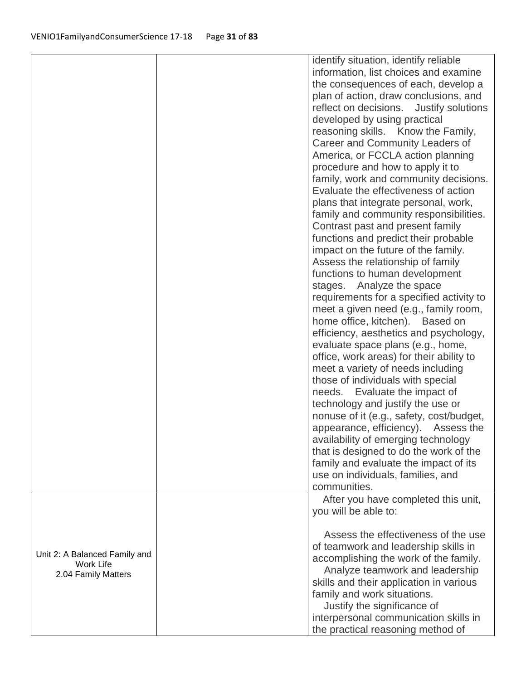|                               | identify situation, identify reliable    |
|-------------------------------|------------------------------------------|
|                               | information, list choices and examine    |
|                               | the consequences of each, develop a      |
|                               | plan of action, draw conclusions, and    |
|                               |                                          |
|                               | reflect on decisions. Justify solutions  |
|                               | developed by using practical             |
|                               | reasoning skills. Know the Family,       |
|                               | Career and Community Leaders of          |
|                               | America, or FCCLA action planning        |
|                               | procedure and how to apply it to         |
|                               | family, work and community decisions.    |
|                               | Evaluate the effectiveness of action     |
|                               | plans that integrate personal, work,     |
|                               | family and community responsibilities.   |
|                               | Contrast past and present family         |
|                               | functions and predict their probable     |
|                               | impact on the future of the family.      |
|                               | Assess the relationship of family        |
|                               | functions to human development           |
|                               | stages. Analyze the space                |
|                               | requirements for a specified activity to |
|                               | meet a given need (e.g., family room,    |
|                               | home office, kitchen). Based on          |
|                               | efficiency, aesthetics and psychology,   |
|                               | evaluate space plans (e.g., home,        |
|                               | office, work areas) for their ability to |
|                               | meet a variety of needs including        |
|                               | those of individuals with special        |
|                               | needs. Evaluate the impact of            |
|                               | technology and justify the use or        |
|                               | nonuse of it (e.g., safety, cost/budget, |
|                               | appearance, efficiency). Assess the      |
|                               |                                          |
|                               | availability of emerging technology      |
|                               | that is designed to do the work of the   |
|                               | family and evaluate the impact of its    |
|                               | use on individuals, families, and        |
|                               | communities.                             |
|                               | After you have completed this unit,      |
|                               | you will be able to:                     |
|                               | Assess the effectiveness of the use      |
|                               | of teamwork and leadership skills in     |
| Unit 2: A Balanced Family and | accomplishing the work of the family.    |
| Work Life                     | Analyze teamwork and leadership          |
| 2.04 Family Matters           | skills and their application in various  |
|                               | family and work situations.              |
|                               | Justify the significance of              |
|                               | interpersonal communication skills in    |
|                               |                                          |
|                               | the practical reasoning method of        |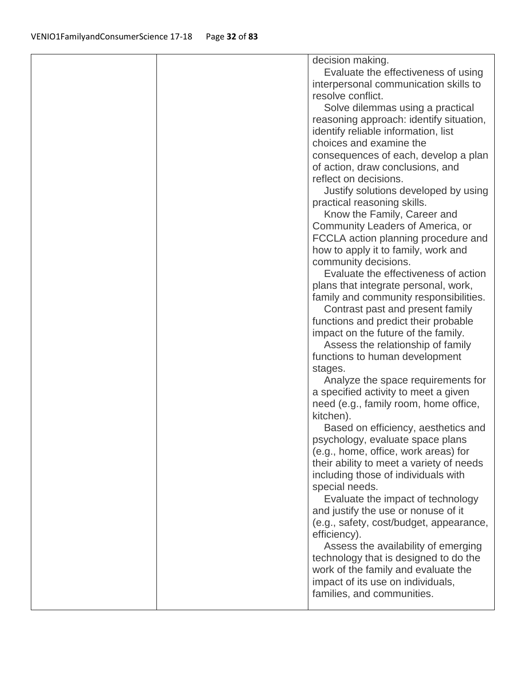|  | decision making.                                                        |
|--|-------------------------------------------------------------------------|
|  | Evaluate the effectiveness of using                                     |
|  | interpersonal communication skills to                                   |
|  | resolve conflict.                                                       |
|  | Solve dilemmas using a practical                                        |
|  | reasoning approach: identify situation,                                 |
|  | identify reliable information, list                                     |
|  | choices and examine the                                                 |
|  | consequences of each, develop a plan                                    |
|  | of action, draw conclusions, and                                        |
|  | reflect on decisions.                                                   |
|  | Justify solutions developed by using                                    |
|  | practical reasoning skills.                                             |
|  | Know the Family, Career and                                             |
|  | Community Leaders of America, or                                        |
|  | FCCLA action planning procedure and                                     |
|  | how to apply it to family, work and                                     |
|  | community decisions.                                                    |
|  | Evaluate the effectiveness of action                                    |
|  | plans that integrate personal, work,                                    |
|  | family and community responsibilities.                                  |
|  | Contrast past and present family                                        |
|  | functions and predict their probable                                    |
|  | impact on the future of the family.                                     |
|  | Assess the relationship of family                                       |
|  | functions to human development                                          |
|  | stages.                                                                 |
|  | Analyze the space requirements for                                      |
|  | a specified activity to meet a given                                    |
|  | need (e.g., family room, home office,                                   |
|  | kitchen).                                                               |
|  | Based on efficiency, aesthetics and<br>psychology, evaluate space plans |
|  | (e.g., home, office, work areas) for                                    |
|  | their ability to meet a variety of needs                                |
|  | including those of individuals with                                     |
|  | special needs.                                                          |
|  | Evaluate the impact of technology                                       |
|  | and justify the use or nonuse of it                                     |
|  | (e.g., safety, cost/budget, appearance,                                 |
|  | efficiency).                                                            |
|  | Assess the availability of emerging                                     |
|  | technology that is designed to do the                                   |
|  | work of the family and evaluate the                                     |
|  | impact of its use on individuals,                                       |
|  | families, and communities.                                              |
|  |                                                                         |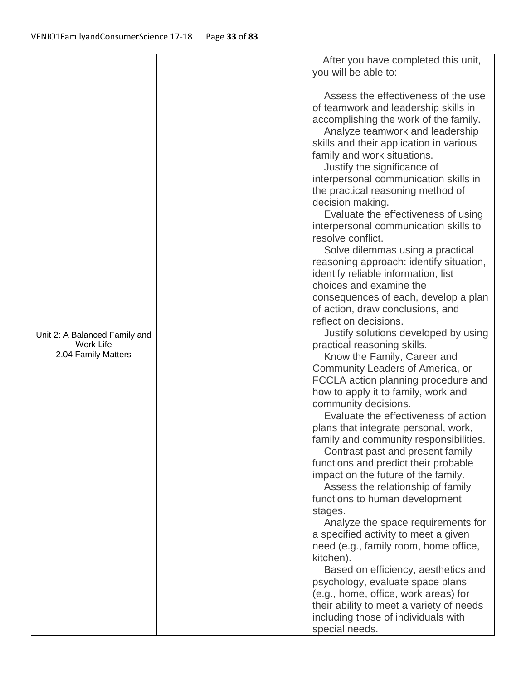|                               | After you have completed this unit,      |
|-------------------------------|------------------------------------------|
|                               | you will be able to:                     |
|                               |                                          |
|                               | Assess the effectiveness of the use      |
|                               | of teamwork and leadership skills in     |
|                               | accomplishing the work of the family.    |
|                               | Analyze teamwork and leadership          |
|                               | skills and their application in various  |
|                               | family and work situations.              |
|                               | Justify the significance of              |
|                               | interpersonal communication skills in    |
|                               | the practical reasoning method of        |
|                               | decision making.                         |
|                               | Evaluate the effectiveness of using      |
|                               | interpersonal communication skills to    |
|                               | resolve conflict.                        |
|                               | Solve dilemmas using a practical         |
|                               | reasoning approach: identify situation,  |
|                               | identify reliable information, list      |
|                               | choices and examine the                  |
|                               | consequences of each, develop a plan     |
|                               | of action, draw conclusions, and         |
|                               | reflect on decisions.                    |
| Unit 2: A Balanced Family and | Justify solutions developed by using     |
| Work Life                     | practical reasoning skills.              |
| 2.04 Family Matters           | Know the Family, Career and              |
|                               | Community Leaders of America, or         |
|                               | FCCLA action planning procedure and      |
|                               | how to apply it to family, work and      |
|                               | community decisions.                     |
|                               | Evaluate the effectiveness of action     |
|                               | plans that integrate personal, work,     |
|                               | family and community responsibilities.   |
|                               | Contrast past and present family         |
|                               | functions and predict their probable     |
|                               | impact on the future of the family.      |
|                               | Assess the relationship of family        |
|                               | functions to human development           |
|                               | stages.                                  |
|                               | Analyze the space requirements for       |
|                               | a specified activity to meet a given     |
|                               | need (e.g., family room, home office,    |
|                               | kitchen).                                |
|                               | Based on efficiency, aesthetics and      |
|                               | psychology, evaluate space plans         |
|                               | (e.g., home, office, work areas) for     |
|                               | their ability to meet a variety of needs |
|                               | including those of individuals with      |
|                               | special needs.                           |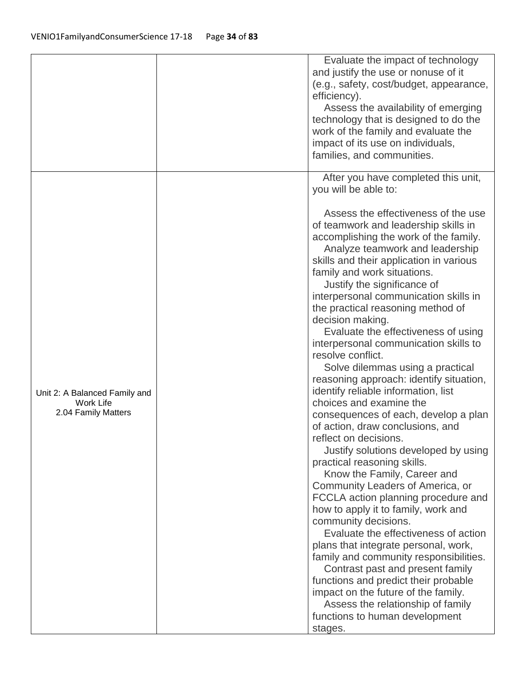|                                                                   | Evaluate the impact of technology<br>and justify the use or nonuse of it<br>(e.g., safety, cost/budget, appearance,<br>efficiency).<br>Assess the availability of emerging<br>technology that is designed to do the<br>work of the family and evaluate the<br>impact of its use on individuals,<br>families, and communities.                                                                                                                                                                                                                                                                                                                                                                                                                                                                                                                                                                                                                                                                                                                                                                                                                                                                                                                                                                                                                                               |
|-------------------------------------------------------------------|-----------------------------------------------------------------------------------------------------------------------------------------------------------------------------------------------------------------------------------------------------------------------------------------------------------------------------------------------------------------------------------------------------------------------------------------------------------------------------------------------------------------------------------------------------------------------------------------------------------------------------------------------------------------------------------------------------------------------------------------------------------------------------------------------------------------------------------------------------------------------------------------------------------------------------------------------------------------------------------------------------------------------------------------------------------------------------------------------------------------------------------------------------------------------------------------------------------------------------------------------------------------------------------------------------------------------------------------------------------------------------|
| Unit 2: A Balanced Family and<br>Work Life<br>2.04 Family Matters | After you have completed this unit,<br>you will be able to:<br>Assess the effectiveness of the use<br>of teamwork and leadership skills in<br>accomplishing the work of the family.<br>Analyze teamwork and leadership<br>skills and their application in various<br>family and work situations.<br>Justify the significance of<br>interpersonal communication skills in<br>the practical reasoning method of<br>decision making.<br>Evaluate the effectiveness of using<br>interpersonal communication skills to<br>resolve conflict.<br>Solve dilemmas using a practical<br>reasoning approach: identify situation,<br>identify reliable information, list<br>choices and examine the<br>consequences of each, develop a plan<br>of action, draw conclusions, and<br>reflect on decisions.<br>Justify solutions developed by using<br>practical reasoning skills.<br>Know the Family, Career and<br>Community Leaders of America, or<br>FCCLA action planning procedure and<br>how to apply it to family, work and<br>community decisions.<br>Evaluate the effectiveness of action<br>plans that integrate personal, work,<br>family and community responsibilities.<br>Contrast past and present family<br>functions and predict their probable<br>impact on the future of the family.<br>Assess the relationship of family<br>functions to human development<br>stages. |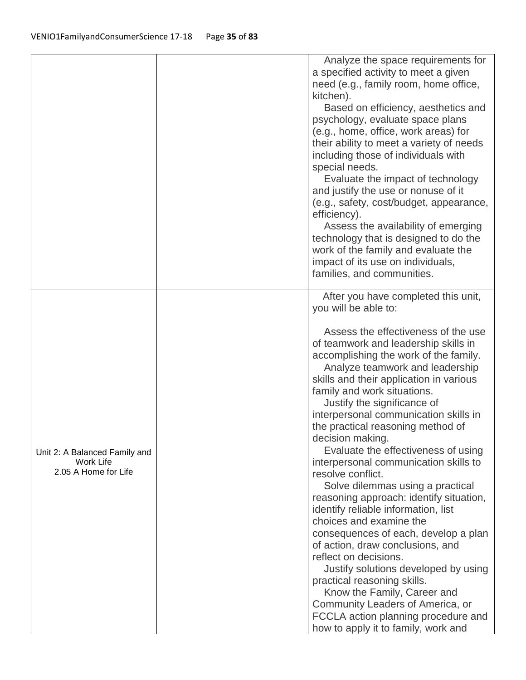|                                                                           | Analyze the space requirements for<br>a specified activity to meet a given<br>need (e.g., family room, home office,<br>kitchen).<br>Based on efficiency, aesthetics and<br>psychology, evaluate space plans<br>(e.g., home, office, work areas) for<br>their ability to meet a variety of needs<br>including those of individuals with<br>special needs.<br>Evaluate the impact of technology<br>and justify the use or nonuse of it<br>(e.g., safety, cost/budget, appearance,<br>efficiency).<br>Assess the availability of emerging<br>technology that is designed to do the<br>work of the family and evaluate the<br>impact of its use on individuals,<br>families, and communities.                                                                                                                                                                                                                                                                                                                            |
|---------------------------------------------------------------------------|----------------------------------------------------------------------------------------------------------------------------------------------------------------------------------------------------------------------------------------------------------------------------------------------------------------------------------------------------------------------------------------------------------------------------------------------------------------------------------------------------------------------------------------------------------------------------------------------------------------------------------------------------------------------------------------------------------------------------------------------------------------------------------------------------------------------------------------------------------------------------------------------------------------------------------------------------------------------------------------------------------------------|
| Unit 2: A Balanced Family and<br><b>Work Life</b><br>2.05 A Home for Life | After you have completed this unit,<br>you will be able to:<br>Assess the effectiveness of the use<br>of teamwork and leadership skills in<br>accomplishing the work of the family.<br>Analyze teamwork and leadership<br>skills and their application in various<br>family and work situations.<br>Justify the significance of<br>interpersonal communication skills in<br>the practical reasoning method of<br>decision making.<br>Evaluate the effectiveness of using<br>interpersonal communication skills to<br>resolve conflict.<br>Solve dilemmas using a practical<br>reasoning approach: identify situation,<br>identify reliable information, list<br>choices and examine the<br>consequences of each, develop a plan<br>of action, draw conclusions, and<br>reflect on decisions.<br>Justify solutions developed by using<br>practical reasoning skills.<br>Know the Family, Career and<br>Community Leaders of America, or<br>FCCLA action planning procedure and<br>how to apply it to family, work and |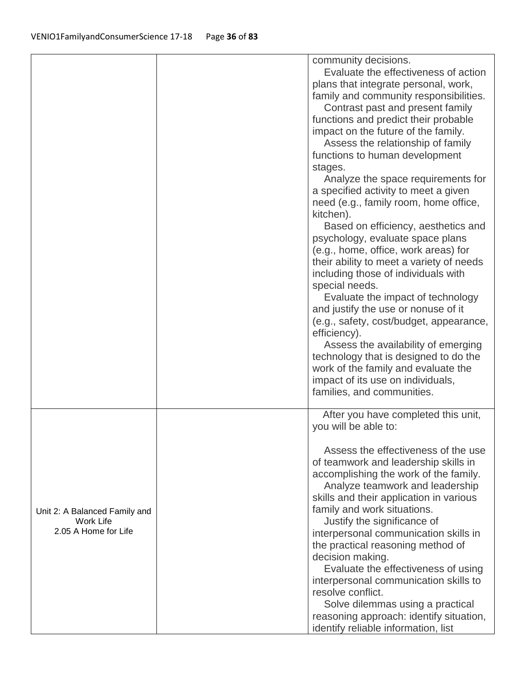|                                                                    | community decisions.<br>Evaluate the effectiveness of action<br>plans that integrate personal, work,<br>family and community responsibilities.<br>Contrast past and present family<br>functions and predict their probable<br>impact on the future of the family.<br>Assess the relationship of family<br>functions to human development<br>stages.<br>Analyze the space requirements for<br>a specified activity to meet a given<br>need (e.g., family room, home office,<br>kitchen).<br>Based on efficiency, aesthetics and<br>psychology, evaluate space plans<br>(e.g., home, office, work areas) for<br>their ability to meet a variety of needs       |
|--------------------------------------------------------------------|--------------------------------------------------------------------------------------------------------------------------------------------------------------------------------------------------------------------------------------------------------------------------------------------------------------------------------------------------------------------------------------------------------------------------------------------------------------------------------------------------------------------------------------------------------------------------------------------------------------------------------------------------------------|
|                                                                    | including those of individuals with<br>special needs.<br>Evaluate the impact of technology<br>and justify the use or nonuse of it<br>(e.g., safety, cost/budget, appearance,<br>efficiency).<br>Assess the availability of emerging<br>technology that is designed to do the<br>work of the family and evaluate the<br>impact of its use on individuals,<br>families, and communities.                                                                                                                                                                                                                                                                       |
| Unit 2: A Balanced Family and<br>Work Life<br>2.05 A Home for Life | After you have completed this unit,<br>you will be able to:<br>Assess the effectiveness of the use<br>of teamwork and leadership skills in<br>accomplishing the work of the family.<br>Analyze teamwork and leadership<br>skills and their application in various<br>family and work situations.<br>Justify the significance of<br>interpersonal communication skills in<br>the practical reasoning method of<br>decision making.<br>Evaluate the effectiveness of using<br>interpersonal communication skills to<br>resolve conflict.<br>Solve dilemmas using a practical<br>reasoning approach: identify situation,<br>identify reliable information, list |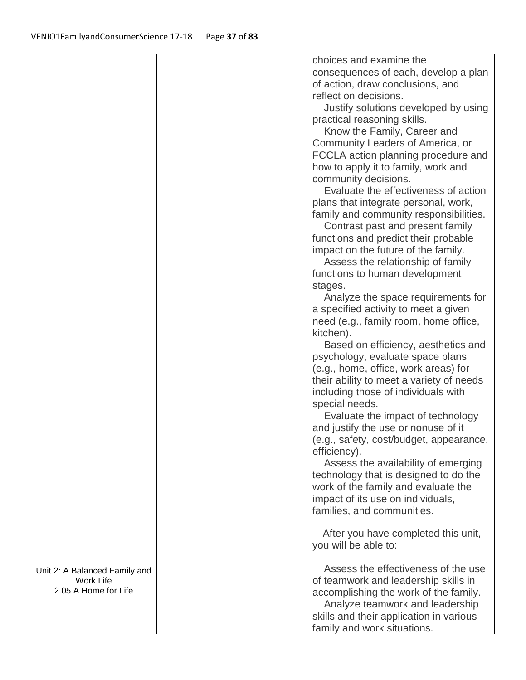|                                                                           | choices and examine the<br>consequences of each, develop a plan<br>of action, draw conclusions, and<br>reflect on decisions.<br>Justify solutions developed by using<br>practical reasoning skills.<br>Know the Family, Career and<br>Community Leaders of America, or<br>FCCLA action planning procedure and<br>how to apply it to family, work and<br>community decisions.<br>Evaluate the effectiveness of action<br>plans that integrate personal, work,<br>family and community responsibilities.<br>Contrast past and present family<br>functions and predict their probable<br>impact on the future of the family.<br>Assess the relationship of family<br>functions to human development<br>stages.<br>Analyze the space requirements for<br>a specified activity to meet a given<br>need (e.g., family room, home office,<br>kitchen).<br>Based on efficiency, aesthetics and<br>psychology, evaluate space plans<br>(e.g., home, office, work areas) for<br>their ability to meet a variety of needs<br>including those of individuals with<br>special needs.<br>Evaluate the impact of technology<br>and justify the use or nonuse of it<br>(e.g., safety, cost/budget, appearance,<br>efficiency).<br>Assess the availability of emerging<br>technology that is designed to do the<br>work of the family and evaluate the<br>impact of its use on individuals,<br>families, and communities. |
|---------------------------------------------------------------------------|----------------------------------------------------------------------------------------------------------------------------------------------------------------------------------------------------------------------------------------------------------------------------------------------------------------------------------------------------------------------------------------------------------------------------------------------------------------------------------------------------------------------------------------------------------------------------------------------------------------------------------------------------------------------------------------------------------------------------------------------------------------------------------------------------------------------------------------------------------------------------------------------------------------------------------------------------------------------------------------------------------------------------------------------------------------------------------------------------------------------------------------------------------------------------------------------------------------------------------------------------------------------------------------------------------------------------------------------------------------------------------------------------------|
|                                                                           | After you have completed this unit,<br>you will be able to:                                                                                                                                                                                                                                                                                                                                                                                                                                                                                                                                                                                                                                                                                                                                                                                                                                                                                                                                                                                                                                                                                                                                                                                                                                                                                                                                              |
| Unit 2: A Balanced Family and<br><b>Work Life</b><br>2.05 A Home for Life | Assess the effectiveness of the use<br>of teamwork and leadership skills in<br>accomplishing the work of the family.<br>Analyze teamwork and leadership<br>skills and their application in various<br>family and work situations.                                                                                                                                                                                                                                                                                                                                                                                                                                                                                                                                                                                                                                                                                                                                                                                                                                                                                                                                                                                                                                                                                                                                                                        |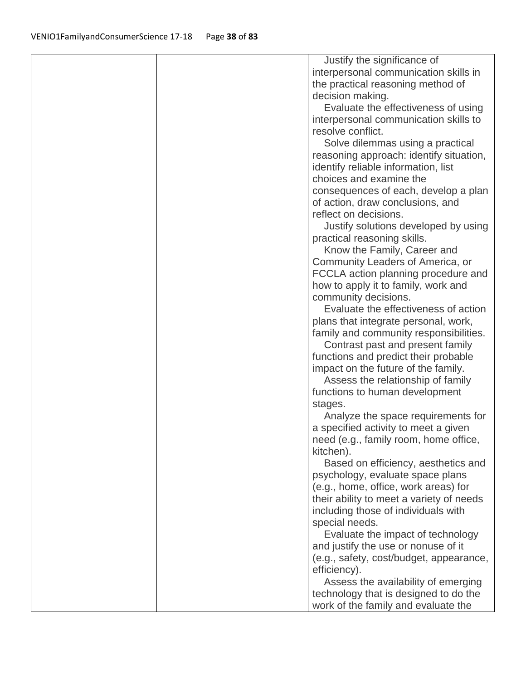| Justify the significance of                                              |  |
|--------------------------------------------------------------------------|--|
| interpersonal communication skills in                                    |  |
| the practical reasoning method of                                        |  |
| decision making.                                                         |  |
| Evaluate the effectiveness of using                                      |  |
| interpersonal communication skills to                                    |  |
| resolve conflict.                                                        |  |
| Solve dilemmas using a practical                                         |  |
| reasoning approach: identify situation,                                  |  |
| identify reliable information, list                                      |  |
| choices and examine the                                                  |  |
| consequences of each, develop a plan                                     |  |
| of action, draw conclusions, and                                         |  |
| reflect on decisions.                                                    |  |
| Justify solutions developed by using                                     |  |
| practical reasoning skills.                                              |  |
| Know the Family, Career and                                              |  |
| Community Leaders of America, or                                         |  |
| FCCLA action planning procedure and                                      |  |
| how to apply it to family, work and                                      |  |
| community decisions.<br>Evaluate the effectiveness of action             |  |
| plans that integrate personal, work,                                     |  |
| family and community responsibilities.                                   |  |
| Contrast past and present family                                         |  |
| functions and predict their probable                                     |  |
| impact on the future of the family.                                      |  |
| Assess the relationship of family                                        |  |
| functions to human development                                           |  |
| stages.                                                                  |  |
| Analyze the space requirements for                                       |  |
| a specified activity to meet a given                                     |  |
| need (e.g., family room, home office,                                    |  |
| kitchen).                                                                |  |
| Based on efficiency, aesthetics and                                      |  |
| psychology, evaluate space plans                                         |  |
| (e.g., home, office, work areas) for                                     |  |
| their ability to meet a variety of needs                                 |  |
| including those of individuals with                                      |  |
| special needs.                                                           |  |
| Evaluate the impact of technology<br>and justify the use or nonuse of it |  |
| (e.g., safety, cost/budget, appearance,                                  |  |
| efficiency).                                                             |  |
| Assess the availability of emerging                                      |  |
|                                                                          |  |
| technology that is designed to do the                                    |  |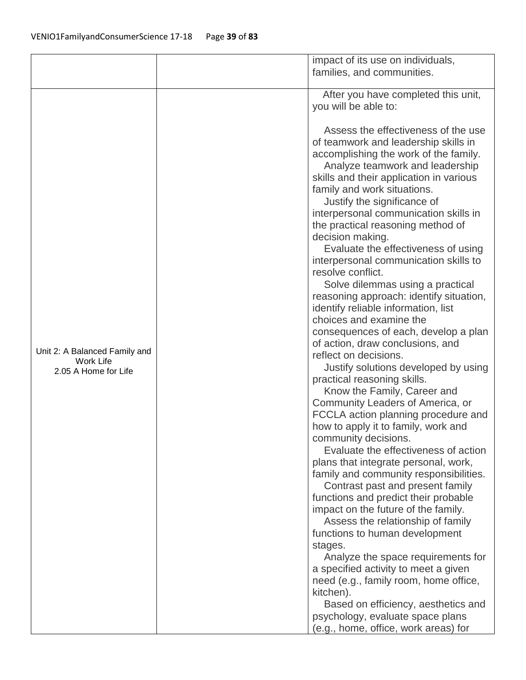|                               | impact of its use on individuals,                         |
|-------------------------------|-----------------------------------------------------------|
|                               | families, and communities.                                |
|                               |                                                           |
|                               | After you have completed this unit,                       |
|                               | you will be able to:                                      |
|                               |                                                           |
|                               | Assess the effectiveness of the use                       |
|                               | of teamwork and leadership skills in                      |
|                               | accomplishing the work of the family.                     |
|                               | Analyze teamwork and leadership                           |
|                               | skills and their application in various                   |
|                               | family and work situations.                               |
|                               | Justify the significance of                               |
|                               | interpersonal communication skills in                     |
|                               | the practical reasoning method of                         |
|                               | decision making.                                          |
|                               | Evaluate the effectiveness of using                       |
|                               | interpersonal communication skills to                     |
|                               | resolve conflict.                                         |
|                               | Solve dilemmas using a practical                          |
|                               | reasoning approach: identify situation,                   |
|                               | identify reliable information, list                       |
|                               | choices and examine the                                   |
|                               | consequences of each, develop a plan                      |
| Unit 2: A Balanced Family and | of action, draw conclusions, and<br>reflect on decisions. |
| Work Life                     | Justify solutions developed by using                      |
| 2.05 A Home for Life          | practical reasoning skills.                               |
|                               | Know the Family, Career and                               |
|                               | Community Leaders of America, or                          |
|                               | FCCLA action planning procedure and                       |
|                               | how to apply it to family, work and                       |
|                               | community decisions.                                      |
|                               | Evaluate the effectiveness of action                      |
|                               | plans that integrate personal, work,                      |
|                               | family and community responsibilities.                    |
|                               | Contrast past and present family                          |
|                               | functions and predict their probable                      |
|                               | impact on the future of the family.                       |
|                               | Assess the relationship of family                         |
|                               | functions to human development                            |
|                               | stages.                                                   |
|                               | Analyze the space requirements for                        |
|                               | a specified activity to meet a given                      |
|                               | need (e.g., family room, home office,                     |
|                               | kitchen).                                                 |
|                               | Based on efficiency, aesthetics and                       |
|                               | psychology, evaluate space plans                          |
|                               | (e.g., home, office, work areas) for                      |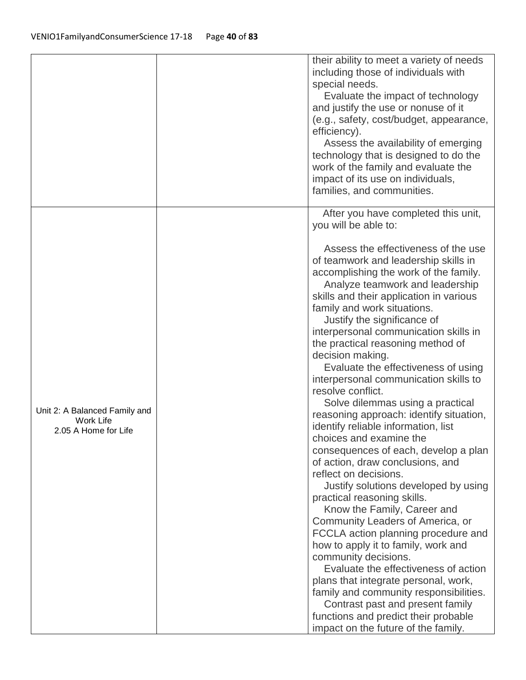|                                                                    | their ability to meet a variety of needs<br>including those of individuals with<br>special needs.<br>Evaluate the impact of technology<br>and justify the use or nonuse of it<br>(e.g., safety, cost/budget, appearance,<br>efficiency).<br>Assess the availability of emerging<br>technology that is designed to do the<br>work of the family and evaluate the<br>impact of its use on individuals,<br>families, and communities.                                                                                                                                                                                                                                                                                                                                                                                                                                                                                                                                                                                                                                                                                                                                                                                                                                                        |
|--------------------------------------------------------------------|-------------------------------------------------------------------------------------------------------------------------------------------------------------------------------------------------------------------------------------------------------------------------------------------------------------------------------------------------------------------------------------------------------------------------------------------------------------------------------------------------------------------------------------------------------------------------------------------------------------------------------------------------------------------------------------------------------------------------------------------------------------------------------------------------------------------------------------------------------------------------------------------------------------------------------------------------------------------------------------------------------------------------------------------------------------------------------------------------------------------------------------------------------------------------------------------------------------------------------------------------------------------------------------------|
| Unit 2: A Balanced Family and<br>Work Life<br>2.05 A Home for Life | After you have completed this unit,<br>you will be able to:<br>Assess the effectiveness of the use<br>of teamwork and leadership skills in<br>accomplishing the work of the family.<br>Analyze teamwork and leadership<br>skills and their application in various<br>family and work situations.<br>Justify the significance of<br>interpersonal communication skills in<br>the practical reasoning method of<br>decision making.<br>Evaluate the effectiveness of using<br>interpersonal communication skills to<br>resolve conflict.<br>Solve dilemmas using a practical<br>reasoning approach: identify situation,<br>identify reliable information, list<br>choices and examine the<br>consequences of each, develop a plan<br>of action, draw conclusions, and<br>reflect on decisions.<br>Justify solutions developed by using<br>practical reasoning skills.<br>Know the Family, Career and<br>Community Leaders of America, or<br>FCCLA action planning procedure and<br>how to apply it to family, work and<br>community decisions.<br>Evaluate the effectiveness of action<br>plans that integrate personal, work,<br>family and community responsibilities.<br>Contrast past and present family<br>functions and predict their probable<br>impact on the future of the family. |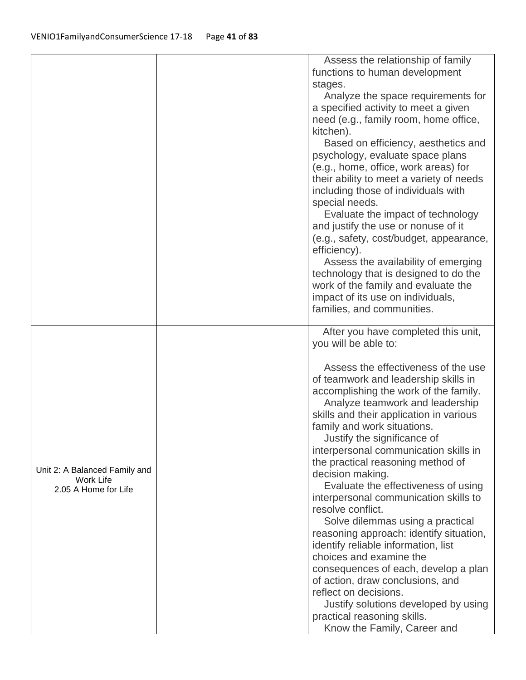|                                                                           | Assess the relationship of family        |
|---------------------------------------------------------------------------|------------------------------------------|
|                                                                           | functions to human development           |
|                                                                           | stages.                                  |
|                                                                           | Analyze the space requirements for       |
|                                                                           | a specified activity to meet a given     |
|                                                                           | need (e.g., family room, home office,    |
|                                                                           | kitchen).                                |
|                                                                           | Based on efficiency, aesthetics and      |
|                                                                           | psychology, evaluate space plans         |
|                                                                           | (e.g., home, office, work areas) for     |
|                                                                           | their ability to meet a variety of needs |
|                                                                           | including those of individuals with      |
|                                                                           | special needs.                           |
|                                                                           | Evaluate the impact of technology        |
|                                                                           | and justify the use or nonuse of it      |
|                                                                           | (e.g., safety, cost/budget, appearance,  |
|                                                                           | efficiency).                             |
|                                                                           | Assess the availability of emerging      |
|                                                                           | technology that is designed to do the    |
|                                                                           | work of the family and evaluate the      |
|                                                                           | impact of its use on individuals,        |
|                                                                           | families, and communities.               |
|                                                                           |                                          |
|                                                                           | After you have completed this unit,      |
|                                                                           | you will be able to:                     |
|                                                                           | Assess the effectiveness of the use      |
| Unit 2: A Balanced Family and<br><b>Work Life</b><br>2.05 A Home for Life | of teamwork and leadership skills in     |
|                                                                           | accomplishing the work of the family.    |
|                                                                           | Analyze teamwork and leadership          |
|                                                                           | skills and their application in various  |
|                                                                           | family and work situations.              |
|                                                                           | Justify the significance of              |
|                                                                           | interpersonal communication skills in    |
|                                                                           | the practical reasoning method of        |
|                                                                           | decision making.                         |
|                                                                           | Evaluate the effectiveness of using      |
|                                                                           | interpersonal communication skills to    |
|                                                                           | resolve conflict.                        |
|                                                                           | Solve dilemmas using a practical         |
|                                                                           | reasoning approach: identify situation,  |
|                                                                           | identify reliable information, list      |
|                                                                           | choices and examine the                  |
|                                                                           | consequences of each, develop a plan     |
|                                                                           | of action, draw conclusions, and         |
|                                                                           | reflect on decisions.                    |
|                                                                           | Justify solutions developed by using     |
|                                                                           | practical reasoning skills.              |
|                                                                           | Know the Family, Career and              |
|                                                                           |                                          |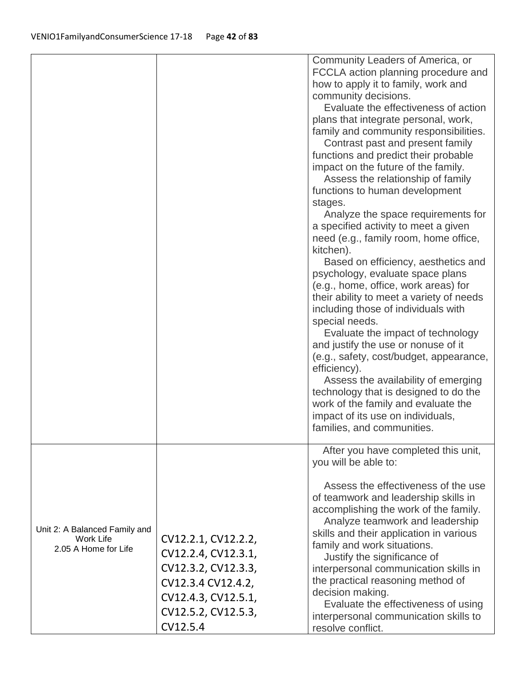| Community Leaders of America, or<br>FCCLA action planning procedure and<br>how to apply it to family, work and<br>community decisions.<br>Evaluate the effectiveness of action<br>plans that integrate personal, work,<br>family and community responsibilities.<br>Contrast past and present family<br>functions and predict their probable<br>impact on the future of the family.<br>Assess the relationship of family<br>functions to human development<br>stages.<br>Analyze the space requirements for                                                                                                                                         |
|-----------------------------------------------------------------------------------------------------------------------------------------------------------------------------------------------------------------------------------------------------------------------------------------------------------------------------------------------------------------------------------------------------------------------------------------------------------------------------------------------------------------------------------------------------------------------------------------------------------------------------------------------------|
| a specified activity to meet a given<br>need (e.g., family room, home office,<br>kitchen).<br>Based on efficiency, aesthetics and<br>psychology, evaluate space plans<br>(e.g., home, office, work areas) for<br>their ability to meet a variety of needs<br>including those of individuals with<br>special needs.<br>Evaluate the impact of technology<br>and justify the use or nonuse of it<br>(e.g., safety, cost/budget, appearance,<br>efficiency).<br>Assess the availability of emerging<br>technology that is designed to do the<br>work of the family and evaluate the<br>impact of its use on individuals,<br>families, and communities. |
| After you have completed this unit,<br>you will be able to:                                                                                                                                                                                                                                                                                                                                                                                                                                                                                                                                                                                         |
| Assess the effectiveness of the use<br>of teamwork and leadership skills in<br>accomplishing the work of the family.<br>Analyze teamwork and leadership<br>Unit 2: A Balanced Family and<br>skills and their application in various                                                                                                                                                                                                                                                                                                                                                                                                                 |
| CV12.2.1, CV12.2.2,<br>Work Life<br>family and work situations.                                                                                                                                                                                                                                                                                                                                                                                                                                                                                                                                                                                     |
| 2.05 A Home for Life<br>CV12.2.4, CV12.3.1,<br>Justify the significance of                                                                                                                                                                                                                                                                                                                                                                                                                                                                                                                                                                          |
| CV12.3.2, CV12.3.3,<br>interpersonal communication skills in                                                                                                                                                                                                                                                                                                                                                                                                                                                                                                                                                                                        |
| the practical reasoning method of<br>CV12.3.4 CV12.4.2,                                                                                                                                                                                                                                                                                                                                                                                                                                                                                                                                                                                             |
|                                                                                                                                                                                                                                                                                                                                                                                                                                                                                                                                                                                                                                                     |
| decision making.<br>CV12.4.3, CV12.5.1,                                                                                                                                                                                                                                                                                                                                                                                                                                                                                                                                                                                                             |
| Evaluate the effectiveness of using<br>CV12.5.2, CV12.5.3,<br>interpersonal communication skills to                                                                                                                                                                                                                                                                                                                                                                                                                                                                                                                                                 |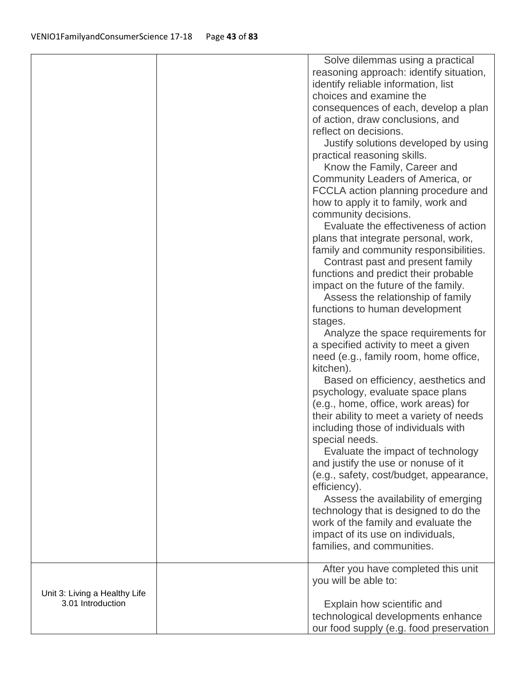|                                                    | Solve dilemmas using a practical                           |
|----------------------------------------------------|------------------------------------------------------------|
|                                                    | reasoning approach: identify situation,                    |
|                                                    | identify reliable information, list                        |
|                                                    | choices and examine the                                    |
|                                                    | consequences of each, develop a plan                       |
|                                                    | of action, draw conclusions, and                           |
|                                                    | reflect on decisions.                                      |
|                                                    | Justify solutions developed by using                       |
|                                                    | practical reasoning skills.                                |
|                                                    | Know the Family, Career and                                |
|                                                    | Community Leaders of America, or                           |
|                                                    | FCCLA action planning procedure and                        |
|                                                    | how to apply it to family, work and                        |
|                                                    | community decisions.                                       |
|                                                    | Evaluate the effectiveness of action                       |
|                                                    | plans that integrate personal, work,                       |
|                                                    | family and community responsibilities.                     |
|                                                    | Contrast past and present family                           |
|                                                    | functions and predict their probable                       |
|                                                    | impact on the future of the family.                        |
|                                                    | Assess the relationship of family                          |
|                                                    | functions to human development                             |
|                                                    | stages.                                                    |
|                                                    | Analyze the space requirements for                         |
|                                                    | a specified activity to meet a given                       |
|                                                    | need (e.g., family room, home office,                      |
|                                                    | kitchen).                                                  |
|                                                    | Based on efficiency, aesthetics and                        |
|                                                    | psychology, evaluate space plans                           |
|                                                    | (e.g., home, office, work areas) for                       |
|                                                    | their ability to meet a variety of needs                   |
|                                                    | including those of individuals with                        |
|                                                    | special needs.                                             |
|                                                    | Evaluate the impact of technology                          |
|                                                    | and justify the use or nonuse of it                        |
|                                                    | (e.g., safety, cost/budget, appearance,                    |
|                                                    | efficiency).                                               |
|                                                    | Assess the availability of emerging                        |
|                                                    | technology that is designed to do the                      |
|                                                    | work of the family and evaluate the                        |
|                                                    | impact of its use on individuals,                          |
|                                                    | families, and communities.                                 |
|                                                    |                                                            |
|                                                    | After you have completed this unit<br>you will be able to: |
|                                                    |                                                            |
| Unit 3: Living a Healthy Life<br>3.01 Introduction | Explain how scientific and                                 |
|                                                    | technological developments enhance                         |
|                                                    | our food supply (e.g. food preservation                    |
|                                                    |                                                            |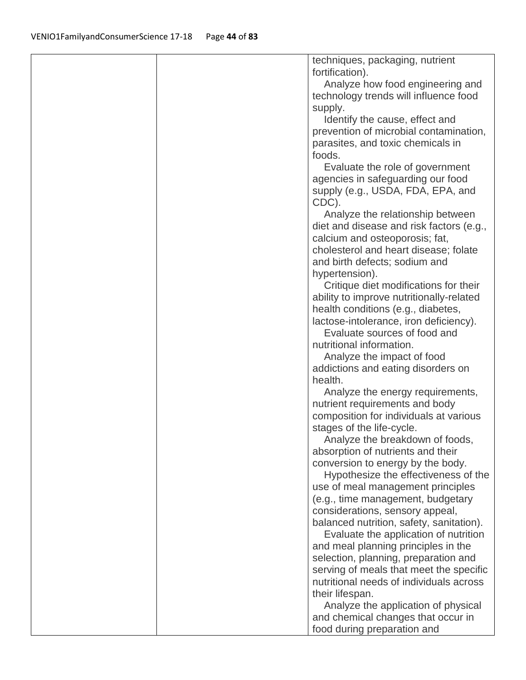| techniques, packaging, nutrient<br>fortification).<br>Analyze how food engineering and<br>technology trends will influence food<br>supply.<br>Identify the cause, effect and<br>prevention of microbial contamination,<br>parasites, and toxic chemicals in<br>foods.<br>Evaluate the role of government<br>agencies in safeguarding our food<br>supply (e.g., USDA, FDA, EPA, and<br>CDC).<br>Analyze the relationship between<br>diet and disease and risk factors (e.g.,<br>calcium and osteoporosis; fat,<br>cholesterol and heart disease; folate<br>and birth defects; sodium and<br>hypertension).<br>Critique diet modifications for their<br>ability to improve nutritionally-related<br>health conditions (e.g., diabetes,<br>lactose-intolerance, iron deficiency).<br>Evaluate sources of food and<br>nutritional information.<br>Analyze the impact of food<br>addictions and eating disorders on<br>health.<br>Analyze the energy requirements,<br>nutrient requirements and body<br>composition for individuals at various<br>stages of the life-cycle.<br>Analyze the breakdown of foods,<br>absorption of nutrients and their<br>conversion to energy by the body.<br>Hypothesize the effectiveness of the<br>use of meal management principles<br>(e.g., time management, budgetary |
|-------------------------------------------------------------------------------------------------------------------------------------------------------------------------------------------------------------------------------------------------------------------------------------------------------------------------------------------------------------------------------------------------------------------------------------------------------------------------------------------------------------------------------------------------------------------------------------------------------------------------------------------------------------------------------------------------------------------------------------------------------------------------------------------------------------------------------------------------------------------------------------------------------------------------------------------------------------------------------------------------------------------------------------------------------------------------------------------------------------------------------------------------------------------------------------------------------------------------------------------------------------------------------------------------------|
|                                                                                                                                                                                                                                                                                                                                                                                                                                                                                                                                                                                                                                                                                                                                                                                                                                                                                                                                                                                                                                                                                                                                                                                                                                                                                                       |
|                                                                                                                                                                                                                                                                                                                                                                                                                                                                                                                                                                                                                                                                                                                                                                                                                                                                                                                                                                                                                                                                                                                                                                                                                                                                                                       |
|                                                                                                                                                                                                                                                                                                                                                                                                                                                                                                                                                                                                                                                                                                                                                                                                                                                                                                                                                                                                                                                                                                                                                                                                                                                                                                       |
|                                                                                                                                                                                                                                                                                                                                                                                                                                                                                                                                                                                                                                                                                                                                                                                                                                                                                                                                                                                                                                                                                                                                                                                                                                                                                                       |
|                                                                                                                                                                                                                                                                                                                                                                                                                                                                                                                                                                                                                                                                                                                                                                                                                                                                                                                                                                                                                                                                                                                                                                                                                                                                                                       |
|                                                                                                                                                                                                                                                                                                                                                                                                                                                                                                                                                                                                                                                                                                                                                                                                                                                                                                                                                                                                                                                                                                                                                                                                                                                                                                       |
|                                                                                                                                                                                                                                                                                                                                                                                                                                                                                                                                                                                                                                                                                                                                                                                                                                                                                                                                                                                                                                                                                                                                                                                                                                                                                                       |
|                                                                                                                                                                                                                                                                                                                                                                                                                                                                                                                                                                                                                                                                                                                                                                                                                                                                                                                                                                                                                                                                                                                                                                                                                                                                                                       |
|                                                                                                                                                                                                                                                                                                                                                                                                                                                                                                                                                                                                                                                                                                                                                                                                                                                                                                                                                                                                                                                                                                                                                                                                                                                                                                       |
|                                                                                                                                                                                                                                                                                                                                                                                                                                                                                                                                                                                                                                                                                                                                                                                                                                                                                                                                                                                                                                                                                                                                                                                                                                                                                                       |
|                                                                                                                                                                                                                                                                                                                                                                                                                                                                                                                                                                                                                                                                                                                                                                                                                                                                                                                                                                                                                                                                                                                                                                                                                                                                                                       |
|                                                                                                                                                                                                                                                                                                                                                                                                                                                                                                                                                                                                                                                                                                                                                                                                                                                                                                                                                                                                                                                                                                                                                                                                                                                                                                       |
|                                                                                                                                                                                                                                                                                                                                                                                                                                                                                                                                                                                                                                                                                                                                                                                                                                                                                                                                                                                                                                                                                                                                                                                                                                                                                                       |
|                                                                                                                                                                                                                                                                                                                                                                                                                                                                                                                                                                                                                                                                                                                                                                                                                                                                                                                                                                                                                                                                                                                                                                                                                                                                                                       |
|                                                                                                                                                                                                                                                                                                                                                                                                                                                                                                                                                                                                                                                                                                                                                                                                                                                                                                                                                                                                                                                                                                                                                                                                                                                                                                       |
|                                                                                                                                                                                                                                                                                                                                                                                                                                                                                                                                                                                                                                                                                                                                                                                                                                                                                                                                                                                                                                                                                                                                                                                                                                                                                                       |
|                                                                                                                                                                                                                                                                                                                                                                                                                                                                                                                                                                                                                                                                                                                                                                                                                                                                                                                                                                                                                                                                                                                                                                                                                                                                                                       |
|                                                                                                                                                                                                                                                                                                                                                                                                                                                                                                                                                                                                                                                                                                                                                                                                                                                                                                                                                                                                                                                                                                                                                                                                                                                                                                       |
|                                                                                                                                                                                                                                                                                                                                                                                                                                                                                                                                                                                                                                                                                                                                                                                                                                                                                                                                                                                                                                                                                                                                                                                                                                                                                                       |
|                                                                                                                                                                                                                                                                                                                                                                                                                                                                                                                                                                                                                                                                                                                                                                                                                                                                                                                                                                                                                                                                                                                                                                                                                                                                                                       |
|                                                                                                                                                                                                                                                                                                                                                                                                                                                                                                                                                                                                                                                                                                                                                                                                                                                                                                                                                                                                                                                                                                                                                                                                                                                                                                       |
|                                                                                                                                                                                                                                                                                                                                                                                                                                                                                                                                                                                                                                                                                                                                                                                                                                                                                                                                                                                                                                                                                                                                                                                                                                                                                                       |
|                                                                                                                                                                                                                                                                                                                                                                                                                                                                                                                                                                                                                                                                                                                                                                                                                                                                                                                                                                                                                                                                                                                                                                                                                                                                                                       |
|                                                                                                                                                                                                                                                                                                                                                                                                                                                                                                                                                                                                                                                                                                                                                                                                                                                                                                                                                                                                                                                                                                                                                                                                                                                                                                       |
|                                                                                                                                                                                                                                                                                                                                                                                                                                                                                                                                                                                                                                                                                                                                                                                                                                                                                                                                                                                                                                                                                                                                                                                                                                                                                                       |
|                                                                                                                                                                                                                                                                                                                                                                                                                                                                                                                                                                                                                                                                                                                                                                                                                                                                                                                                                                                                                                                                                                                                                                                                                                                                                                       |
|                                                                                                                                                                                                                                                                                                                                                                                                                                                                                                                                                                                                                                                                                                                                                                                                                                                                                                                                                                                                                                                                                                                                                                                                                                                                                                       |
|                                                                                                                                                                                                                                                                                                                                                                                                                                                                                                                                                                                                                                                                                                                                                                                                                                                                                                                                                                                                                                                                                                                                                                                                                                                                                                       |
|                                                                                                                                                                                                                                                                                                                                                                                                                                                                                                                                                                                                                                                                                                                                                                                                                                                                                                                                                                                                                                                                                                                                                                                                                                                                                                       |
|                                                                                                                                                                                                                                                                                                                                                                                                                                                                                                                                                                                                                                                                                                                                                                                                                                                                                                                                                                                                                                                                                                                                                                                                                                                                                                       |
|                                                                                                                                                                                                                                                                                                                                                                                                                                                                                                                                                                                                                                                                                                                                                                                                                                                                                                                                                                                                                                                                                                                                                                                                                                                                                                       |
|                                                                                                                                                                                                                                                                                                                                                                                                                                                                                                                                                                                                                                                                                                                                                                                                                                                                                                                                                                                                                                                                                                                                                                                                                                                                                                       |
|                                                                                                                                                                                                                                                                                                                                                                                                                                                                                                                                                                                                                                                                                                                                                                                                                                                                                                                                                                                                                                                                                                                                                                                                                                                                                                       |
|                                                                                                                                                                                                                                                                                                                                                                                                                                                                                                                                                                                                                                                                                                                                                                                                                                                                                                                                                                                                                                                                                                                                                                                                                                                                                                       |
|                                                                                                                                                                                                                                                                                                                                                                                                                                                                                                                                                                                                                                                                                                                                                                                                                                                                                                                                                                                                                                                                                                                                                                                                                                                                                                       |
|                                                                                                                                                                                                                                                                                                                                                                                                                                                                                                                                                                                                                                                                                                                                                                                                                                                                                                                                                                                                                                                                                                                                                                                                                                                                                                       |
|                                                                                                                                                                                                                                                                                                                                                                                                                                                                                                                                                                                                                                                                                                                                                                                                                                                                                                                                                                                                                                                                                                                                                                                                                                                                                                       |
| considerations, sensory appeal,                                                                                                                                                                                                                                                                                                                                                                                                                                                                                                                                                                                                                                                                                                                                                                                                                                                                                                                                                                                                                                                                                                                                                                                                                                                                       |
| balanced nutrition, safety, sanitation).                                                                                                                                                                                                                                                                                                                                                                                                                                                                                                                                                                                                                                                                                                                                                                                                                                                                                                                                                                                                                                                                                                                                                                                                                                                              |
| Evaluate the application of nutrition                                                                                                                                                                                                                                                                                                                                                                                                                                                                                                                                                                                                                                                                                                                                                                                                                                                                                                                                                                                                                                                                                                                                                                                                                                                                 |
| and meal planning principles in the                                                                                                                                                                                                                                                                                                                                                                                                                                                                                                                                                                                                                                                                                                                                                                                                                                                                                                                                                                                                                                                                                                                                                                                                                                                                   |
| selection, planning, preparation and                                                                                                                                                                                                                                                                                                                                                                                                                                                                                                                                                                                                                                                                                                                                                                                                                                                                                                                                                                                                                                                                                                                                                                                                                                                                  |
| serving of meals that meet the specific<br>nutritional needs of individuals across                                                                                                                                                                                                                                                                                                                                                                                                                                                                                                                                                                                                                                                                                                                                                                                                                                                                                                                                                                                                                                                                                                                                                                                                                    |
|                                                                                                                                                                                                                                                                                                                                                                                                                                                                                                                                                                                                                                                                                                                                                                                                                                                                                                                                                                                                                                                                                                                                                                                                                                                                                                       |
| their lifespan.<br>Analyze the application of physical                                                                                                                                                                                                                                                                                                                                                                                                                                                                                                                                                                                                                                                                                                                                                                                                                                                                                                                                                                                                                                                                                                                                                                                                                                                |
| and chemical changes that occur in                                                                                                                                                                                                                                                                                                                                                                                                                                                                                                                                                                                                                                                                                                                                                                                                                                                                                                                                                                                                                                                                                                                                                                                                                                                                    |
| food during preparation and                                                                                                                                                                                                                                                                                                                                                                                                                                                                                                                                                                                                                                                                                                                                                                                                                                                                                                                                                                                                                                                                                                                                                                                                                                                                           |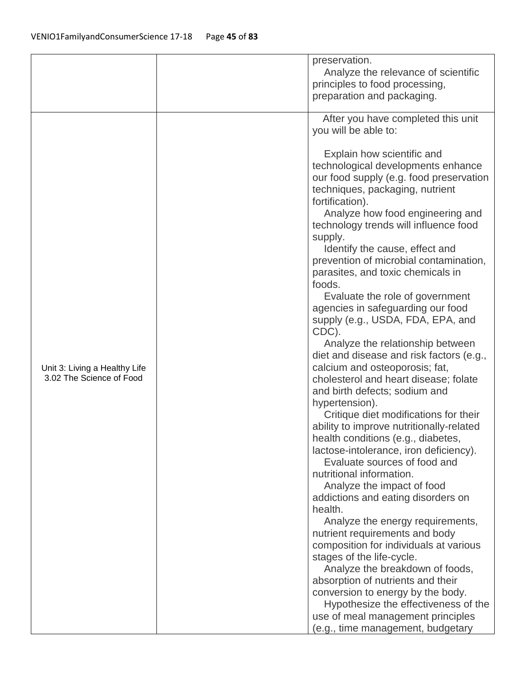|                                                           |  | preservation.                            |
|-----------------------------------------------------------|--|------------------------------------------|
|                                                           |  | Analyze the relevance of scientific      |
|                                                           |  | principles to food processing,           |
|                                                           |  | preparation and packaging.               |
|                                                           |  |                                          |
|                                                           |  | After you have completed this unit       |
|                                                           |  | you will be able to:                     |
|                                                           |  |                                          |
|                                                           |  | Explain how scientific and               |
|                                                           |  | technological developments enhance       |
|                                                           |  | our food supply (e.g. food preservation  |
|                                                           |  | techniques, packaging, nutrient          |
|                                                           |  | fortification).                          |
|                                                           |  | Analyze how food engineering and         |
|                                                           |  | technology trends will influence food    |
|                                                           |  | supply.                                  |
|                                                           |  | Identify the cause, effect and           |
|                                                           |  | prevention of microbial contamination,   |
|                                                           |  | parasites, and toxic chemicals in        |
|                                                           |  | foods.                                   |
|                                                           |  | Evaluate the role of government          |
|                                                           |  | agencies in safeguarding our food        |
|                                                           |  | supply (e.g., USDA, FDA, EPA, and        |
| Unit 3: Living a Healthy Life<br>3.02 The Science of Food |  | CDC).                                    |
|                                                           |  | Analyze the relationship between         |
|                                                           |  | diet and disease and risk factors (e.g., |
|                                                           |  | calcium and osteoporosis; fat,           |
|                                                           |  | cholesterol and heart disease; folate    |
|                                                           |  | and birth defects; sodium and            |
|                                                           |  | hypertension).                           |
|                                                           |  | Critique diet modifications for their    |
|                                                           |  | ability to improve nutritionally-related |
|                                                           |  | health conditions (e.g., diabetes,       |
|                                                           |  | lactose-intolerance, iron deficiency).   |
|                                                           |  | Evaluate sources of food and             |
|                                                           |  | nutritional information.                 |
|                                                           |  | Analyze the impact of food               |
|                                                           |  | addictions and eating disorders on       |
|                                                           |  | health.                                  |
|                                                           |  | Analyze the energy requirements,         |
|                                                           |  | nutrient requirements and body           |
|                                                           |  | composition for individuals at various   |
|                                                           |  | stages of the life-cycle.                |
|                                                           |  | Analyze the breakdown of foods,          |
|                                                           |  | absorption of nutrients and their        |
|                                                           |  | conversion to energy by the body.        |
|                                                           |  | Hypothesize the effectiveness of the     |
|                                                           |  | use of meal management principles        |
|                                                           |  | (e.g., time management, budgetary        |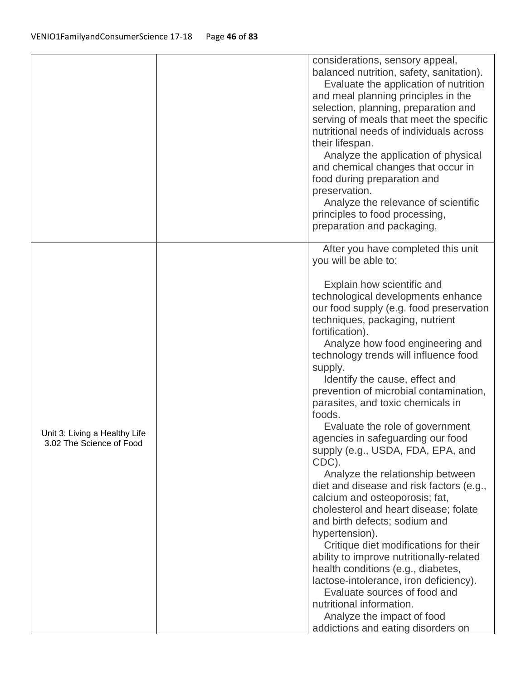|                                                           | considerations, sensory appeal,<br>balanced nutrition, safety, sanitation).<br>Evaluate the application of nutrition<br>and meal planning principles in the<br>selection, planning, preparation and<br>serving of meals that meet the specific<br>nutritional needs of individuals across<br>their lifespan.<br>Analyze the application of physical<br>and chemical changes that occur in<br>food during preparation and<br>preservation.<br>Analyze the relevance of scientific<br>principles to food processing,<br>preparation and packaging.                                                                                                                                                                                                                                                                                                                                                                                                                                                                                                                                            |
|-----------------------------------------------------------|---------------------------------------------------------------------------------------------------------------------------------------------------------------------------------------------------------------------------------------------------------------------------------------------------------------------------------------------------------------------------------------------------------------------------------------------------------------------------------------------------------------------------------------------------------------------------------------------------------------------------------------------------------------------------------------------------------------------------------------------------------------------------------------------------------------------------------------------------------------------------------------------------------------------------------------------------------------------------------------------------------------------------------------------------------------------------------------------|
| Unit 3: Living a Healthy Life<br>3.02 The Science of Food | After you have completed this unit<br>you will be able to:<br>Explain how scientific and<br>technological developments enhance<br>our food supply (e.g. food preservation<br>techniques, packaging, nutrient<br>fortification).<br>Analyze how food engineering and<br>technology trends will influence food<br>supply.<br>Identify the cause, effect and<br>prevention of microbial contamination,<br>parasites, and toxic chemicals in<br>foods.<br>Evaluate the role of government<br>agencies in safeguarding our food<br>supply (e.g., USDA, FDA, EPA, and<br>CDC).<br>Analyze the relationship between<br>diet and disease and risk factors (e.g.,<br>calcium and osteoporosis; fat,<br>cholesterol and heart disease; folate<br>and birth defects; sodium and<br>hypertension).<br>Critique diet modifications for their<br>ability to improve nutritionally-related<br>health conditions (e.g., diabetes,<br>lactose-intolerance, iron deficiency).<br>Evaluate sources of food and<br>nutritional information.<br>Analyze the impact of food<br>addictions and eating disorders on |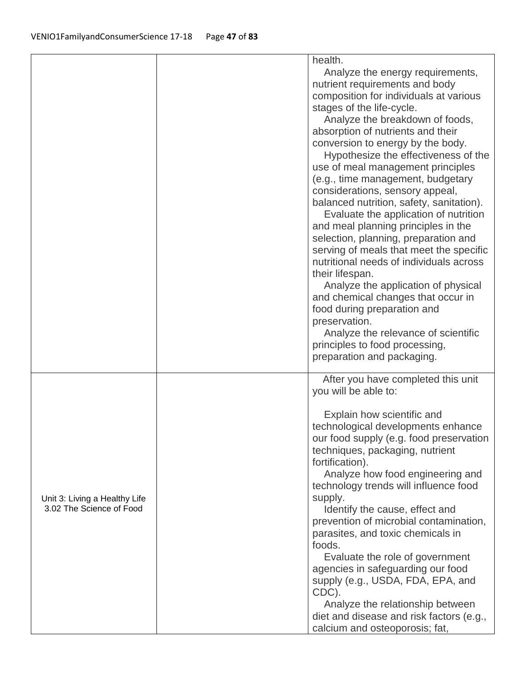|                                                           | health.<br>Analyze the energy requirements,<br>nutrient requirements and body<br>composition for individuals at various<br>stages of the life-cycle.<br>Analyze the breakdown of foods,<br>absorption of nutrients and their<br>conversion to energy by the body.<br>Hypothesize the effectiveness of the<br>use of meal management principles<br>(e.g., time management, budgetary<br>considerations, sensory appeal,<br>balanced nutrition, safety, sanitation).<br>Evaluate the application of nutrition<br>and meal planning principles in the<br>selection, planning, preparation and<br>serving of meals that meet the specific<br>nutritional needs of individuals across<br>their lifespan.<br>Analyze the application of physical<br>and chemical changes that occur in<br>food during preparation and<br>preservation.<br>Analyze the relevance of scientific<br>principles to food processing,<br>preparation and packaging. |
|-----------------------------------------------------------|-----------------------------------------------------------------------------------------------------------------------------------------------------------------------------------------------------------------------------------------------------------------------------------------------------------------------------------------------------------------------------------------------------------------------------------------------------------------------------------------------------------------------------------------------------------------------------------------------------------------------------------------------------------------------------------------------------------------------------------------------------------------------------------------------------------------------------------------------------------------------------------------------------------------------------------------|
| Unit 3: Living a Healthy Life<br>3.02 The Science of Food | After you have completed this unit<br>you will be able to:<br>Explain how scientific and<br>technological developments enhance<br>our food supply (e.g. food preservation<br>techniques, packaging, nutrient<br>fortification).<br>Analyze how food engineering and<br>technology trends will influence food<br>supply.<br>Identify the cause, effect and<br>prevention of microbial contamination,<br>parasites, and toxic chemicals in<br>foods.<br>Evaluate the role of government<br>agencies in safeguarding our food<br>supply (e.g., USDA, FDA, EPA, and<br>CDC).<br>Analyze the relationship between<br>diet and disease and risk factors (e.g.,<br>calcium and osteoporosis; fat,                                                                                                                                                                                                                                              |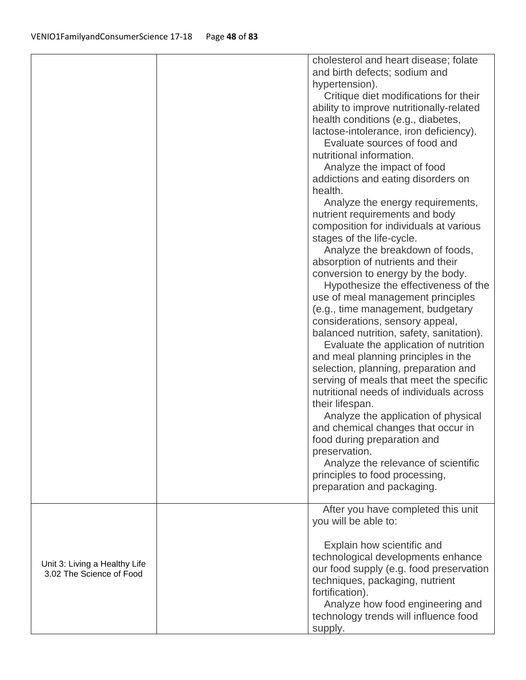|                                                           | cholesterol and heart disease; folate<br>and birth defects; sodium and<br>hypertension). |
|-----------------------------------------------------------|------------------------------------------------------------------------------------------|
|                                                           | Critique diet modifications for their                                                    |
|                                                           | ability to improve nutritionally-related                                                 |
|                                                           | health conditions (e.g., diabetes,                                                       |
|                                                           | lactose-intolerance, iron deficiency).                                                   |
|                                                           | Evaluate sources of food and                                                             |
|                                                           | nutritional information.                                                                 |
|                                                           | Analyze the impact of food                                                               |
|                                                           | addictions and eating disorders on                                                       |
|                                                           | health.                                                                                  |
|                                                           | Analyze the energy requirements,                                                         |
|                                                           | nutrient requirements and body                                                           |
|                                                           | composition for individuals at various                                                   |
|                                                           | stages of the life-cycle.                                                                |
|                                                           | Analyze the breakdown of foods,                                                          |
|                                                           | absorption of nutrients and their                                                        |
|                                                           | conversion to energy by the body.                                                        |
|                                                           | Hypothesize the effectiveness of the                                                     |
|                                                           | use of meal management principles                                                        |
|                                                           | (e.g., time management, budgetary                                                        |
|                                                           | considerations, sensory appeal,                                                          |
|                                                           | balanced nutrition, safety, sanitation).                                                 |
|                                                           | Evaluate the application of nutrition                                                    |
|                                                           | and meal planning principles in the                                                      |
|                                                           | selection, planning, preparation and                                                     |
|                                                           | serving of meals that meet the specific                                                  |
|                                                           | nutritional needs of individuals across                                                  |
|                                                           | their lifespan.                                                                          |
|                                                           | Analyze the application of physical                                                      |
|                                                           | and chemical changes that occur in                                                       |
|                                                           | food during preparation and<br>preservation.                                             |
|                                                           | Analyze the relevance of scientific                                                      |
|                                                           | principles to food processing,                                                           |
|                                                           | preparation and packaging.                                                               |
|                                                           |                                                                                          |
|                                                           | After you have completed this unit                                                       |
|                                                           | you will be able to:                                                                     |
|                                                           |                                                                                          |
|                                                           | Explain how scientific and                                                               |
| Unit 3: Living a Healthy Life<br>3.02 The Science of Food | technological developments enhance                                                       |
|                                                           | our food supply (e.g. food preservation                                                  |
|                                                           | techniques, packaging, nutrient                                                          |
|                                                           | fortification).                                                                          |
|                                                           | Analyze how food engineering and                                                         |
|                                                           | technology trends will influence food                                                    |
|                                                           | supply.                                                                                  |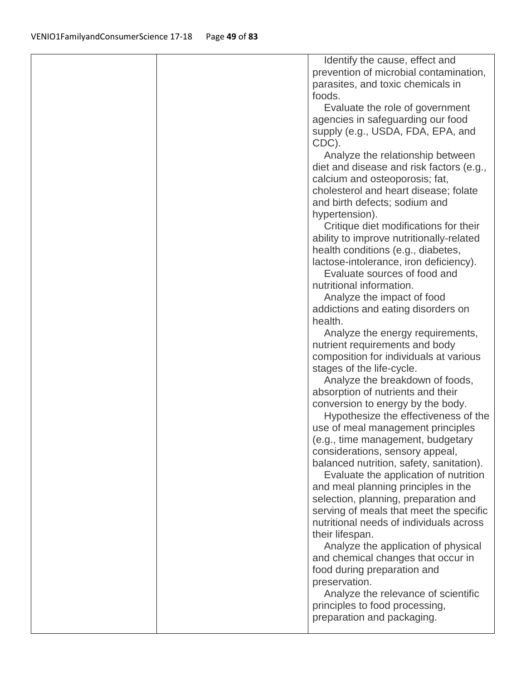|  | Identify the cause, effect and<br>prevention of microbial contamination,<br>parasites, and toxic chemicals in |
|--|---------------------------------------------------------------------------------------------------------------|
|  | foods.                                                                                                        |
|  | Evaluate the role of government                                                                               |
|  | agencies in safeguarding our food                                                                             |
|  | supply (e.g., USDA, FDA, EPA, and                                                                             |
|  | CDC).                                                                                                         |
|  | Analyze the relationship between                                                                              |
|  | diet and disease and risk factors (e.g.,                                                                      |
|  | calcium and osteoporosis; fat,                                                                                |
|  | cholesterol and heart disease; folate                                                                         |
|  | and birth defects; sodium and                                                                                 |
|  | hypertension).                                                                                                |
|  | Critique diet modifications for their                                                                         |
|  | ability to improve nutritionally-related                                                                      |
|  | health conditions (e.g., diabetes,                                                                            |
|  | lactose-intolerance, iron deficiency).                                                                        |
|  | Evaluate sources of food and                                                                                  |
|  | nutritional information.                                                                                      |
|  | Analyze the impact of food                                                                                    |
|  | addictions and eating disorders on                                                                            |
|  | health.                                                                                                       |
|  | Analyze the energy requirements,                                                                              |
|  | nutrient requirements and body                                                                                |
|  | composition for individuals at various                                                                        |
|  | stages of the life-cycle.                                                                                     |
|  | Analyze the breakdown of foods,                                                                               |
|  | absorption of nutrients and their                                                                             |
|  | conversion to energy by the body.                                                                             |
|  | Hypothesize the effectiveness of the                                                                          |
|  | use of meal management principles                                                                             |
|  | (e.g., time management, budgetary                                                                             |
|  | considerations, sensory appeal,                                                                               |
|  | balanced nutrition, safety, sanitation).                                                                      |
|  | Evaluate the application of nutrition                                                                         |
|  | and meal planning principles in the                                                                           |
|  | selection, planning, preparation and                                                                          |
|  | serving of meals that meet the specific                                                                       |
|  | nutritional needs of individuals across                                                                       |
|  | their lifespan.                                                                                               |
|  | Analyze the application of physical                                                                           |
|  | and chemical changes that occur in                                                                            |
|  | food during preparation and                                                                                   |
|  | preservation.                                                                                                 |
|  | Analyze the relevance of scientific                                                                           |
|  | principles to food processing,                                                                                |
|  | preparation and packaging.                                                                                    |
|  |                                                                                                               |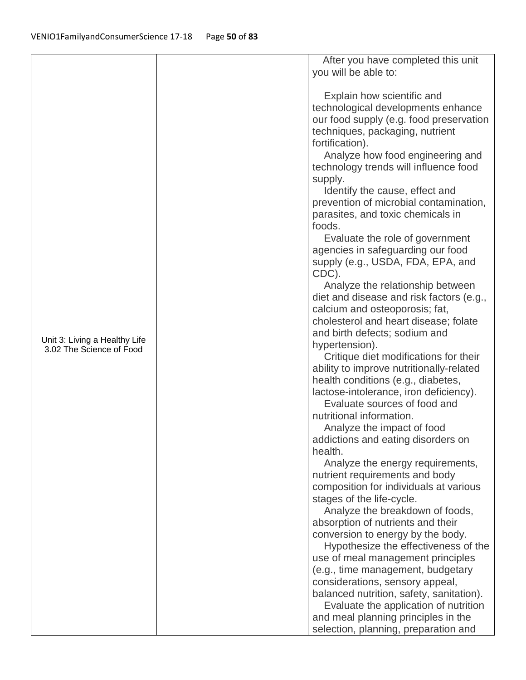|                                                           |  | After you have completed this unit                                          |
|-----------------------------------------------------------|--|-----------------------------------------------------------------------------|
|                                                           |  | you will be able to:                                                        |
|                                                           |  |                                                                             |
|                                                           |  | Explain how scientific and                                                  |
|                                                           |  | technological developments enhance                                          |
|                                                           |  | our food supply (e.g. food preservation                                     |
|                                                           |  | techniques, packaging, nutrient                                             |
|                                                           |  | fortification).                                                             |
|                                                           |  | Analyze how food engineering and                                            |
|                                                           |  | technology trends will influence food                                       |
|                                                           |  | supply.                                                                     |
|                                                           |  | Identify the cause, effect and                                              |
|                                                           |  | prevention of microbial contamination,                                      |
|                                                           |  | parasites, and toxic chemicals in                                           |
|                                                           |  | foods.                                                                      |
|                                                           |  | Evaluate the role of government                                             |
|                                                           |  | agencies in safeguarding our food                                           |
|                                                           |  | supply (e.g., USDA, FDA, EPA, and                                           |
|                                                           |  | CDC).                                                                       |
|                                                           |  | Analyze the relationship between                                            |
|                                                           |  | diet and disease and risk factors (e.g.,                                    |
|                                                           |  | calcium and osteoporosis; fat,                                              |
|                                                           |  | cholesterol and heart disease; folate                                       |
|                                                           |  | and birth defects; sodium and                                               |
| Unit 3: Living a Healthy Life<br>3.02 The Science of Food |  | hypertension).                                                              |
|                                                           |  | Critique diet modifications for their                                       |
|                                                           |  | ability to improve nutritionally-related                                    |
|                                                           |  | health conditions (e.g., diabetes,                                          |
|                                                           |  | lactose-intolerance, iron deficiency).                                      |
|                                                           |  | Evaluate sources of food and                                                |
|                                                           |  | nutritional information.                                                    |
|                                                           |  | Analyze the impact of food                                                  |
|                                                           |  | addictions and eating disorders on                                          |
|                                                           |  | health.                                                                     |
|                                                           |  | Analyze the energy requirements,                                            |
|                                                           |  | nutrient requirements and body                                              |
|                                                           |  | composition for individuals at various                                      |
|                                                           |  | stages of the life-cycle.                                                   |
|                                                           |  | Analyze the breakdown of foods,                                             |
|                                                           |  | absorption of nutrients and their                                           |
|                                                           |  | conversion to energy by the body.                                           |
|                                                           |  | Hypothesize the effectiveness of the                                        |
|                                                           |  | use of meal management principles                                           |
|                                                           |  | (e.g., time management, budgetary                                           |
|                                                           |  | considerations, sensory appeal,<br>balanced nutrition, safety, sanitation). |
|                                                           |  | Evaluate the application of nutrition                                       |
|                                                           |  | and meal planning principles in the                                         |
|                                                           |  |                                                                             |
|                                                           |  | selection, planning, preparation and                                        |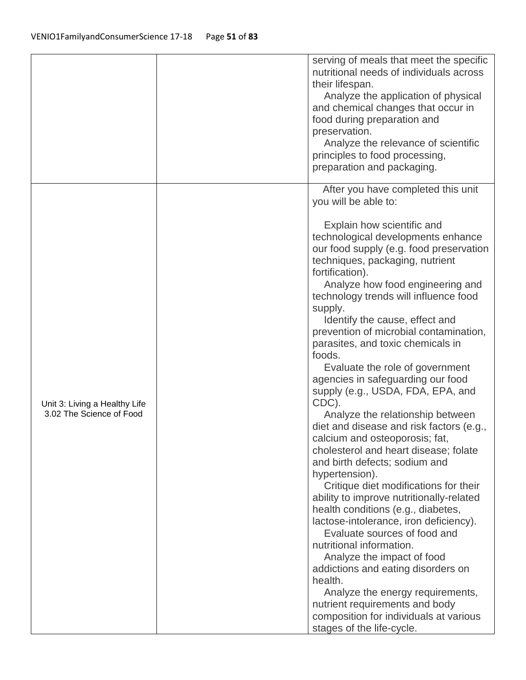|                                                           | serving of meals that meet the specific<br>nutritional needs of individuals across<br>their lifespan.<br>Analyze the application of physical<br>and chemical changes that occur in<br>food during preparation and<br>preservation.<br>Analyze the relevance of scientific<br>principles to food processing,<br>preparation and packaging.                                                                                                                                                                                                                                                                                                                                                                                                                                                                                                                                                                                                                                                                                                                                                                                                                                                                                                           |
|-----------------------------------------------------------|-----------------------------------------------------------------------------------------------------------------------------------------------------------------------------------------------------------------------------------------------------------------------------------------------------------------------------------------------------------------------------------------------------------------------------------------------------------------------------------------------------------------------------------------------------------------------------------------------------------------------------------------------------------------------------------------------------------------------------------------------------------------------------------------------------------------------------------------------------------------------------------------------------------------------------------------------------------------------------------------------------------------------------------------------------------------------------------------------------------------------------------------------------------------------------------------------------------------------------------------------------|
| Unit 3: Living a Healthy Life<br>3.02 The Science of Food | After you have completed this unit<br>you will be able to:<br>Explain how scientific and<br>technological developments enhance<br>our food supply (e.g. food preservation<br>techniques, packaging, nutrient<br>fortification).<br>Analyze how food engineering and<br>technology trends will influence food<br>supply.<br>Identify the cause, effect and<br>prevention of microbial contamination,<br>parasites, and toxic chemicals in<br>foods.<br>Evaluate the role of government<br>agencies in safeguarding our food<br>supply (e.g., USDA, FDA, EPA, and<br>CDC).<br>Analyze the relationship between<br>diet and disease and risk factors (e.g.,<br>calcium and osteoporosis; fat,<br>cholesterol and heart disease; folate<br>and birth defects; sodium and<br>hypertension).<br>Critique diet modifications for their<br>ability to improve nutritionally-related<br>health conditions (e.g., diabetes,<br>lactose-intolerance, iron deficiency).<br>Evaluate sources of food and<br>nutritional information.<br>Analyze the impact of food<br>addictions and eating disorders on<br>health.<br>Analyze the energy requirements,<br>nutrient requirements and body<br>composition for individuals at various<br>stages of the life-cycle. |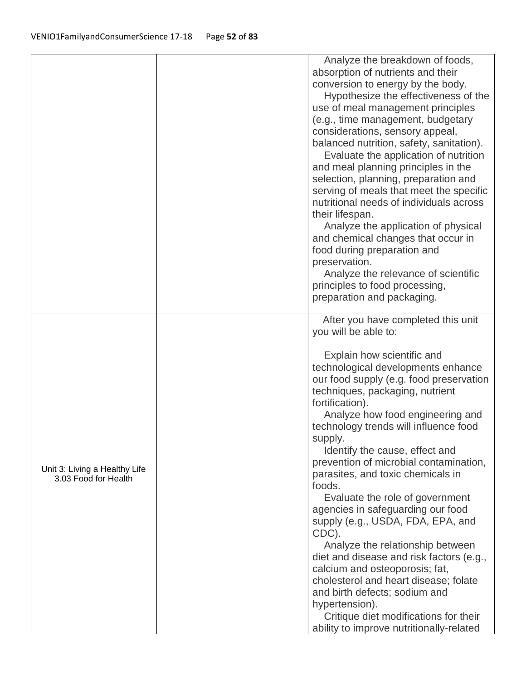|                               | Analyze the breakdown of foods,             |
|-------------------------------|---------------------------------------------|
|                               | absorption of nutrients and their           |
|                               | conversion to energy by the body.           |
|                               | Hypothesize the effectiveness of the        |
|                               | use of meal management principles           |
|                               | (e.g., time management, budgetary           |
|                               | considerations, sensory appeal,             |
|                               | balanced nutrition, safety, sanitation).    |
|                               | Evaluate the application of nutrition       |
|                               | and meal planning principles in the         |
|                               | selection, planning, preparation and        |
|                               | serving of meals that meet the specific     |
|                               | nutritional needs of individuals across     |
|                               | their lifespan.                             |
|                               | Analyze the application of physical         |
|                               | and chemical changes that occur in          |
|                               | food during preparation and                 |
|                               | preservation.                               |
|                               | Analyze the relevance of scientific         |
|                               | principles to food processing,              |
|                               | preparation and packaging.                  |
|                               |                                             |
|                               | After you have completed this unit          |
|                               | you will be able to:                        |
|                               | Explain how scientific and                  |
|                               | technological developments enhance          |
|                               | our food supply (e.g. food preservation     |
|                               | techniques, packaging, nutrient             |
|                               | fortification).                             |
|                               | Analyze how food engineering and            |
|                               | technology trends will influence food       |
|                               |                                             |
|                               | supply.                                     |
|                               | Identify the cause, effect and              |
| Unit 3: Living a Healthy Life | prevention of microbial contamination,      |
| 3.03 Food for Health          | parasites, and toxic chemicals in<br>foods. |
|                               |                                             |
|                               | Evaluate the role of government             |
|                               | agencies in safeguarding our food           |
|                               | supply (e.g., USDA, FDA, EPA, and           |
|                               | CDC).                                       |
|                               | Analyze the relationship between            |
|                               | diet and disease and risk factors (e.g.,    |
|                               | calcium and osteoporosis; fat,              |
|                               | cholesterol and heart disease; folate       |
|                               | and birth defects; sodium and               |
|                               | hypertension).                              |
|                               | Critique diet modifications for their       |
|                               | ability to improve nutritionally-related    |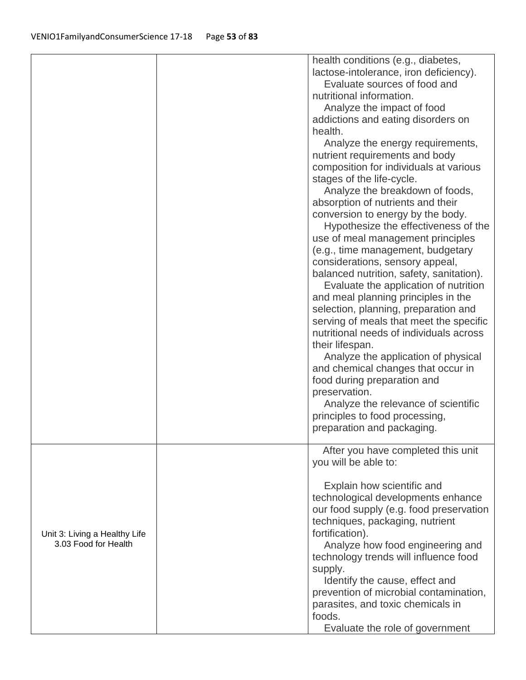|                                                       | health conditions (e.g., diabetes,       |
|-------------------------------------------------------|------------------------------------------|
|                                                       | lactose-intolerance, iron deficiency).   |
|                                                       | Evaluate sources of food and             |
|                                                       | nutritional information.                 |
|                                                       | Analyze the impact of food               |
|                                                       | addictions and eating disorders on       |
|                                                       | health.                                  |
|                                                       | Analyze the energy requirements,         |
|                                                       | nutrient requirements and body           |
|                                                       | composition for individuals at various   |
|                                                       | stages of the life-cycle.                |
|                                                       | Analyze the breakdown of foods,          |
|                                                       | absorption of nutrients and their        |
|                                                       | conversion to energy by the body.        |
|                                                       | Hypothesize the effectiveness of the     |
|                                                       | use of meal management principles        |
|                                                       | (e.g., time management, budgetary        |
|                                                       | considerations, sensory appeal,          |
|                                                       | balanced nutrition, safety, sanitation). |
|                                                       | Evaluate the application of nutrition    |
|                                                       | and meal planning principles in the      |
|                                                       | selection, planning, preparation and     |
|                                                       | serving of meals that meet the specific  |
|                                                       | nutritional needs of individuals across  |
|                                                       | their lifespan.                          |
|                                                       | Analyze the application of physical      |
|                                                       | and chemical changes that occur in       |
|                                                       | food during preparation and              |
|                                                       | preservation.                            |
|                                                       | Analyze the relevance of scientific      |
|                                                       | principles to food processing,           |
|                                                       | preparation and packaging.               |
|                                                       |                                          |
|                                                       | After you have completed this unit       |
|                                                       | you will be able to:                     |
|                                                       | Explain how scientific and               |
|                                                       | technological developments enhance       |
|                                                       | our food supply (e.g. food preservation  |
| Unit 3: Living a Healthy Life<br>3.03 Food for Health | techniques, packaging, nutrient          |
|                                                       | fortification).                          |
|                                                       | Analyze how food engineering and         |
|                                                       | technology trends will influence food    |
|                                                       | supply.                                  |
|                                                       | Identify the cause, effect and           |
|                                                       | prevention of microbial contamination,   |
|                                                       | parasites, and toxic chemicals in        |
|                                                       | foods.                                   |
|                                                       |                                          |
|                                                       | Evaluate the role of government          |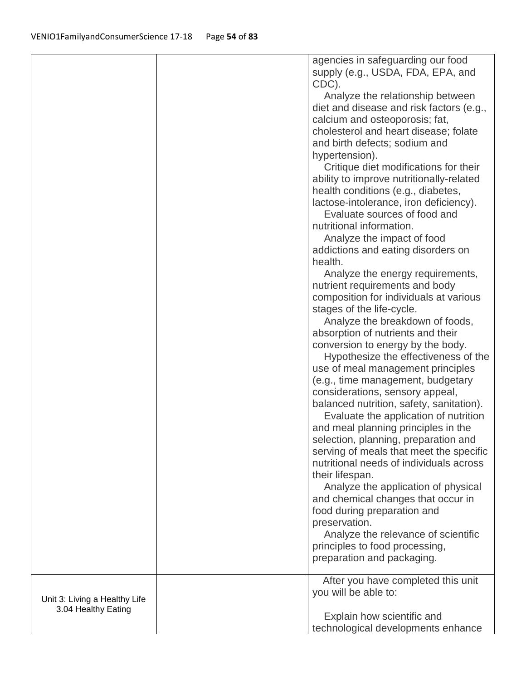|                                                      | agencies in safeguarding our food             |
|------------------------------------------------------|-----------------------------------------------|
|                                                      | supply (e.g., USDA, FDA, EPA, and             |
|                                                      | CDC).                                         |
|                                                      | Analyze the relationship between              |
|                                                      | diet and disease and risk factors (e.g.,      |
|                                                      |                                               |
|                                                      | calcium and osteoporosis; fat,                |
|                                                      | cholesterol and heart disease; folate         |
|                                                      | and birth defects; sodium and                 |
|                                                      | hypertension).                                |
|                                                      | Critique diet modifications for their         |
|                                                      | ability to improve nutritionally-related      |
|                                                      | health conditions (e.g., diabetes,            |
|                                                      | lactose-intolerance, iron deficiency).        |
|                                                      | Evaluate sources of food and                  |
|                                                      | nutritional information.                      |
|                                                      | Analyze the impact of food                    |
|                                                      |                                               |
|                                                      | addictions and eating disorders on<br>health. |
|                                                      |                                               |
|                                                      | Analyze the energy requirements,              |
|                                                      | nutrient requirements and body                |
|                                                      | composition for individuals at various        |
|                                                      | stages of the life-cycle.                     |
|                                                      | Analyze the breakdown of foods,               |
|                                                      | absorption of nutrients and their             |
|                                                      | conversion to energy by the body.             |
|                                                      | Hypothesize the effectiveness of the          |
|                                                      | use of meal management principles             |
|                                                      | (e.g., time management, budgetary             |
|                                                      | considerations, sensory appeal,               |
|                                                      | balanced nutrition, safety, sanitation).      |
|                                                      | Evaluate the application of nutrition         |
|                                                      | and meal planning principles in the           |
|                                                      | selection, planning, preparation and          |
|                                                      | serving of meals that meet the specific       |
|                                                      | nutritional needs of individuals across       |
|                                                      |                                               |
|                                                      | their lifespan.                               |
|                                                      | Analyze the application of physical           |
|                                                      | and chemical changes that occur in            |
|                                                      | food during preparation and                   |
|                                                      | preservation.                                 |
|                                                      | Analyze the relevance of scientific           |
|                                                      | principles to food processing,                |
|                                                      | preparation and packaging.                    |
|                                                      | After you have completed this unit            |
| Unit 3: Living a Healthy Life<br>3.04 Healthy Eating | you will be able to:                          |
|                                                      |                                               |
|                                                      | Explain how scientific and                    |
|                                                      | technological developments enhance            |
|                                                      |                                               |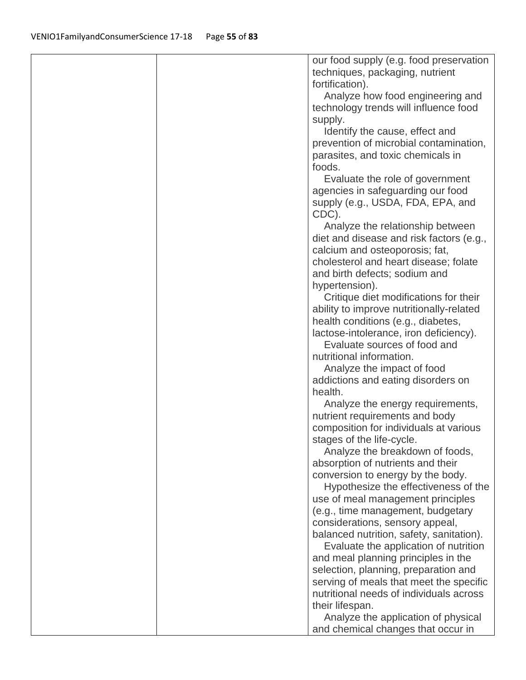|  | our food supply (e.g. food preservation  |
|--|------------------------------------------|
|  | techniques, packaging, nutrient          |
|  | fortification).                          |
|  | Analyze how food engineering and         |
|  | technology trends will influence food    |
|  | supply.                                  |
|  | Identify the cause, effect and           |
|  | prevention of microbial contamination,   |
|  | parasites, and toxic chemicals in        |
|  | foods.                                   |
|  | Evaluate the role of government          |
|  | agencies in safeguarding our food        |
|  | supply (e.g., USDA, FDA, EPA, and        |
|  | CDC).                                    |
|  | Analyze the relationship between         |
|  | diet and disease and risk factors (e.g., |
|  | calcium and osteoporosis; fat,           |
|  | cholesterol and heart disease; folate    |
|  | and birth defects; sodium and            |
|  | hypertension).                           |
|  | Critique diet modifications for their    |
|  | ability to improve nutritionally-related |
|  | health conditions (e.g., diabetes,       |
|  | lactose-intolerance, iron deficiency).   |
|  | Evaluate sources of food and             |
|  | nutritional information.                 |
|  | Analyze the impact of food               |
|  | addictions and eating disorders on       |
|  | health.                                  |
|  | Analyze the energy requirements,         |
|  | nutrient requirements and body           |
|  | composition for individuals at various   |
|  | stages of the life-cycle.                |
|  | Analyze the breakdown of foods,          |
|  | absorption of nutrients and their        |
|  | conversion to energy by the body.        |
|  | Hypothesize the effectiveness of the     |
|  | use of meal management principles        |
|  | (e.g., time management, budgetary        |
|  | considerations, sensory appeal,          |
|  | balanced nutrition, safety, sanitation). |
|  | Evaluate the application of nutrition    |
|  | and meal planning principles in the      |
|  | selection, planning, preparation and     |
|  | serving of meals that meet the specific  |
|  | nutritional needs of individuals across  |
|  | their lifespan.                          |
|  | Analyze the application of physical      |
|  | and chemical changes that occur in       |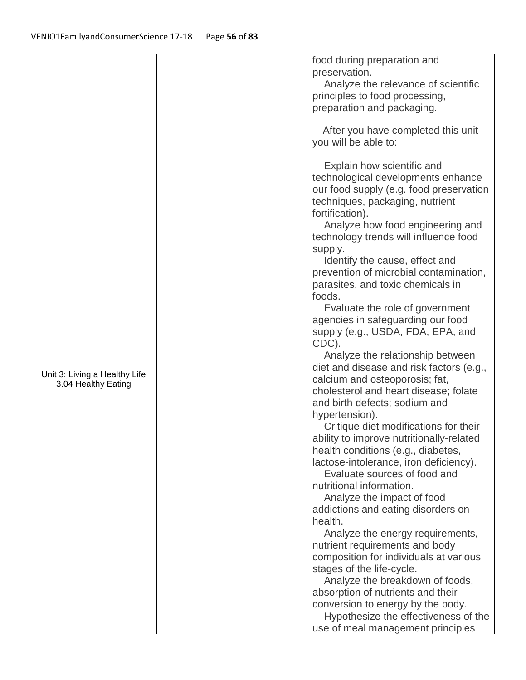|                               | food during preparation and                             |
|-------------------------------|---------------------------------------------------------|
|                               | preservation.                                           |
|                               | Analyze the relevance of scientific                     |
|                               | principles to food processing,                          |
|                               | preparation and packaging.                              |
|                               |                                                         |
|                               | After you have completed this unit                      |
|                               | you will be able to:                                    |
|                               |                                                         |
|                               | Explain how scientific and                              |
|                               | technological developments enhance                      |
|                               | our food supply (e.g. food preservation                 |
|                               | techniques, packaging, nutrient<br>fortification).      |
|                               | Analyze how food engineering and                        |
|                               | technology trends will influence food                   |
|                               | supply.                                                 |
|                               | Identify the cause, effect and                          |
|                               | prevention of microbial contamination,                  |
|                               | parasites, and toxic chemicals in                       |
|                               | foods.                                                  |
|                               | Evaluate the role of government                         |
|                               | agencies in safeguarding our food                       |
|                               | supply (e.g., USDA, FDA, EPA, and                       |
|                               | CDC).                                                   |
|                               | Analyze the relationship between                        |
| Unit 3: Living a Healthy Life | diet and disease and risk factors (e.g.,                |
| 3.04 Healthy Eating           | calcium and osteoporosis; fat,                          |
|                               | cholesterol and heart disease; folate                   |
|                               | and birth defects; sodium and                           |
|                               | hypertension).<br>Critique diet modifications for their |
|                               | ability to improve nutritionally-related                |
|                               | health conditions (e.g., diabetes,                      |
|                               | lactose-intolerance, iron deficiency).                  |
|                               | Evaluate sources of food and                            |
|                               | nutritional information.                                |
|                               | Analyze the impact of food                              |
|                               | addictions and eating disorders on                      |
|                               | health.                                                 |
|                               | Analyze the energy requirements,                        |
|                               | nutrient requirements and body                          |
|                               | composition for individuals at various                  |
|                               | stages of the life-cycle.                               |
|                               | Analyze the breakdown of foods,                         |
|                               | absorption of nutrients and their                       |
|                               | conversion to energy by the body.                       |
|                               | Hypothesize the effectiveness of the                    |
|                               | use of meal management principles                       |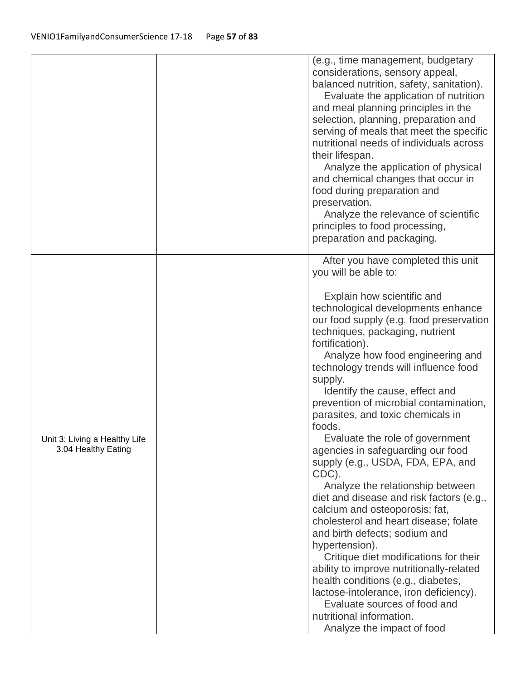|                                                      | (e.g., time management, budgetary<br>considerations, sensory appeal,<br>balanced nutrition, safety, sanitation).<br>Evaluate the application of nutrition<br>and meal planning principles in the<br>selection, planning, preparation and<br>serving of meals that meet the specific<br>nutritional needs of individuals across<br>their lifespan.<br>Analyze the application of physical<br>and chemical changes that occur in<br>food during preparation and<br>preservation.<br>Analyze the relevance of scientific<br>principles to food processing,<br>preparation and packaging.                                                                                                                                                                                                                                                                                                                                                                                                                                                                 |
|------------------------------------------------------|-------------------------------------------------------------------------------------------------------------------------------------------------------------------------------------------------------------------------------------------------------------------------------------------------------------------------------------------------------------------------------------------------------------------------------------------------------------------------------------------------------------------------------------------------------------------------------------------------------------------------------------------------------------------------------------------------------------------------------------------------------------------------------------------------------------------------------------------------------------------------------------------------------------------------------------------------------------------------------------------------------------------------------------------------------|
| Unit 3: Living a Healthy Life<br>3.04 Healthy Eating | After you have completed this unit<br>you will be able to:<br>Explain how scientific and<br>technological developments enhance<br>our food supply (e.g. food preservation<br>techniques, packaging, nutrient<br>fortification).<br>Analyze how food engineering and<br>technology trends will influence food<br>supply.<br>Identify the cause, effect and<br>prevention of microbial contamination,<br>parasites, and toxic chemicals in<br>foods.<br>Evaluate the role of government<br>agencies in safeguarding our food<br>supply (e.g., USDA, FDA, EPA, and<br>CDC).<br>Analyze the relationship between<br>diet and disease and risk factors (e.g.,<br>calcium and osteoporosis; fat,<br>cholesterol and heart disease; folate<br>and birth defects; sodium and<br>hypertension).<br>Critique diet modifications for their<br>ability to improve nutritionally-related<br>health conditions (e.g., diabetes,<br>lactose-intolerance, iron deficiency).<br>Evaluate sources of food and<br>nutritional information.<br>Analyze the impact of food |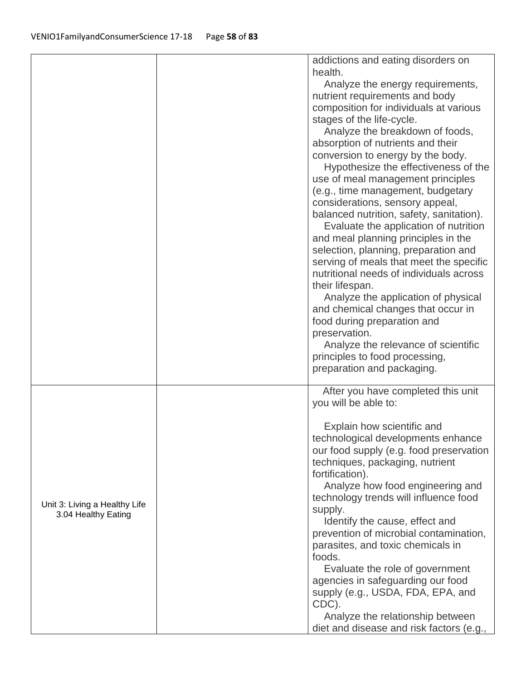|                               | addictions and eating disorders on       |
|-------------------------------|------------------------------------------|
|                               | health.                                  |
|                               | Analyze the energy requirements,         |
|                               | nutrient requirements and body           |
|                               | composition for individuals at various   |
|                               | stages of the life-cycle.                |
|                               | Analyze the breakdown of foods,          |
|                               | absorption of nutrients and their        |
|                               | conversion to energy by the body.        |
|                               | Hypothesize the effectiveness of the     |
|                               | use of meal management principles        |
|                               |                                          |
|                               | (e.g., time management, budgetary        |
|                               | considerations, sensory appeal,          |
|                               | balanced nutrition, safety, sanitation). |
|                               | Evaluate the application of nutrition    |
|                               | and meal planning principles in the      |
|                               | selection, planning, preparation and     |
|                               | serving of meals that meet the specific  |
|                               | nutritional needs of individuals across  |
|                               | their lifespan.                          |
|                               | Analyze the application of physical      |
|                               | and chemical changes that occur in       |
|                               | food during preparation and              |
|                               | preservation.                            |
|                               | Analyze the relevance of scientific      |
|                               | principles to food processing,           |
|                               | preparation and packaging.               |
|                               | After you have completed this unit       |
|                               | you will be able to:                     |
|                               |                                          |
|                               | Explain how scientific and               |
|                               | technological developments enhance       |
|                               | our food supply (e.g. food preservation  |
|                               | techniques, packaging, nutrient          |
|                               | fortification).                          |
|                               | Analyze how food engineering and         |
|                               | technology trends will influence food    |
| Unit 3: Living a Healthy Life | supply.                                  |
| 3.04 Healthy Eating           | Identify the cause, effect and           |
|                               | prevention of microbial contamination,   |
|                               | parasites, and toxic chemicals in        |
|                               | foods.                                   |
|                               | Evaluate the role of government          |
|                               | agencies in safeguarding our food        |
|                               | supply (e.g., USDA, FDA, EPA, and        |
|                               | CDC).                                    |
|                               | Analyze the relationship between         |
|                               | diet and disease and risk factors (e.g., |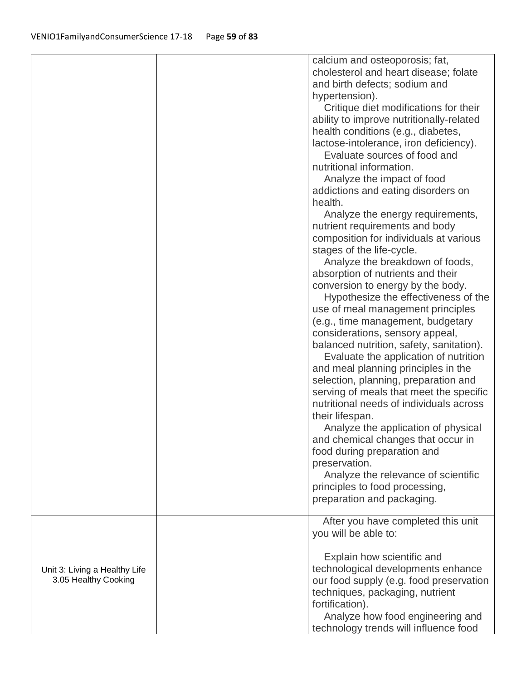|                                                       | calcium and osteoporosis; fat,<br>cholesterol and heart disease; folate<br>and birth defects; sodium and<br>hypertension).<br>Critique diet modifications for their<br>ability to improve nutritionally-related<br>health conditions (e.g., diabetes,<br>lactose-intolerance, iron deficiency).<br>Evaluate sources of food and<br>nutritional information.<br>Analyze the impact of food<br>addictions and eating disorders on<br>health.<br>Analyze the energy requirements,<br>nutrient requirements and body<br>composition for individuals at various<br>stages of the life-cycle.<br>Analyze the breakdown of foods,<br>absorption of nutrients and their<br>conversion to energy by the body.<br>Hypothesize the effectiveness of the<br>use of meal management principles<br>(e.g., time management, budgetary<br>considerations, sensory appeal,<br>balanced nutrition, safety, sanitation).<br>Evaluate the application of nutrition<br>and meal planning principles in the<br>selection, planning, preparation and<br>serving of meals that meet the specific<br>nutritional needs of individuals across<br>their lifespan.<br>Analyze the application of physical<br>and chemical changes that occur in<br>food during preparation and<br>preservation.<br>Analyze the relevance of scientific<br>principles to food processing,<br>preparation and packaging.<br>After you have completed this unit |
|-------------------------------------------------------|------------------------------------------------------------------------------------------------------------------------------------------------------------------------------------------------------------------------------------------------------------------------------------------------------------------------------------------------------------------------------------------------------------------------------------------------------------------------------------------------------------------------------------------------------------------------------------------------------------------------------------------------------------------------------------------------------------------------------------------------------------------------------------------------------------------------------------------------------------------------------------------------------------------------------------------------------------------------------------------------------------------------------------------------------------------------------------------------------------------------------------------------------------------------------------------------------------------------------------------------------------------------------------------------------------------------------------------------------------------------------------------------------------------|
| Unit 3: Living a Healthy Life<br>3.05 Healthy Cooking | you will be able to:<br>Explain how scientific and<br>technological developments enhance<br>our food supply (e.g. food preservation<br>techniques, packaging, nutrient<br>fortification).<br>Analyze how food engineering and<br>technology trends will influence food                                                                                                                                                                                                                                                                                                                                                                                                                                                                                                                                                                                                                                                                                                                                                                                                                                                                                                                                                                                                                                                                                                                                           |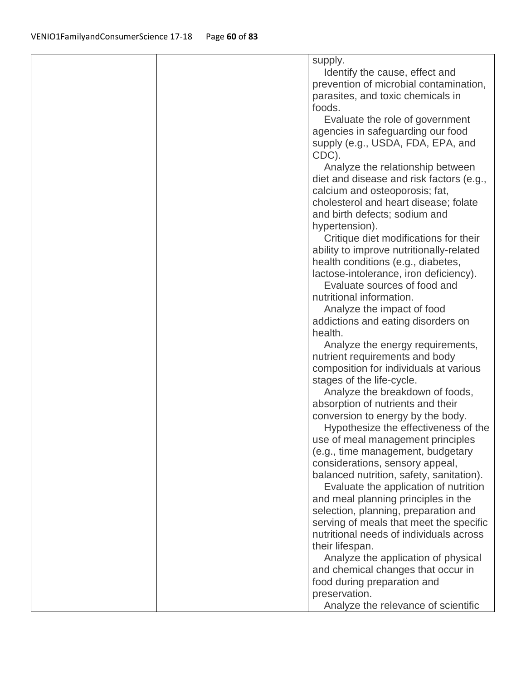|  | supply.                                  |
|--|------------------------------------------|
|  | Identify the cause, effect and           |
|  | prevention of microbial contamination,   |
|  | parasites, and toxic chemicals in        |
|  |                                          |
|  | foods.                                   |
|  | Evaluate the role of government          |
|  | agencies in safeguarding our food        |
|  | supply (e.g., USDA, FDA, EPA, and        |
|  | CDC).                                    |
|  | Analyze the relationship between         |
|  | diet and disease and risk factors (e.g., |
|  | calcium and osteoporosis; fat,           |
|  | cholesterol and heart disease; folate    |
|  |                                          |
|  | and birth defects; sodium and            |
|  | hypertension).                           |
|  | Critique diet modifications for their    |
|  | ability to improve nutritionally-related |
|  | health conditions (e.g., diabetes,       |
|  | lactose-intolerance, iron deficiency).   |
|  | Evaluate sources of food and             |
|  | nutritional information.                 |
|  | Analyze the impact of food               |
|  | addictions and eating disorders on       |
|  | health.                                  |
|  |                                          |
|  | Analyze the energy requirements,         |
|  | nutrient requirements and body           |
|  | composition for individuals at various   |
|  | stages of the life-cycle.                |
|  | Analyze the breakdown of foods,          |
|  | absorption of nutrients and their        |
|  | conversion to energy by the body.        |
|  | Hypothesize the effectiveness of the     |
|  | use of meal management principles        |
|  | (e.g., time management, budgetary        |
|  | considerations, sensory appeal,          |
|  |                                          |
|  | balanced nutrition, safety, sanitation). |
|  | Evaluate the application of nutrition    |
|  | and meal planning principles in the      |
|  | selection, planning, preparation and     |
|  | serving of meals that meet the specific  |
|  | nutritional needs of individuals across  |
|  | their lifespan.                          |
|  | Analyze the application of physical      |
|  | and chemical changes that occur in       |
|  | food during preparation and              |
|  |                                          |
|  | preservation.                            |
|  | Analyze the relevance of scientific      |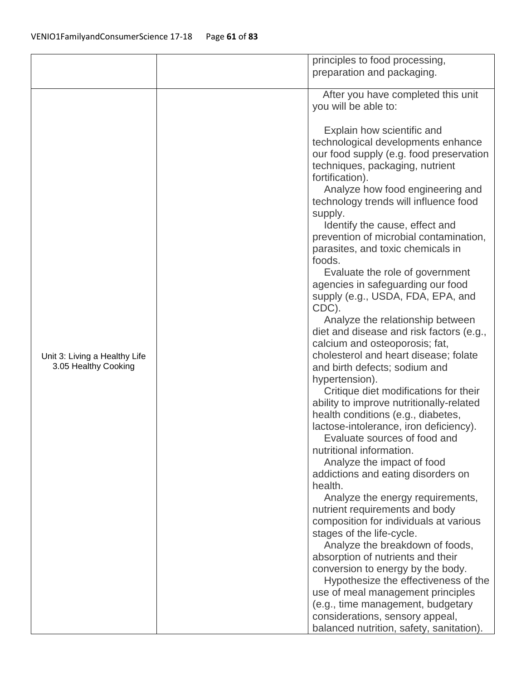|                               | principles to food processing,                                           |
|-------------------------------|--------------------------------------------------------------------------|
|                               | preparation and packaging.                                               |
|                               |                                                                          |
|                               | After you have completed this unit                                       |
|                               | you will be able to:                                                     |
|                               |                                                                          |
|                               | Explain how scientific and                                               |
|                               | technological developments enhance                                       |
|                               | our food supply (e.g. food preservation                                  |
|                               | techniques, packaging, nutrient                                          |
|                               | fortification).                                                          |
|                               | Analyze how food engineering and                                         |
|                               | technology trends will influence food                                    |
|                               | supply.                                                                  |
|                               | Identify the cause, effect and                                           |
|                               | prevention of microbial contamination,                                   |
|                               | parasites, and toxic chemicals in                                        |
|                               | foods.                                                                   |
|                               | Evaluate the role of government                                          |
|                               | agencies in safeguarding our food                                        |
|                               | supply (e.g., USDA, FDA, EPA, and                                        |
|                               | CDC).                                                                    |
|                               | Analyze the relationship between                                         |
|                               | diet and disease and risk factors (e.g.,                                 |
|                               | calcium and osteoporosis; fat,                                           |
| Unit 3: Living a Healthy Life | cholesterol and heart disease; folate                                    |
| 3.05 Healthy Cooking          | and birth defects; sodium and                                            |
|                               | hypertension).                                                           |
|                               | Critique diet modifications for their                                    |
|                               | ability to improve nutritionally-related                                 |
|                               | health conditions (e.g., diabetes,                                       |
|                               | lactose-intolerance, iron deficiency).                                   |
|                               | Evaluate sources of food and                                             |
|                               | nutritional information.                                                 |
|                               | Analyze the impact of food                                               |
|                               | addictions and eating disorders on                                       |
|                               | health.                                                                  |
|                               | Analyze the energy requirements,                                         |
|                               | nutrient requirements and body<br>composition for individuals at various |
|                               | stages of the life-cycle.                                                |
|                               | Analyze the breakdown of foods,                                          |
|                               | absorption of nutrients and their                                        |
|                               | conversion to energy by the body.                                        |
|                               | Hypothesize the effectiveness of the                                     |
|                               | use of meal management principles                                        |
|                               | (e.g., time management, budgetary                                        |
|                               | considerations, sensory appeal,                                          |
|                               | balanced nutrition, safety, sanitation).                                 |
|                               |                                                                          |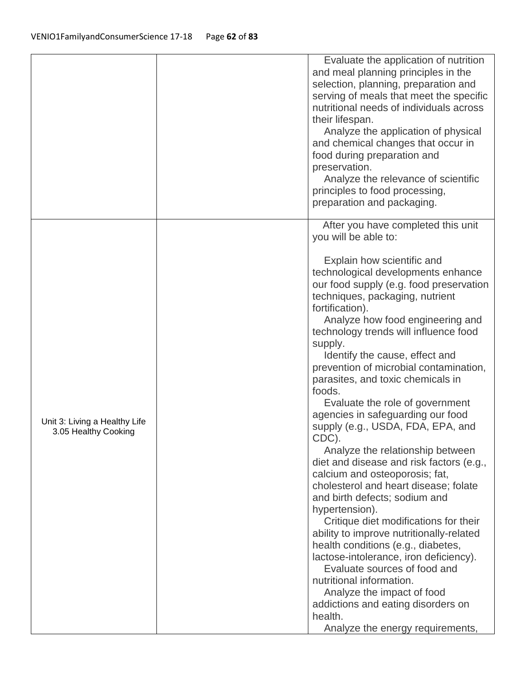|                                                       | Evaluate the application of nutrition<br>and meal planning principles in the<br>selection, planning, preparation and<br>serving of meals that meet the specific<br>nutritional needs of individuals across<br>their lifespan.<br>Analyze the application of physical<br>and chemical changes that occur in<br>food during preparation and<br>preservation.<br>Analyze the relevance of scientific<br>principles to food processing,<br>preparation and packaging. |
|-------------------------------------------------------|-------------------------------------------------------------------------------------------------------------------------------------------------------------------------------------------------------------------------------------------------------------------------------------------------------------------------------------------------------------------------------------------------------------------------------------------------------------------|
|                                                       | After you have completed this unit<br>you will be able to:<br>Explain how scientific and                                                                                                                                                                                                                                                                                                                                                                          |
|                                                       | technological developments enhance<br>our food supply (e.g. food preservation<br>techniques, packaging, nutrient<br>fortification).<br>Analyze how food engineering and<br>technology trends will influence food<br>supply.<br>Identify the cause, effect and<br>prevention of microbial contamination,<br>parasites, and toxic chemicals in<br>foods.                                                                                                            |
| Unit 3: Living a Healthy Life<br>3.05 Healthy Cooking | Evaluate the role of government<br>agencies in safeguarding our food<br>supply (e.g., USDA, FDA, EPA, and<br>CDC).                                                                                                                                                                                                                                                                                                                                                |
|                                                       | Analyze the relationship between<br>diet and disease and risk factors (e.g.,<br>calcium and osteoporosis; fat,<br>cholesterol and heart disease; folate<br>and birth defects; sodium and<br>hypertension).                                                                                                                                                                                                                                                        |
|                                                       | Critique diet modifications for their<br>ability to improve nutritionally-related<br>health conditions (e.g., diabetes,<br>lactose-intolerance, iron deficiency).<br>Evaluate sources of food and<br>nutritional information.                                                                                                                                                                                                                                     |
|                                                       | Analyze the impact of food<br>addictions and eating disorders on<br>health.<br>Analyze the energy requirements,                                                                                                                                                                                                                                                                                                                                                   |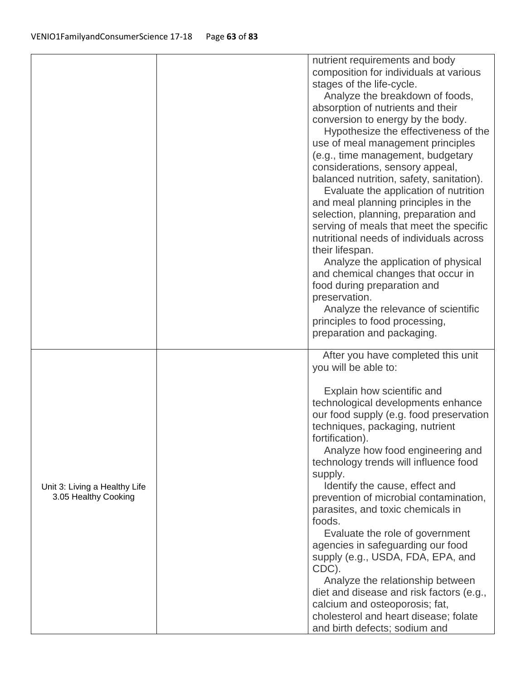|                               | nutrient requirements and body                                            |
|-------------------------------|---------------------------------------------------------------------------|
|                               | composition for individuals at various                                    |
|                               | stages of the life-cycle.                                                 |
|                               | Analyze the breakdown of foods,                                           |
|                               | absorption of nutrients and their                                         |
|                               | conversion to energy by the body.                                         |
|                               | Hypothesize the effectiveness of the<br>use of meal management principles |
|                               |                                                                           |
|                               | (e.g., time management, budgetary<br>considerations, sensory appeal,      |
|                               | balanced nutrition, safety, sanitation).                                  |
|                               | Evaluate the application of nutrition                                     |
|                               | and meal planning principles in the                                       |
|                               | selection, planning, preparation and                                      |
|                               | serving of meals that meet the specific                                   |
|                               | nutritional needs of individuals across                                   |
|                               | their lifespan.                                                           |
|                               | Analyze the application of physical                                       |
|                               | and chemical changes that occur in                                        |
|                               | food during preparation and                                               |
|                               | preservation.                                                             |
|                               | Analyze the relevance of scientific                                       |
|                               | principles to food processing,                                            |
|                               | preparation and packaging.                                                |
|                               | After you have completed this unit                                        |
|                               | you will be able to:                                                      |
|                               |                                                                           |
|                               | Explain how scientific and                                                |
|                               | technological developments enhance                                        |
|                               | our food supply (e.g. food preservation                                   |
|                               | techniques, packaging, nutrient                                           |
|                               | fortification).                                                           |
|                               | Analyze how food engineering and                                          |
|                               | technology trends will influence food                                     |
|                               | supply.                                                                   |
| Unit 3: Living a Healthy Life | Identify the cause, effect and                                            |
| 3.05 Healthy Cooking          | prevention of microbial contamination,                                    |
|                               | parasites, and toxic chemicals in<br>foods.                               |
|                               |                                                                           |
|                               | Evaluate the role of government                                           |
|                               | agencies in safeguarding our food<br>supply (e.g., USDA, FDA, EPA, and    |
|                               | CDC).                                                                     |
|                               | Analyze the relationship between                                          |
|                               | diet and disease and risk factors (e.g.,                                  |
|                               |                                                                           |
|                               |                                                                           |
|                               | calcium and osteoporosis; fat,<br>cholesterol and heart disease; folate   |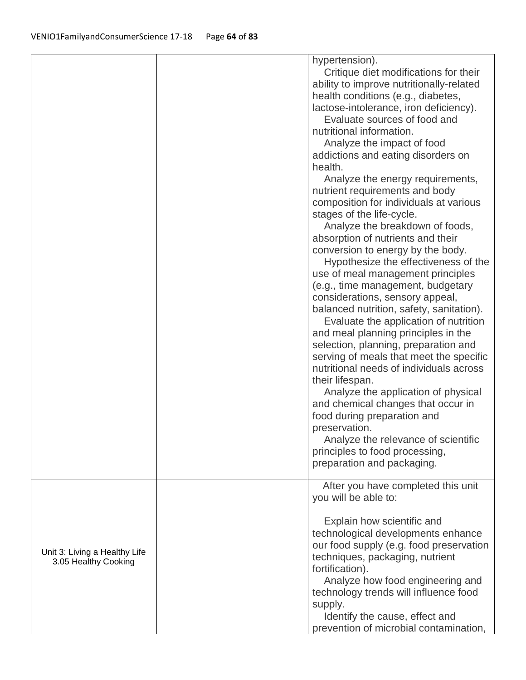|                                                       | hypertension).<br>Critique diet modifications for their<br>ability to improve nutritionally-related<br>health conditions (e.g., diabetes,<br>lactose-intolerance, iron deficiency).<br>Evaluate sources of food and<br>nutritional information.<br>Analyze the impact of food<br>addictions and eating disorders on<br>health.<br>Analyze the energy requirements,<br>nutrient requirements and body<br>composition for individuals at various<br>stages of the life-cycle.<br>Analyze the breakdown of foods,<br>absorption of nutrients and their<br>conversion to energy by the body.<br>Hypothesize the effectiveness of the<br>use of meal management principles<br>(e.g., time management, budgetary<br>considerations, sensory appeal,<br>balanced nutrition, safety, sanitation).<br>Evaluate the application of nutrition<br>and meal planning principles in the<br>selection, planning, preparation and<br>serving of meals that meet the specific<br>nutritional needs of individuals across<br>their lifespan.<br>Analyze the application of physical<br>and chemical changes that occur in<br>food during preparation and<br>preservation.<br>Analyze the relevance of scientific<br>principles to food processing,<br>preparation and packaging. |  |
|-------------------------------------------------------|----------------------------------------------------------------------------------------------------------------------------------------------------------------------------------------------------------------------------------------------------------------------------------------------------------------------------------------------------------------------------------------------------------------------------------------------------------------------------------------------------------------------------------------------------------------------------------------------------------------------------------------------------------------------------------------------------------------------------------------------------------------------------------------------------------------------------------------------------------------------------------------------------------------------------------------------------------------------------------------------------------------------------------------------------------------------------------------------------------------------------------------------------------------------------------------------------------------------------------------------------------------|--|
|                                                       | After you have completed this unit                                                                                                                                                                                                                                                                                                                                                                                                                                                                                                                                                                                                                                                                                                                                                                                                                                                                                                                                                                                                                                                                                                                                                                                                                             |  |
| Unit 3: Living a Healthy Life<br>3.05 Healthy Cooking | you will be able to:<br>Explain how scientific and<br>technological developments enhance<br>our food supply (e.g. food preservation<br>techniques, packaging, nutrient<br>fortification).<br>Analyze how food engineering and<br>technology trends will influence food<br>supply.<br>Identify the cause, effect and<br>prevention of microbial contamination,                                                                                                                                                                                                                                                                                                                                                                                                                                                                                                                                                                                                                                                                                                                                                                                                                                                                                                  |  |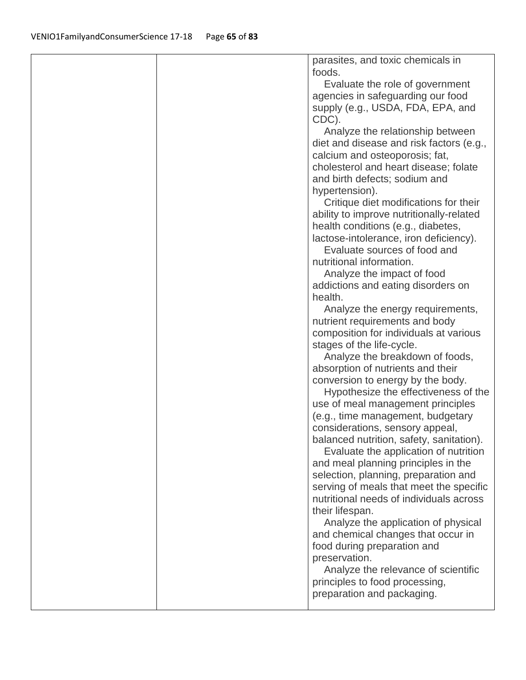|  | parasites, and toxic chemicals in                                         |
|--|---------------------------------------------------------------------------|
|  | foods.                                                                    |
|  | Evaluate the role of government                                           |
|  | agencies in safeguarding our food                                         |
|  | supply (e.g., USDA, FDA, EPA, and                                         |
|  | CDC).                                                                     |
|  | Analyze the relationship between                                          |
|  | diet and disease and risk factors (e.g.,                                  |
|  | calcium and osteoporosis; fat,                                            |
|  | cholesterol and heart disease; folate                                     |
|  | and birth defects; sodium and                                             |
|  | hypertension).                                                            |
|  | Critique diet modifications for their                                     |
|  | ability to improve nutritionally-related                                  |
|  | health conditions (e.g., diabetes,                                        |
|  | lactose-intolerance, iron deficiency).                                    |
|  | Evaluate sources of food and                                              |
|  | nutritional information.                                                  |
|  | Analyze the impact of food                                                |
|  | addictions and eating disorders on                                        |
|  | health.                                                                   |
|  | Analyze the energy requirements,                                          |
|  | nutrient requirements and body                                            |
|  | composition for individuals at various                                    |
|  | stages of the life-cycle.                                                 |
|  | Analyze the breakdown of foods,                                           |
|  | absorption of nutrients and their                                         |
|  | conversion to energy by the body.                                         |
|  | Hypothesize the effectiveness of the<br>use of meal management principles |
|  | (e.g., time management, budgetary                                         |
|  | considerations, sensory appeal,                                           |
|  | balanced nutrition, safety, sanitation).                                  |
|  | Evaluate the application of nutrition                                     |
|  | and meal planning principles in the                                       |
|  | selection, planning, preparation and                                      |
|  | serving of meals that meet the specific                                   |
|  | nutritional needs of individuals across                                   |
|  | their lifespan.                                                           |
|  | Analyze the application of physical                                       |
|  | and chemical changes that occur in                                        |
|  | food during preparation and                                               |
|  | preservation.                                                             |
|  | Analyze the relevance of scientific                                       |
|  | principles to food processing,                                            |
|  | preparation and packaging.                                                |
|  |                                                                           |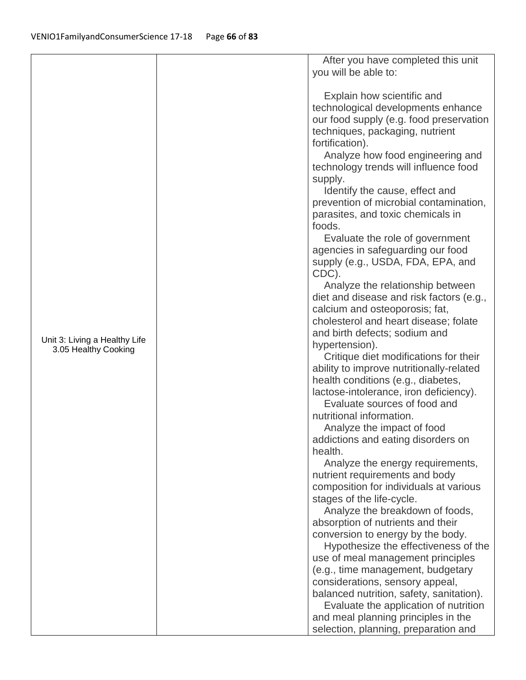|                                                       | After you have completed this unit       |
|-------------------------------------------------------|------------------------------------------|
|                                                       | you will be able to:                     |
|                                                       |                                          |
|                                                       | Explain how scientific and               |
|                                                       | technological developments enhance       |
|                                                       | our food supply (e.g. food preservation  |
|                                                       | techniques, packaging, nutrient          |
|                                                       | fortification).                          |
|                                                       | Analyze how food engineering and         |
|                                                       | technology trends will influence food    |
|                                                       | supply.                                  |
|                                                       | Identify the cause, effect and           |
|                                                       | prevention of microbial contamination,   |
|                                                       | parasites, and toxic chemicals in        |
|                                                       | foods.                                   |
|                                                       | Evaluate the role of government          |
|                                                       | agencies in safeguarding our food        |
|                                                       | supply (e.g., USDA, FDA, EPA, and        |
|                                                       | CDC).                                    |
|                                                       | Analyze the relationship between         |
|                                                       | diet and disease and risk factors (e.g., |
|                                                       | calcium and osteoporosis; fat,           |
|                                                       | cholesterol and heart disease; folate    |
|                                                       | and birth defects; sodium and            |
| Unit 3: Living a Healthy Life<br>3.05 Healthy Cooking | hypertension).                           |
|                                                       | Critique diet modifications for their    |
|                                                       | ability to improve nutritionally-related |
|                                                       | health conditions (e.g., diabetes,       |
|                                                       | lactose-intolerance, iron deficiency).   |
|                                                       | Evaluate sources of food and             |
|                                                       | nutritional information.                 |
|                                                       | Analyze the impact of food               |
|                                                       | addictions and eating disorders on       |
|                                                       | health.                                  |
|                                                       | Analyze the energy requirements,         |
|                                                       | nutrient requirements and body           |
|                                                       | composition for individuals at various   |
|                                                       | stages of the life-cycle.                |
|                                                       | Analyze the breakdown of foods,          |
|                                                       | absorption of nutrients and their        |
|                                                       | conversion to energy by the body.        |
|                                                       | Hypothesize the effectiveness of the     |
|                                                       | use of meal management principles        |
|                                                       | (e.g., time management, budgetary        |
|                                                       | considerations, sensory appeal,          |
|                                                       | balanced nutrition, safety, sanitation). |
|                                                       | Evaluate the application of nutrition    |
|                                                       | and meal planning principles in the      |
|                                                       | selection, planning, preparation and     |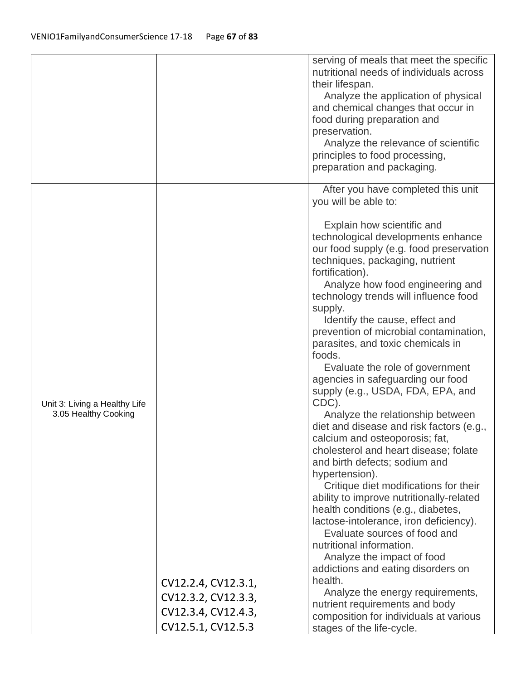|                                                       |                                                                   | serving of meals that meet the specific<br>nutritional needs of individuals across<br>their lifespan.<br>Analyze the application of physical<br>and chemical changes that occur in<br>food during preparation and<br>preservation.<br>Analyze the relevance of scientific<br>principles to food processing,<br>preparation and packaging.                                                                                                                                                                                                                                                                                                                                                                                                                                                                                                                                                                                                                                                                                                                                                                                                                                                                              |
|-------------------------------------------------------|-------------------------------------------------------------------|------------------------------------------------------------------------------------------------------------------------------------------------------------------------------------------------------------------------------------------------------------------------------------------------------------------------------------------------------------------------------------------------------------------------------------------------------------------------------------------------------------------------------------------------------------------------------------------------------------------------------------------------------------------------------------------------------------------------------------------------------------------------------------------------------------------------------------------------------------------------------------------------------------------------------------------------------------------------------------------------------------------------------------------------------------------------------------------------------------------------------------------------------------------------------------------------------------------------|
| Unit 3: Living a Healthy Life<br>3.05 Healthy Cooking | CV12.2.4, CV12.3.1,<br>CV12.3.2, CV12.3.3,<br>CV12.3.4, CV12.4.3, | After you have completed this unit<br>you will be able to:<br>Explain how scientific and<br>technological developments enhance<br>our food supply (e.g. food preservation<br>techniques, packaging, nutrient<br>fortification).<br>Analyze how food engineering and<br>technology trends will influence food<br>supply.<br>Identify the cause, effect and<br>prevention of microbial contamination,<br>parasites, and toxic chemicals in<br>foods.<br>Evaluate the role of government<br>agencies in safeguarding our food<br>supply (e.g., USDA, FDA, EPA, and<br>CDC).<br>Analyze the relationship between<br>diet and disease and risk factors (e.g.,<br>calcium and osteoporosis; fat,<br>cholesterol and heart disease; folate<br>and birth defects; sodium and<br>hypertension).<br>Critique diet modifications for their<br>ability to improve nutritionally-related<br>health conditions (e.g., diabetes,<br>lactose-intolerance, iron deficiency).<br>Evaluate sources of food and<br>nutritional information.<br>Analyze the impact of food<br>addictions and eating disorders on<br>health.<br>Analyze the energy requirements,<br>nutrient requirements and body<br>composition for individuals at various |
|                                                       | CV12.5.1, CV12.5.3                                                | stages of the life-cycle.                                                                                                                                                                                                                                                                                                                                                                                                                                                                                                                                                                                                                                                                                                                                                                                                                                                                                                                                                                                                                                                                                                                                                                                              |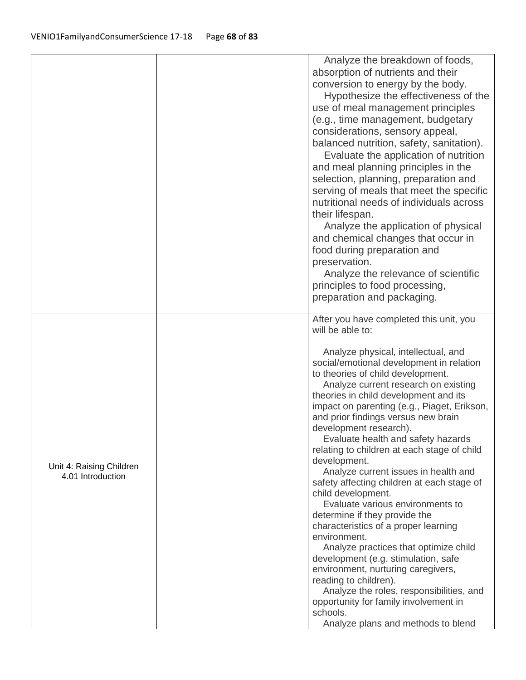| Analyze the breakdown of foods,<br>absorption of nutrients and their<br>conversion to energy by the body.<br>Hypothesize the effectiveness of the<br>use of meal management principles<br>(e.g., time management, budgetary<br>considerations, sensory appeal,<br>balanced nutrition, safety, sanitation).<br>Evaluate the application of nutrition<br>and meal planning principles in the<br>selection, planning, preparation and<br>serving of meals that meet the specific<br>nutritional needs of individuals across<br>their lifespan.<br>Analyze the application of physical<br>and chemical changes that occur in<br>food during preparation and<br>preservation.<br>Analyze the relevance of scientific<br>principles to food processing,<br>preparation and packaging.<br>After you have completed this unit, you<br>will be able to:<br>Analyze physical, intellectual, and<br>social/emotional development in relation<br>to theories of child development.<br>Analyze current research on existing<br>theories in child development and its<br>impact on parenting (e.g., Piaget, Erikson,<br>and prior findings versus new brain<br>development research).<br>Evaluate health and safety hazards<br>relating to children at each stage of child<br>development.<br>Unit 4: Raising Children<br>Analyze current issues in health and<br>4.01 Introduction<br>safety affecting children at each stage of<br>child development.<br>Evaluate various environments to<br>determine if they provide the<br>characteristics of a proper learning<br>environment.<br>Analyze practices that optimize child<br>development (e.g. stimulation, safe<br>environment, nurturing caregivers,<br>reading to children).<br>Analyze the roles, responsibilities, and<br>opportunity for family involvement in |  |          |
|------------------------------------------------------------------------------------------------------------------------------------------------------------------------------------------------------------------------------------------------------------------------------------------------------------------------------------------------------------------------------------------------------------------------------------------------------------------------------------------------------------------------------------------------------------------------------------------------------------------------------------------------------------------------------------------------------------------------------------------------------------------------------------------------------------------------------------------------------------------------------------------------------------------------------------------------------------------------------------------------------------------------------------------------------------------------------------------------------------------------------------------------------------------------------------------------------------------------------------------------------------------------------------------------------------------------------------------------------------------------------------------------------------------------------------------------------------------------------------------------------------------------------------------------------------------------------------------------------------------------------------------------------------------------------------------------------------------------------------------------------------------------------------------------------------|--|----------|
|                                                                                                                                                                                                                                                                                                                                                                                                                                                                                                                                                                                                                                                                                                                                                                                                                                                                                                                                                                                                                                                                                                                                                                                                                                                                                                                                                                                                                                                                                                                                                                                                                                                                                                                                                                                                            |  |          |
|                                                                                                                                                                                                                                                                                                                                                                                                                                                                                                                                                                                                                                                                                                                                                                                                                                                                                                                                                                                                                                                                                                                                                                                                                                                                                                                                                                                                                                                                                                                                                                                                                                                                                                                                                                                                            |  |          |
|                                                                                                                                                                                                                                                                                                                                                                                                                                                                                                                                                                                                                                                                                                                                                                                                                                                                                                                                                                                                                                                                                                                                                                                                                                                                                                                                                                                                                                                                                                                                                                                                                                                                                                                                                                                                            |  |          |
|                                                                                                                                                                                                                                                                                                                                                                                                                                                                                                                                                                                                                                                                                                                                                                                                                                                                                                                                                                                                                                                                                                                                                                                                                                                                                                                                                                                                                                                                                                                                                                                                                                                                                                                                                                                                            |  |          |
|                                                                                                                                                                                                                                                                                                                                                                                                                                                                                                                                                                                                                                                                                                                                                                                                                                                                                                                                                                                                                                                                                                                                                                                                                                                                                                                                                                                                                                                                                                                                                                                                                                                                                                                                                                                                            |  |          |
|                                                                                                                                                                                                                                                                                                                                                                                                                                                                                                                                                                                                                                                                                                                                                                                                                                                                                                                                                                                                                                                                                                                                                                                                                                                                                                                                                                                                                                                                                                                                                                                                                                                                                                                                                                                                            |  |          |
|                                                                                                                                                                                                                                                                                                                                                                                                                                                                                                                                                                                                                                                                                                                                                                                                                                                                                                                                                                                                                                                                                                                                                                                                                                                                                                                                                                                                                                                                                                                                                                                                                                                                                                                                                                                                            |  |          |
|                                                                                                                                                                                                                                                                                                                                                                                                                                                                                                                                                                                                                                                                                                                                                                                                                                                                                                                                                                                                                                                                                                                                                                                                                                                                                                                                                                                                                                                                                                                                                                                                                                                                                                                                                                                                            |  |          |
|                                                                                                                                                                                                                                                                                                                                                                                                                                                                                                                                                                                                                                                                                                                                                                                                                                                                                                                                                                                                                                                                                                                                                                                                                                                                                                                                                                                                                                                                                                                                                                                                                                                                                                                                                                                                            |  |          |
|                                                                                                                                                                                                                                                                                                                                                                                                                                                                                                                                                                                                                                                                                                                                                                                                                                                                                                                                                                                                                                                                                                                                                                                                                                                                                                                                                                                                                                                                                                                                                                                                                                                                                                                                                                                                            |  |          |
|                                                                                                                                                                                                                                                                                                                                                                                                                                                                                                                                                                                                                                                                                                                                                                                                                                                                                                                                                                                                                                                                                                                                                                                                                                                                                                                                                                                                                                                                                                                                                                                                                                                                                                                                                                                                            |  |          |
|                                                                                                                                                                                                                                                                                                                                                                                                                                                                                                                                                                                                                                                                                                                                                                                                                                                                                                                                                                                                                                                                                                                                                                                                                                                                                                                                                                                                                                                                                                                                                                                                                                                                                                                                                                                                            |  |          |
|                                                                                                                                                                                                                                                                                                                                                                                                                                                                                                                                                                                                                                                                                                                                                                                                                                                                                                                                                                                                                                                                                                                                                                                                                                                                                                                                                                                                                                                                                                                                                                                                                                                                                                                                                                                                            |  |          |
|                                                                                                                                                                                                                                                                                                                                                                                                                                                                                                                                                                                                                                                                                                                                                                                                                                                                                                                                                                                                                                                                                                                                                                                                                                                                                                                                                                                                                                                                                                                                                                                                                                                                                                                                                                                                            |  |          |
|                                                                                                                                                                                                                                                                                                                                                                                                                                                                                                                                                                                                                                                                                                                                                                                                                                                                                                                                                                                                                                                                                                                                                                                                                                                                                                                                                                                                                                                                                                                                                                                                                                                                                                                                                                                                            |  |          |
|                                                                                                                                                                                                                                                                                                                                                                                                                                                                                                                                                                                                                                                                                                                                                                                                                                                                                                                                                                                                                                                                                                                                                                                                                                                                                                                                                                                                                                                                                                                                                                                                                                                                                                                                                                                                            |  |          |
|                                                                                                                                                                                                                                                                                                                                                                                                                                                                                                                                                                                                                                                                                                                                                                                                                                                                                                                                                                                                                                                                                                                                                                                                                                                                                                                                                                                                                                                                                                                                                                                                                                                                                                                                                                                                            |  |          |
|                                                                                                                                                                                                                                                                                                                                                                                                                                                                                                                                                                                                                                                                                                                                                                                                                                                                                                                                                                                                                                                                                                                                                                                                                                                                                                                                                                                                                                                                                                                                                                                                                                                                                                                                                                                                            |  |          |
|                                                                                                                                                                                                                                                                                                                                                                                                                                                                                                                                                                                                                                                                                                                                                                                                                                                                                                                                                                                                                                                                                                                                                                                                                                                                                                                                                                                                                                                                                                                                                                                                                                                                                                                                                                                                            |  |          |
|                                                                                                                                                                                                                                                                                                                                                                                                                                                                                                                                                                                                                                                                                                                                                                                                                                                                                                                                                                                                                                                                                                                                                                                                                                                                                                                                                                                                                                                                                                                                                                                                                                                                                                                                                                                                            |  |          |
|                                                                                                                                                                                                                                                                                                                                                                                                                                                                                                                                                                                                                                                                                                                                                                                                                                                                                                                                                                                                                                                                                                                                                                                                                                                                                                                                                                                                                                                                                                                                                                                                                                                                                                                                                                                                            |  |          |
|                                                                                                                                                                                                                                                                                                                                                                                                                                                                                                                                                                                                                                                                                                                                                                                                                                                                                                                                                                                                                                                                                                                                                                                                                                                                                                                                                                                                                                                                                                                                                                                                                                                                                                                                                                                                            |  |          |
|                                                                                                                                                                                                                                                                                                                                                                                                                                                                                                                                                                                                                                                                                                                                                                                                                                                                                                                                                                                                                                                                                                                                                                                                                                                                                                                                                                                                                                                                                                                                                                                                                                                                                                                                                                                                            |  |          |
|                                                                                                                                                                                                                                                                                                                                                                                                                                                                                                                                                                                                                                                                                                                                                                                                                                                                                                                                                                                                                                                                                                                                                                                                                                                                                                                                                                                                                                                                                                                                                                                                                                                                                                                                                                                                            |  |          |
|                                                                                                                                                                                                                                                                                                                                                                                                                                                                                                                                                                                                                                                                                                                                                                                                                                                                                                                                                                                                                                                                                                                                                                                                                                                                                                                                                                                                                                                                                                                                                                                                                                                                                                                                                                                                            |  |          |
|                                                                                                                                                                                                                                                                                                                                                                                                                                                                                                                                                                                                                                                                                                                                                                                                                                                                                                                                                                                                                                                                                                                                                                                                                                                                                                                                                                                                                                                                                                                                                                                                                                                                                                                                                                                                            |  |          |
|                                                                                                                                                                                                                                                                                                                                                                                                                                                                                                                                                                                                                                                                                                                                                                                                                                                                                                                                                                                                                                                                                                                                                                                                                                                                                                                                                                                                                                                                                                                                                                                                                                                                                                                                                                                                            |  |          |
|                                                                                                                                                                                                                                                                                                                                                                                                                                                                                                                                                                                                                                                                                                                                                                                                                                                                                                                                                                                                                                                                                                                                                                                                                                                                                                                                                                                                                                                                                                                                                                                                                                                                                                                                                                                                            |  |          |
|                                                                                                                                                                                                                                                                                                                                                                                                                                                                                                                                                                                                                                                                                                                                                                                                                                                                                                                                                                                                                                                                                                                                                                                                                                                                                                                                                                                                                                                                                                                                                                                                                                                                                                                                                                                                            |  |          |
|                                                                                                                                                                                                                                                                                                                                                                                                                                                                                                                                                                                                                                                                                                                                                                                                                                                                                                                                                                                                                                                                                                                                                                                                                                                                                                                                                                                                                                                                                                                                                                                                                                                                                                                                                                                                            |  |          |
|                                                                                                                                                                                                                                                                                                                                                                                                                                                                                                                                                                                                                                                                                                                                                                                                                                                                                                                                                                                                                                                                                                                                                                                                                                                                                                                                                                                                                                                                                                                                                                                                                                                                                                                                                                                                            |  |          |
|                                                                                                                                                                                                                                                                                                                                                                                                                                                                                                                                                                                                                                                                                                                                                                                                                                                                                                                                                                                                                                                                                                                                                                                                                                                                                                                                                                                                                                                                                                                                                                                                                                                                                                                                                                                                            |  |          |
|                                                                                                                                                                                                                                                                                                                                                                                                                                                                                                                                                                                                                                                                                                                                                                                                                                                                                                                                                                                                                                                                                                                                                                                                                                                                                                                                                                                                                                                                                                                                                                                                                                                                                                                                                                                                            |  |          |
|                                                                                                                                                                                                                                                                                                                                                                                                                                                                                                                                                                                                                                                                                                                                                                                                                                                                                                                                                                                                                                                                                                                                                                                                                                                                                                                                                                                                                                                                                                                                                                                                                                                                                                                                                                                                            |  |          |
|                                                                                                                                                                                                                                                                                                                                                                                                                                                                                                                                                                                                                                                                                                                                                                                                                                                                                                                                                                                                                                                                                                                                                                                                                                                                                                                                                                                                                                                                                                                                                                                                                                                                                                                                                                                                            |  |          |
|                                                                                                                                                                                                                                                                                                                                                                                                                                                                                                                                                                                                                                                                                                                                                                                                                                                                                                                                                                                                                                                                                                                                                                                                                                                                                                                                                                                                                                                                                                                                                                                                                                                                                                                                                                                                            |  |          |
|                                                                                                                                                                                                                                                                                                                                                                                                                                                                                                                                                                                                                                                                                                                                                                                                                                                                                                                                                                                                                                                                                                                                                                                                                                                                                                                                                                                                                                                                                                                                                                                                                                                                                                                                                                                                            |  |          |
|                                                                                                                                                                                                                                                                                                                                                                                                                                                                                                                                                                                                                                                                                                                                                                                                                                                                                                                                                                                                                                                                                                                                                                                                                                                                                                                                                                                                                                                                                                                                                                                                                                                                                                                                                                                                            |  |          |
|                                                                                                                                                                                                                                                                                                                                                                                                                                                                                                                                                                                                                                                                                                                                                                                                                                                                                                                                                                                                                                                                                                                                                                                                                                                                                                                                                                                                                                                                                                                                                                                                                                                                                                                                                                                                            |  |          |
|                                                                                                                                                                                                                                                                                                                                                                                                                                                                                                                                                                                                                                                                                                                                                                                                                                                                                                                                                                                                                                                                                                                                                                                                                                                                                                                                                                                                                                                                                                                                                                                                                                                                                                                                                                                                            |  |          |
|                                                                                                                                                                                                                                                                                                                                                                                                                                                                                                                                                                                                                                                                                                                                                                                                                                                                                                                                                                                                                                                                                                                                                                                                                                                                                                                                                                                                                                                                                                                                                                                                                                                                                                                                                                                                            |  |          |
|                                                                                                                                                                                                                                                                                                                                                                                                                                                                                                                                                                                                                                                                                                                                                                                                                                                                                                                                                                                                                                                                                                                                                                                                                                                                                                                                                                                                                                                                                                                                                                                                                                                                                                                                                                                                            |  |          |
|                                                                                                                                                                                                                                                                                                                                                                                                                                                                                                                                                                                                                                                                                                                                                                                                                                                                                                                                                                                                                                                                                                                                                                                                                                                                                                                                                                                                                                                                                                                                                                                                                                                                                                                                                                                                            |  |          |
|                                                                                                                                                                                                                                                                                                                                                                                                                                                                                                                                                                                                                                                                                                                                                                                                                                                                                                                                                                                                                                                                                                                                                                                                                                                                                                                                                                                                                                                                                                                                                                                                                                                                                                                                                                                                            |  |          |
|                                                                                                                                                                                                                                                                                                                                                                                                                                                                                                                                                                                                                                                                                                                                                                                                                                                                                                                                                                                                                                                                                                                                                                                                                                                                                                                                                                                                                                                                                                                                                                                                                                                                                                                                                                                                            |  |          |
|                                                                                                                                                                                                                                                                                                                                                                                                                                                                                                                                                                                                                                                                                                                                                                                                                                                                                                                                                                                                                                                                                                                                                                                                                                                                                                                                                                                                                                                                                                                                                                                                                                                                                                                                                                                                            |  |          |
|                                                                                                                                                                                                                                                                                                                                                                                                                                                                                                                                                                                                                                                                                                                                                                                                                                                                                                                                                                                                                                                                                                                                                                                                                                                                                                                                                                                                                                                                                                                                                                                                                                                                                                                                                                                                            |  |          |
|                                                                                                                                                                                                                                                                                                                                                                                                                                                                                                                                                                                                                                                                                                                                                                                                                                                                                                                                                                                                                                                                                                                                                                                                                                                                                                                                                                                                                                                                                                                                                                                                                                                                                                                                                                                                            |  |          |
|                                                                                                                                                                                                                                                                                                                                                                                                                                                                                                                                                                                                                                                                                                                                                                                                                                                                                                                                                                                                                                                                                                                                                                                                                                                                                                                                                                                                                                                                                                                                                                                                                                                                                                                                                                                                            |  | schools. |
| Analyze plans and methods to blend                                                                                                                                                                                                                                                                                                                                                                                                                                                                                                                                                                                                                                                                                                                                                                                                                                                                                                                                                                                                                                                                                                                                                                                                                                                                                                                                                                                                                                                                                                                                                                                                                                                                                                                                                                         |  |          |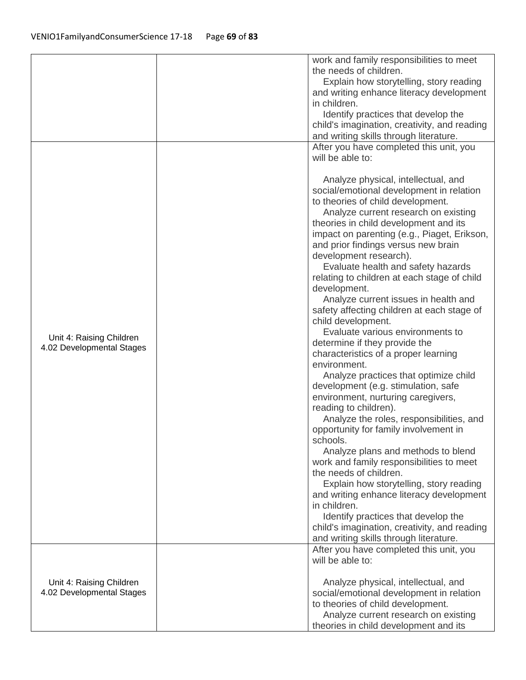|                           | work and family responsibilities to meet<br>the needs of children.                |
|---------------------------|-----------------------------------------------------------------------------------|
|                           |                                                                                   |
|                           | Explain how storytelling, story reading                                           |
|                           | and writing enhance literacy development<br>in children.                          |
|                           |                                                                                   |
|                           | Identify practices that develop the                                               |
|                           | child's imagination, creativity, and reading                                      |
|                           | and writing skills through literature.<br>After you have completed this unit, you |
|                           | will be able to:                                                                  |
|                           |                                                                                   |
|                           | Analyze physical, intellectual, and                                               |
|                           | social/emotional development in relation                                          |
|                           | to theories of child development.                                                 |
|                           | Analyze current research on existing                                              |
|                           | theories in child development and its                                             |
|                           | impact on parenting (e.g., Piaget, Erikson,                                       |
|                           | and prior findings versus new brain                                               |
|                           | development research).                                                            |
|                           | Evaluate health and safety hazards                                                |
|                           | relating to children at each stage of child                                       |
|                           | development.                                                                      |
|                           | Analyze current issues in health and                                              |
|                           | safety affecting children at each stage of                                        |
|                           | child development.                                                                |
| Unit 4: Raising Children  | Evaluate various environments to                                                  |
| 4.02 Developmental Stages | determine if they provide the                                                     |
|                           | characteristics of a proper learning                                              |
|                           | environment.                                                                      |
|                           | Analyze practices that optimize child                                             |
|                           | development (e.g. stimulation, safe                                               |
|                           | environment, nurturing caregivers,                                                |
|                           | reading to children).                                                             |
|                           | Analyze the roles, responsibilities, and                                          |
|                           | opportunity for family involvement in                                             |
|                           | schools.                                                                          |
|                           | Analyze plans and methods to blend<br>work and family responsibilities to meet    |
|                           | the needs of children.                                                            |
|                           | Explain how storytelling, story reading                                           |
|                           | and writing enhance literacy development                                          |
|                           | in children.                                                                      |
|                           | Identify practices that develop the                                               |
|                           | child's imagination, creativity, and reading                                      |
|                           | and writing skills through literature.                                            |
|                           | After you have completed this unit, you                                           |
|                           | will be able to:                                                                  |
|                           |                                                                                   |
| Unit 4: Raising Children  | Analyze physical, intellectual, and                                               |
| 4.02 Developmental Stages | social/emotional development in relation                                          |
|                           | to theories of child development.                                                 |
|                           | Analyze current research on existing                                              |
|                           | theories in child development and its                                             |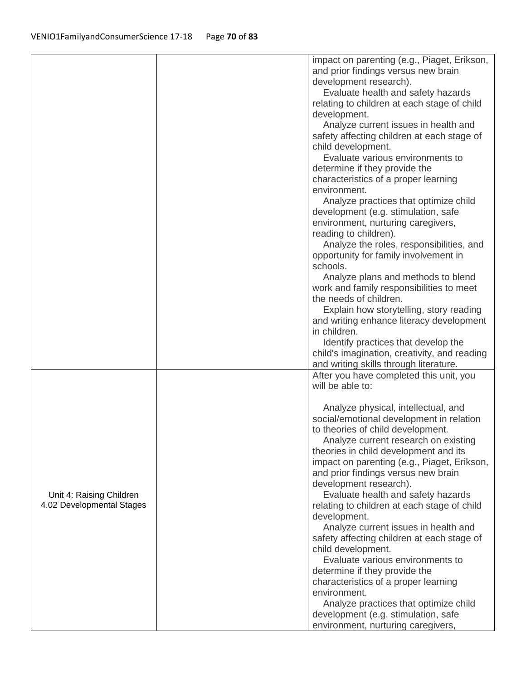|                                                       | impact on parenting (e.g., Piaget, Erikson,<br>and prior findings versus new brain<br>development research).<br>Evaluate health and safety hazards<br>relating to children at each stage of child<br>development.<br>Analyze current issues in health and<br>safety affecting children at each stage of<br>child development.<br>Evaluate various environments to<br>determine if they provide the<br>characteristics of a proper learning<br>environment.<br>Analyze practices that optimize child                                                                                                                                                                                                                                                                                                                                                      |
|-------------------------------------------------------|----------------------------------------------------------------------------------------------------------------------------------------------------------------------------------------------------------------------------------------------------------------------------------------------------------------------------------------------------------------------------------------------------------------------------------------------------------------------------------------------------------------------------------------------------------------------------------------------------------------------------------------------------------------------------------------------------------------------------------------------------------------------------------------------------------------------------------------------------------|
|                                                       | development (e.g. stimulation, safe<br>environment, nurturing caregivers,<br>reading to children).<br>Analyze the roles, responsibilities, and<br>opportunity for family involvement in<br>schools.<br>Analyze plans and methods to blend<br>work and family responsibilities to meet<br>the needs of children.<br>Explain how storytelling, story reading<br>and writing enhance literacy development<br>in children.                                                                                                                                                                                                                                                                                                                                                                                                                                   |
|                                                       | Identify practices that develop the<br>child's imagination, creativity, and reading<br>and writing skills through literature.                                                                                                                                                                                                                                                                                                                                                                                                                                                                                                                                                                                                                                                                                                                            |
| Unit 4: Raising Children<br>4.02 Developmental Stages | After you have completed this unit, you<br>will be able to:<br>Analyze physical, intellectual, and<br>social/emotional development in relation<br>to theories of child development.<br>Analyze current research on existing<br>theories in child development and its<br>impact on parenting (e.g., Piaget, Erikson,<br>and prior findings versus new brain<br>development research).<br>Evaluate health and safety hazards<br>relating to children at each stage of child<br>development.<br>Analyze current issues in health and<br>safety affecting children at each stage of<br>child development.<br>Evaluate various environments to<br>determine if they provide the<br>characteristics of a proper learning<br>environment.<br>Analyze practices that optimize child<br>development (e.g. stimulation, safe<br>environment, nurturing caregivers, |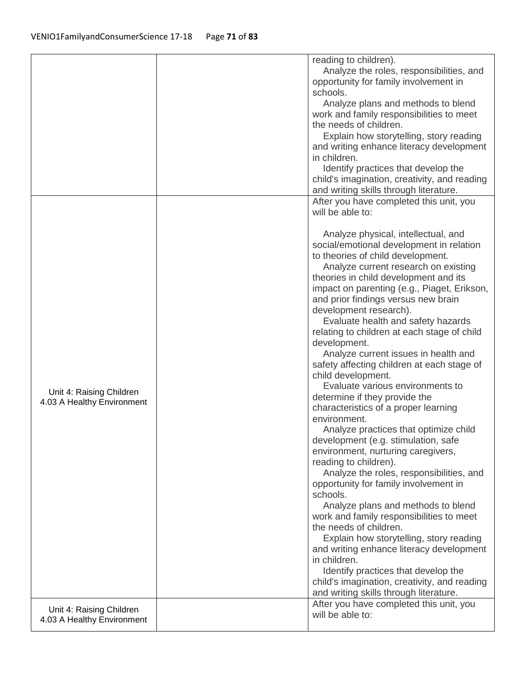|                                                        | reading to children).<br>Analyze the roles, responsibilities, and<br>opportunity for family involvement in<br>schools.<br>Analyze plans and methods to blend<br>work and family responsibilities to meet<br>the needs of children.<br>Explain how storytelling, story reading<br>and writing enhance literacy development<br>in children.<br>Identify practices that develop the<br>child's imagination, creativity, and reading<br>and writing skills through literature.                                                                                                                                                                                                                                                                                                                                                                                                                                                                                                                                                                                                                                                                                                                                                                                                                                                                                                        |
|--------------------------------------------------------|-----------------------------------------------------------------------------------------------------------------------------------------------------------------------------------------------------------------------------------------------------------------------------------------------------------------------------------------------------------------------------------------------------------------------------------------------------------------------------------------------------------------------------------------------------------------------------------------------------------------------------------------------------------------------------------------------------------------------------------------------------------------------------------------------------------------------------------------------------------------------------------------------------------------------------------------------------------------------------------------------------------------------------------------------------------------------------------------------------------------------------------------------------------------------------------------------------------------------------------------------------------------------------------------------------------------------------------------------------------------------------------|
| Unit 4: Raising Children<br>4.03 A Healthy Environment | After you have completed this unit, you<br>will be able to:<br>Analyze physical, intellectual, and<br>social/emotional development in relation<br>to theories of child development.<br>Analyze current research on existing<br>theories in child development and its<br>impact on parenting (e.g., Piaget, Erikson,<br>and prior findings versus new brain<br>development research).<br>Evaluate health and safety hazards<br>relating to children at each stage of child<br>development.<br>Analyze current issues in health and<br>safety affecting children at each stage of<br>child development.<br>Evaluate various environments to<br>determine if they provide the<br>characteristics of a proper learning<br>environment.<br>Analyze practices that optimize child<br>development (e.g. stimulation, safe<br>environment, nurturing caregivers,<br>reading to children).<br>Analyze the roles, responsibilities, and<br>opportunity for family involvement in<br>schools.<br>Analyze plans and methods to blend<br>work and family responsibilities to meet<br>the needs of children.<br>Explain how storytelling, story reading<br>and writing enhance literacy development<br>in children.<br>Identify practices that develop the<br>child's imagination, creativity, and reading<br>and writing skills through literature.<br>After you have completed this unit, you |
| Unit 4: Raising Children<br>4.03 A Healthy Environment | will be able to:                                                                                                                                                                                                                                                                                                                                                                                                                                                                                                                                                                                                                                                                                                                                                                                                                                                                                                                                                                                                                                                                                                                                                                                                                                                                                                                                                                  |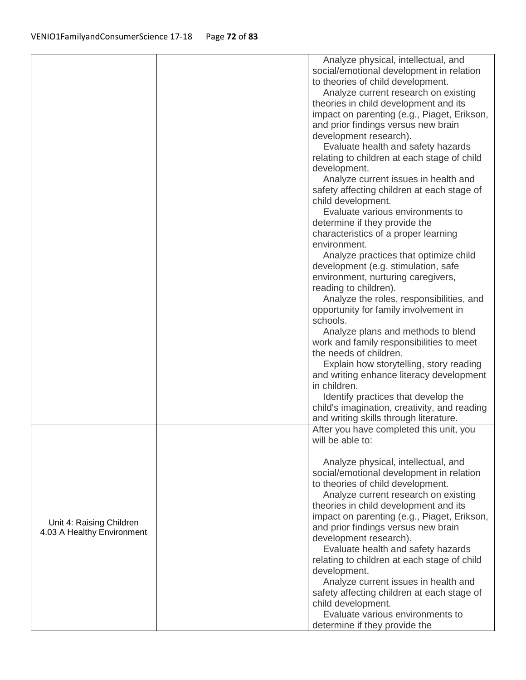|                            | Analyze physical, intellectual, and          |
|----------------------------|----------------------------------------------|
|                            | social/emotional development in relation     |
|                            | to theories of child development.            |
|                            | Analyze current research on existing         |
|                            | theories in child development and its        |
|                            | impact on parenting (e.g., Piaget, Erikson,  |
|                            |                                              |
|                            | and prior findings versus new brain          |
|                            | development research).                       |
|                            | Evaluate health and safety hazards           |
|                            | relating to children at each stage of child  |
|                            | development.                                 |
|                            | Analyze current issues in health and         |
|                            | safety affecting children at each stage of   |
|                            | child development.                           |
|                            | Evaluate various environments to             |
|                            | determine if they provide the                |
|                            | characteristics of a proper learning         |
|                            |                                              |
|                            | environment.                                 |
|                            | Analyze practices that optimize child        |
|                            | development (e.g. stimulation, safe          |
|                            | environment, nurturing caregivers,           |
|                            | reading to children).                        |
|                            | Analyze the roles, responsibilities, and     |
|                            | opportunity for family involvement in        |
|                            | schools.                                     |
|                            | Analyze plans and methods to blend           |
|                            | work and family responsibilities to meet     |
|                            | the needs of children.                       |
|                            | Explain how storytelling, story reading      |
|                            |                                              |
|                            | and writing enhance literacy development     |
|                            | in children.                                 |
|                            | Identify practices that develop the          |
|                            | child's imagination, creativity, and reading |
|                            | and writing skills through literature.       |
|                            | After you have completed this unit, you      |
|                            | will be able to:                             |
|                            |                                              |
|                            | Analyze physical, intellectual, and          |
|                            | social/emotional development in relation     |
|                            | to theories of child development.            |
|                            | Analyze current research on existing         |
|                            | theories in child development and its        |
|                            | impact on parenting (e.g., Piaget, Erikson,  |
| Unit 4: Raising Children   | and prior findings versus new brain          |
| 4.03 A Healthy Environment |                                              |
|                            | development research).                       |
|                            | Evaluate health and safety hazards           |
|                            | relating to children at each stage of child  |
|                            | development.                                 |
|                            | Analyze current issues in health and         |
|                            | safety affecting children at each stage of   |
|                            | child development.                           |
|                            | Evaluate various environments to             |
|                            | determine if they provide the                |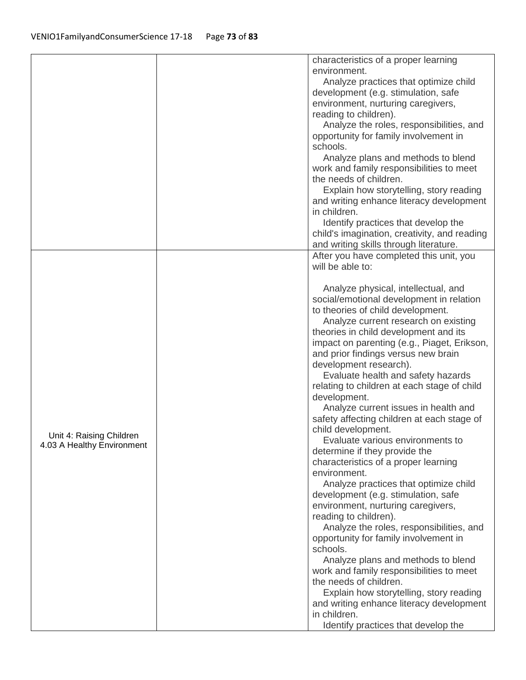|                            | characteristics of a proper learning         |
|----------------------------|----------------------------------------------|
|                            | environment.                                 |
|                            | Analyze practices that optimize child        |
|                            | development (e.g. stimulation, safe          |
|                            | environment, nurturing caregivers,           |
|                            | reading to children).                        |
|                            | Analyze the roles, responsibilities, and     |
|                            | opportunity for family involvement in        |
|                            | schools.                                     |
|                            | Analyze plans and methods to blend           |
|                            | work and family responsibilities to meet     |
|                            | the needs of children.                       |
|                            | Explain how storytelling, story reading      |
|                            | and writing enhance literacy development     |
|                            | in children.                                 |
|                            | Identify practices that develop the          |
|                            |                                              |
|                            | child's imagination, creativity, and reading |
|                            | and writing skills through literature.       |
|                            | After you have completed this unit, you      |
|                            | will be able to:                             |
|                            |                                              |
|                            | Analyze physical, intellectual, and          |
|                            | social/emotional development in relation     |
|                            | to theories of child development.            |
|                            | Analyze current research on existing         |
|                            | theories in child development and its        |
|                            | impact on parenting (e.g., Piaget, Erikson,  |
|                            | and prior findings versus new brain          |
|                            | development research).                       |
|                            | Evaluate health and safety hazards           |
|                            | relating to children at each stage of child  |
|                            | development.                                 |
|                            | Analyze current issues in health and         |
|                            | safety affecting children at each stage of   |
|                            | child development.                           |
| Unit 4: Raising Children   | Evaluate various environments to             |
| 4.03 A Healthy Environment | determine if they provide the                |
|                            | characteristics of a proper learning         |
|                            | environment.                                 |
|                            | Analyze practices that optimize child        |
|                            | development (e.g. stimulation, safe          |
|                            | environment, nurturing caregivers,           |
|                            | reading to children).                        |
|                            | Analyze the roles, responsibilities, and     |
|                            | opportunity for family involvement in        |
|                            | schools.                                     |
|                            |                                              |
|                            | Analyze plans and methods to blend           |
|                            | work and family responsibilities to meet     |
|                            | the needs of children.                       |
|                            | Explain how storytelling, story reading      |
|                            | and writing enhance literacy development     |
|                            | in children.                                 |
|                            | Identify practices that develop the          |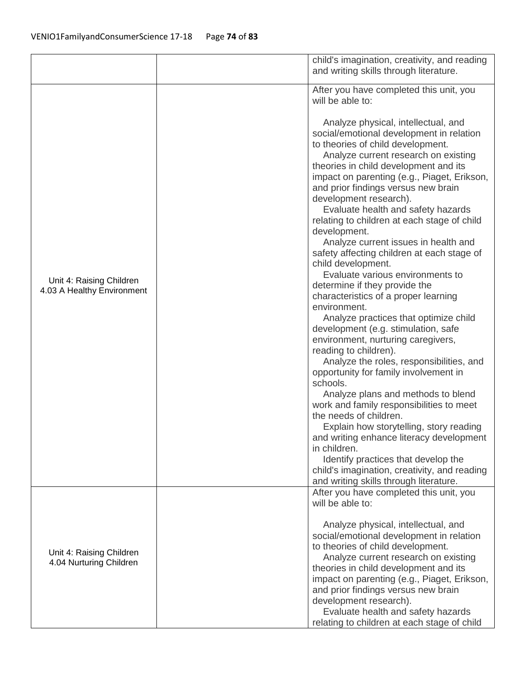|                                                        | child's imagination, creativity, and reading<br>and writing skills through literature.                                                                                                                                                                                                                                                                                                                                                                                                                                                                                                                                                                                                                                                                                                                                                                                                                                                                                                                                                                                                                                                 |
|--------------------------------------------------------|----------------------------------------------------------------------------------------------------------------------------------------------------------------------------------------------------------------------------------------------------------------------------------------------------------------------------------------------------------------------------------------------------------------------------------------------------------------------------------------------------------------------------------------------------------------------------------------------------------------------------------------------------------------------------------------------------------------------------------------------------------------------------------------------------------------------------------------------------------------------------------------------------------------------------------------------------------------------------------------------------------------------------------------------------------------------------------------------------------------------------------------|
|                                                        | After you have completed this unit, you<br>will be able to:                                                                                                                                                                                                                                                                                                                                                                                                                                                                                                                                                                                                                                                                                                                                                                                                                                                                                                                                                                                                                                                                            |
| Unit 4: Raising Children<br>4.03 A Healthy Environment | Analyze physical, intellectual, and<br>social/emotional development in relation<br>to theories of child development.<br>Analyze current research on existing<br>theories in child development and its<br>impact on parenting (e.g., Piaget, Erikson,<br>and prior findings versus new brain<br>development research).<br>Evaluate health and safety hazards<br>relating to children at each stage of child<br>development.<br>Analyze current issues in health and<br>safety affecting children at each stage of<br>child development.<br>Evaluate various environments to<br>determine if they provide the<br>characteristics of a proper learning<br>environment.<br>Analyze practices that optimize child<br>development (e.g. stimulation, safe<br>environment, nurturing caregivers,<br>reading to children).<br>Analyze the roles, responsibilities, and<br>opportunity for family involvement in<br>schools.<br>Analyze plans and methods to blend<br>work and family responsibilities to meet<br>the needs of children.<br>Explain how storytelling, story reading<br>and writing enhance literacy development<br>in children. |
|                                                        | Identify practices that develop the<br>child's imagination, creativity, and reading<br>and writing skills through literature.                                                                                                                                                                                                                                                                                                                                                                                                                                                                                                                                                                                                                                                                                                                                                                                                                                                                                                                                                                                                          |
|                                                        | After you have completed this unit, you<br>will be able to:                                                                                                                                                                                                                                                                                                                                                                                                                                                                                                                                                                                                                                                                                                                                                                                                                                                                                                                                                                                                                                                                            |
| Unit 4: Raising Children<br>4.04 Nurturing Children    | Analyze physical, intellectual, and<br>social/emotional development in relation<br>to theories of child development.<br>Analyze current research on existing<br>theories in child development and its<br>impact on parenting (e.g., Piaget, Erikson,<br>and prior findings versus new brain<br>development research).<br>Evaluate health and safety hazards                                                                                                                                                                                                                                                                                                                                                                                                                                                                                                                                                                                                                                                                                                                                                                            |
|                                                        | relating to children at each stage of child                                                                                                                                                                                                                                                                                                                                                                                                                                                                                                                                                                                                                                                                                                                                                                                                                                                                                                                                                                                                                                                                                            |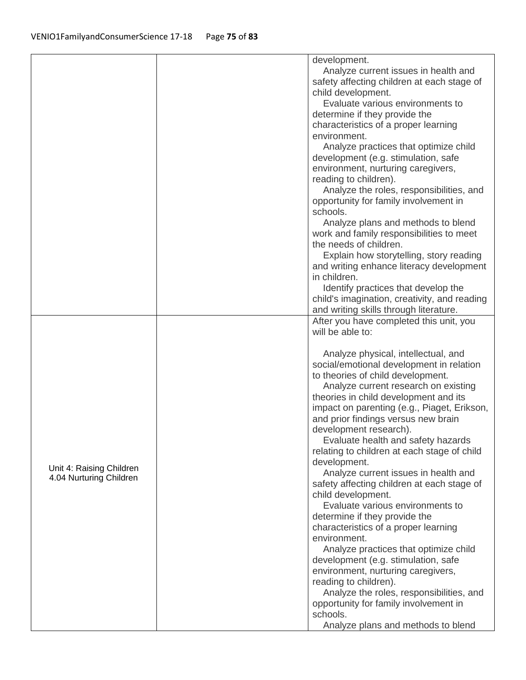|                                                     | development.                                   |
|-----------------------------------------------------|------------------------------------------------|
|                                                     | Analyze current issues in health and           |
|                                                     | safety affecting children at each stage of     |
|                                                     | child development.                             |
|                                                     | Evaluate various environments to               |
|                                                     | determine if they provide the                  |
|                                                     | characteristics of a proper learning           |
|                                                     | environment.                                   |
|                                                     | Analyze practices that optimize child          |
|                                                     | development (e.g. stimulation, safe            |
|                                                     | environment, nurturing caregivers,             |
|                                                     |                                                |
|                                                     | reading to children).                          |
|                                                     | Analyze the roles, responsibilities, and       |
|                                                     | opportunity for family involvement in          |
|                                                     | schools.                                       |
|                                                     | Analyze plans and methods to blend             |
|                                                     | work and family responsibilities to meet       |
|                                                     | the needs of children.                         |
|                                                     | Explain how storytelling, story reading        |
|                                                     | and writing enhance literacy development       |
|                                                     | in children.                                   |
|                                                     | Identify practices that develop the            |
|                                                     | child's imagination, creativity, and reading   |
|                                                     | and writing skills through literature.         |
|                                                     | After you have completed this unit, you        |
|                                                     | will be able to:                               |
|                                                     |                                                |
|                                                     | Analyze physical, intellectual, and            |
|                                                     | social/emotional development in relation       |
|                                                     | to theories of child development.              |
|                                                     | Analyze current research on existing           |
|                                                     | theories in child development and its          |
|                                                     | impact on parenting (e.g., Piaget, Erikson,    |
|                                                     | and prior findings versus new brain            |
| Unit 4: Raising Children<br>4.04 Nurturing Children | development research).                         |
|                                                     | Evaluate health and safety hazards             |
|                                                     | relating to children at each stage of child    |
|                                                     | development.                                   |
|                                                     |                                                |
|                                                     |                                                |
|                                                     | Analyze current issues in health and           |
|                                                     | safety affecting children at each stage of     |
|                                                     | child development.                             |
|                                                     | Evaluate various environments to               |
|                                                     | determine if they provide the                  |
|                                                     | characteristics of a proper learning           |
|                                                     | environment.                                   |
|                                                     | Analyze practices that optimize child          |
|                                                     | development (e.g. stimulation, safe            |
|                                                     | environment, nurturing caregivers,             |
|                                                     | reading to children).                          |
|                                                     | Analyze the roles, responsibilities, and       |
|                                                     | opportunity for family involvement in          |
|                                                     | schools.<br>Analyze plans and methods to blend |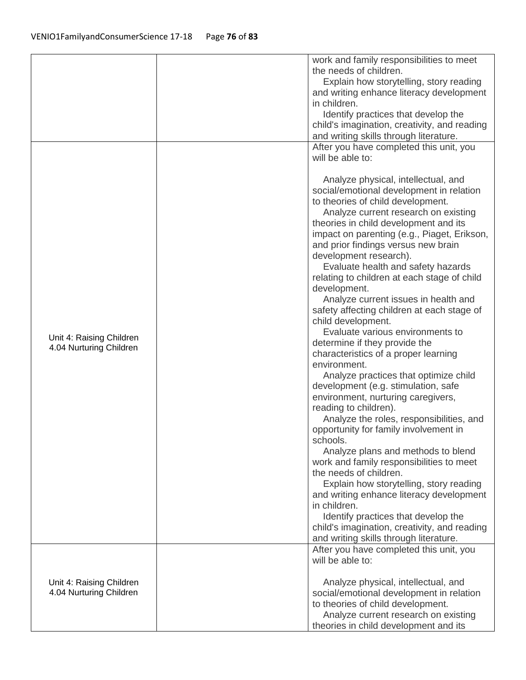|                          | work and family responsibilities to meet     |
|--------------------------|----------------------------------------------|
|                          | the needs of children.                       |
|                          | Explain how storytelling, story reading      |
|                          | and writing enhance literacy development     |
|                          | in children.                                 |
|                          | Identify practices that develop the          |
|                          | child's imagination, creativity, and reading |
|                          | and writing skills through literature.       |
|                          | After you have completed this unit, you      |
|                          | will be able to:                             |
|                          |                                              |
|                          | Analyze physical, intellectual, and          |
|                          | social/emotional development in relation     |
|                          | to theories of child development.            |
|                          | Analyze current research on existing         |
|                          | theories in child development and its        |
|                          | impact on parenting (e.g., Piaget, Erikson,  |
|                          | and prior findings versus new brain          |
|                          | development research).                       |
|                          | Evaluate health and safety hazards           |
|                          | relating to children at each stage of child  |
|                          | development.                                 |
|                          | Analyze current issues in health and         |
|                          | safety affecting children at each stage of   |
|                          | child development.                           |
|                          | Evaluate various environments to             |
| Unit 4: Raising Children |                                              |
| 4.04 Nurturing Children  | determine if they provide the                |
|                          | characteristics of a proper learning         |
|                          | environment.                                 |
|                          | Analyze practices that optimize child        |
|                          | development (e.g. stimulation, safe          |
|                          | environment, nurturing caregivers,           |
|                          | reading to children).                        |
|                          | Analyze the roles, responsibilities, and     |
|                          | opportunity for family involvement in        |
|                          | schools.                                     |
|                          | Analyze plans and methods to blend           |
|                          | work and family responsibilities to meet     |
|                          | the needs of children.                       |
|                          | Explain how storytelling, story reading      |
|                          | and writing enhance literacy development     |
|                          | in children.                                 |
|                          | Identify practices that develop the          |
|                          | child's imagination, creativity, and reading |
|                          | and writing skills through literature.       |
|                          | After you have completed this unit, you      |
|                          | will be able to:                             |
|                          |                                              |
| Unit 4: Raising Children | Analyze physical, intellectual, and          |
| 4.04 Nurturing Children  | social/emotional development in relation     |
|                          | to theories of child development.            |
|                          | Analyze current research on existing         |
|                          | theories in child development and its        |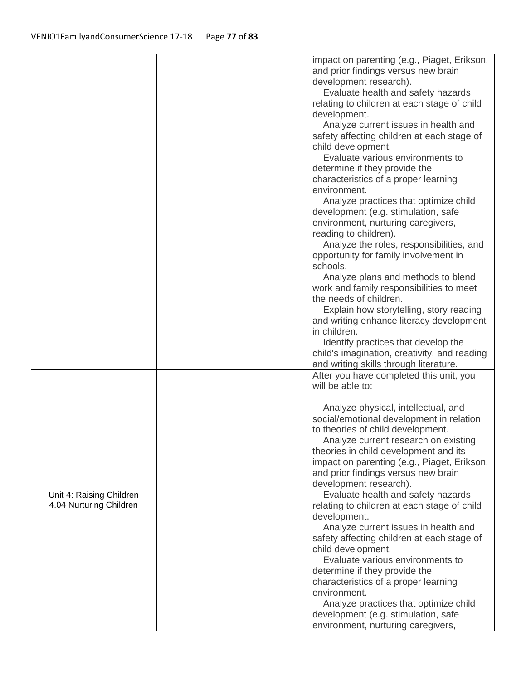| Analyze current issues in health and<br>safety affecting children at each stage of<br>child development.<br>Evaluate various environments to<br>determine if they provide the<br>characteristics of a proper learning<br>environment.<br>Analyze practices that optimize child<br>development (e.g. stimulation, safe<br>environment, nurturing caregivers,<br>reading to children).<br>Analyze the roles, responsibilities, and<br>opportunity for family involvement in<br>schools.<br>Analyze plans and methods to blend<br>work and family responsibilities to meet<br>the needs of children.<br>Explain how storytelling, story reading<br>and writing enhance literacy development<br>in children.<br>Identify practices that develop the<br>child's imagination, creativity, and reading<br>and writing skills through literature.<br>After you have completed this unit, you<br>will be able to:<br>Analyze physical, intellectual, and | impact on parenting (e.g., Piaget, Erikson,<br>relating to children at each stage of child |
|-------------------------------------------------------------------------------------------------------------------------------------------------------------------------------------------------------------------------------------------------------------------------------------------------------------------------------------------------------------------------------------------------------------------------------------------------------------------------------------------------------------------------------------------------------------------------------------------------------------------------------------------------------------------------------------------------------------------------------------------------------------------------------------------------------------------------------------------------------------------------------------------------------------------------------------------------|--------------------------------------------------------------------------------------------|
|                                                                                                                                                                                                                                                                                                                                                                                                                                                                                                                                                                                                                                                                                                                                                                                                                                                                                                                                                 |                                                                                            |
|                                                                                                                                                                                                                                                                                                                                                                                                                                                                                                                                                                                                                                                                                                                                                                                                                                                                                                                                                 |                                                                                            |
|                                                                                                                                                                                                                                                                                                                                                                                                                                                                                                                                                                                                                                                                                                                                                                                                                                                                                                                                                 |                                                                                            |
|                                                                                                                                                                                                                                                                                                                                                                                                                                                                                                                                                                                                                                                                                                                                                                                                                                                                                                                                                 |                                                                                            |
|                                                                                                                                                                                                                                                                                                                                                                                                                                                                                                                                                                                                                                                                                                                                                                                                                                                                                                                                                 |                                                                                            |
|                                                                                                                                                                                                                                                                                                                                                                                                                                                                                                                                                                                                                                                                                                                                                                                                                                                                                                                                                 |                                                                                            |
|                                                                                                                                                                                                                                                                                                                                                                                                                                                                                                                                                                                                                                                                                                                                                                                                                                                                                                                                                 |                                                                                            |
|                                                                                                                                                                                                                                                                                                                                                                                                                                                                                                                                                                                                                                                                                                                                                                                                                                                                                                                                                 |                                                                                            |
| social/emotional development in relation                                                                                                                                                                                                                                                                                                                                                                                                                                                                                                                                                                                                                                                                                                                                                                                                                                                                                                        |                                                                                            |
| to theories of child development.<br>Analyze current research on existing                                                                                                                                                                                                                                                                                                                                                                                                                                                                                                                                                                                                                                                                                                                                                                                                                                                                       |                                                                                            |
| theories in child development and its                                                                                                                                                                                                                                                                                                                                                                                                                                                                                                                                                                                                                                                                                                                                                                                                                                                                                                           |                                                                                            |
| impact on parenting (e.g., Piaget, Erikson,<br>and prior findings versus new brain                                                                                                                                                                                                                                                                                                                                                                                                                                                                                                                                                                                                                                                                                                                                                                                                                                                              |                                                                                            |
| development research).                                                                                                                                                                                                                                                                                                                                                                                                                                                                                                                                                                                                                                                                                                                                                                                                                                                                                                                          |                                                                                            |
| Evaluate health and safety hazards<br>Unit 4: Raising Children<br>4.04 Nurturing Children<br>relating to children at each stage of child<br>development.                                                                                                                                                                                                                                                                                                                                                                                                                                                                                                                                                                                                                                                                                                                                                                                        |                                                                                            |
| Analyze current issues in health and<br>safety affecting children at each stage of<br>child development.                                                                                                                                                                                                                                                                                                                                                                                                                                                                                                                                                                                                                                                                                                                                                                                                                                        |                                                                                            |
| Evaluate various environments to                                                                                                                                                                                                                                                                                                                                                                                                                                                                                                                                                                                                                                                                                                                                                                                                                                                                                                                |                                                                                            |
| determine if they provide the<br>characteristics of a proper learning                                                                                                                                                                                                                                                                                                                                                                                                                                                                                                                                                                                                                                                                                                                                                                                                                                                                           |                                                                                            |
| environment.                                                                                                                                                                                                                                                                                                                                                                                                                                                                                                                                                                                                                                                                                                                                                                                                                                                                                                                                    |                                                                                            |
| Analyze practices that optimize child<br>development (e.g. stimulation, safe<br>environment, nurturing caregivers,                                                                                                                                                                                                                                                                                                                                                                                                                                                                                                                                                                                                                                                                                                                                                                                                                              |                                                                                            |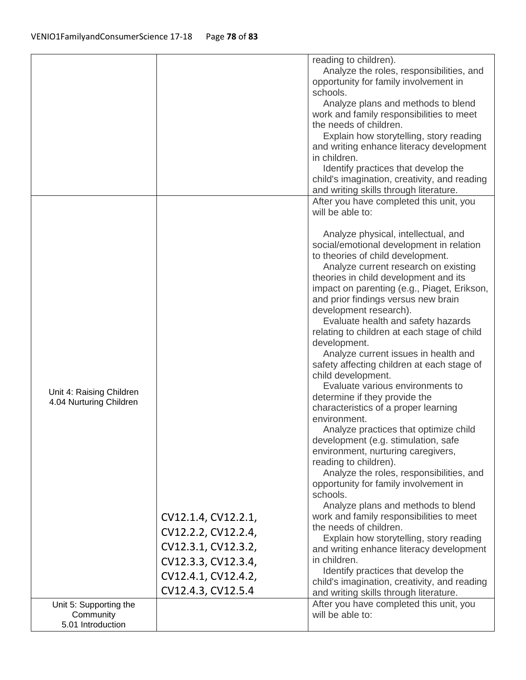|                                                          |                                                                                                                                       | reading to children).<br>Analyze the roles, responsibilities, and<br>opportunity for family involvement in<br>schools.<br>Analyze plans and methods to blend<br>work and family responsibilities to meet<br>the needs of children.<br>Explain how storytelling, story reading<br>and writing enhance literacy development<br>in children.<br>Identify practices that develop the<br>child's imagination, creativity, and reading<br>and writing skills through literature.                                                                                                                                                                                                                                                                                                                                                                                                                                                                                                                                                                                                                                                                                                                                                                                                                                                                                                        |
|----------------------------------------------------------|---------------------------------------------------------------------------------------------------------------------------------------|-----------------------------------------------------------------------------------------------------------------------------------------------------------------------------------------------------------------------------------------------------------------------------------------------------------------------------------------------------------------------------------------------------------------------------------------------------------------------------------------------------------------------------------------------------------------------------------------------------------------------------------------------------------------------------------------------------------------------------------------------------------------------------------------------------------------------------------------------------------------------------------------------------------------------------------------------------------------------------------------------------------------------------------------------------------------------------------------------------------------------------------------------------------------------------------------------------------------------------------------------------------------------------------------------------------------------------------------------------------------------------------|
| Unit 4: Raising Children<br>4.04 Nurturing Children      | CV12.1.4, CV12.2.1,<br>CV12.2.2, CV12.2.4,<br>CV12.3.1, CV12.3.2,<br>CV12.3.3, CV12.3.4,<br>CV12.4.1, CV12.4.2,<br>CV12.4.3, CV12.5.4 | After you have completed this unit, you<br>will be able to:<br>Analyze physical, intellectual, and<br>social/emotional development in relation<br>to theories of child development.<br>Analyze current research on existing<br>theories in child development and its<br>impact on parenting (e.g., Piaget, Erikson,<br>and prior findings versus new brain<br>development research).<br>Evaluate health and safety hazards<br>relating to children at each stage of child<br>development.<br>Analyze current issues in health and<br>safety affecting children at each stage of<br>child development.<br>Evaluate various environments to<br>determine if they provide the<br>characteristics of a proper learning<br>environment.<br>Analyze practices that optimize child<br>development (e.g. stimulation, safe<br>environment, nurturing caregivers,<br>reading to children).<br>Analyze the roles, responsibilities, and<br>opportunity for family involvement in<br>schools.<br>Analyze plans and methods to blend<br>work and family responsibilities to meet<br>the needs of children.<br>Explain how storytelling, story reading<br>and writing enhance literacy development<br>in children.<br>Identify practices that develop the<br>child's imagination, creativity, and reading<br>and writing skills through literature.<br>After you have completed this unit, you |
| Unit 5: Supporting the<br>Community<br>5.01 Introduction |                                                                                                                                       | will be able to:                                                                                                                                                                                                                                                                                                                                                                                                                                                                                                                                                                                                                                                                                                                                                                                                                                                                                                                                                                                                                                                                                                                                                                                                                                                                                                                                                                  |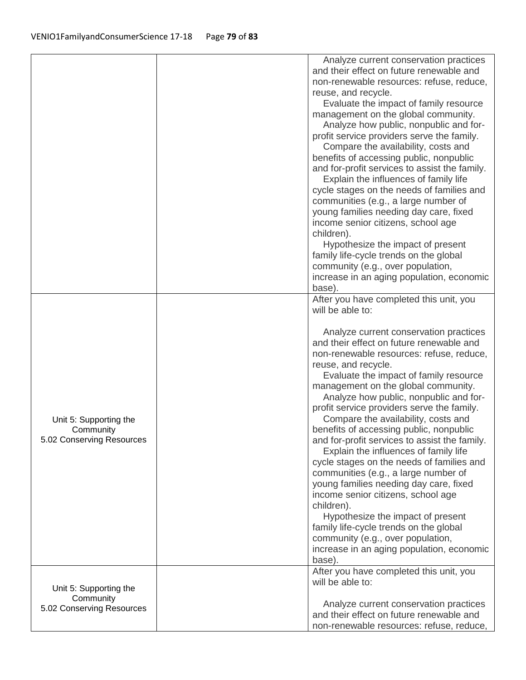|                                                                  | Analyze current conservation practices<br>and their effect on future renewable and<br>non-renewable resources: refuse, reduce,<br>reuse, and recycle.<br>Evaluate the impact of family resource<br>management on the global community.<br>Analyze how public, nonpublic and for-<br>profit service providers serve the family.<br>Compare the availability, costs and<br>benefits of accessing public, nonpublic<br>and for-profit services to assist the family.<br>Explain the influences of family life<br>cycle stages on the needs of families and<br>communities (e.g., a large number of<br>young families needing day care, fixed<br>income senior citizens, school age<br>children).<br>Hypothesize the impact of present<br>family life-cycle trends on the global<br>community (e.g., over population,<br>increase in an aging population, economic<br>base).                                                                |
|------------------------------------------------------------------|-----------------------------------------------------------------------------------------------------------------------------------------------------------------------------------------------------------------------------------------------------------------------------------------------------------------------------------------------------------------------------------------------------------------------------------------------------------------------------------------------------------------------------------------------------------------------------------------------------------------------------------------------------------------------------------------------------------------------------------------------------------------------------------------------------------------------------------------------------------------------------------------------------------------------------------------|
| Unit 5: Supporting the<br>Community<br>5.02 Conserving Resources | After you have completed this unit, you<br>will be able to:<br>Analyze current conservation practices<br>and their effect on future renewable and<br>non-renewable resources: refuse, reduce,<br>reuse, and recycle.<br>Evaluate the impact of family resource<br>management on the global community.<br>Analyze how public, nonpublic and for-<br>profit service providers serve the family.<br>Compare the availability, costs and<br>benefits of accessing public, nonpublic<br>and for-profit services to assist the family.<br>Explain the influences of family life<br>cycle stages on the needs of families and<br>communities (e.g., a large number of<br>young families needing day care, fixed<br>income senior citizens, school age<br>children).<br>Hypothesize the impact of present<br>family life-cycle trends on the global<br>community (e.g., over population,<br>increase in an aging population, economic<br>base). |
| Unit 5: Supporting the<br>Community<br>5.02 Conserving Resources | After you have completed this unit, you<br>will be able to:<br>Analyze current conservation practices<br>and their effect on future renewable and<br>non-renewable resources: refuse, reduce,                                                                                                                                                                                                                                                                                                                                                                                                                                                                                                                                                                                                                                                                                                                                           |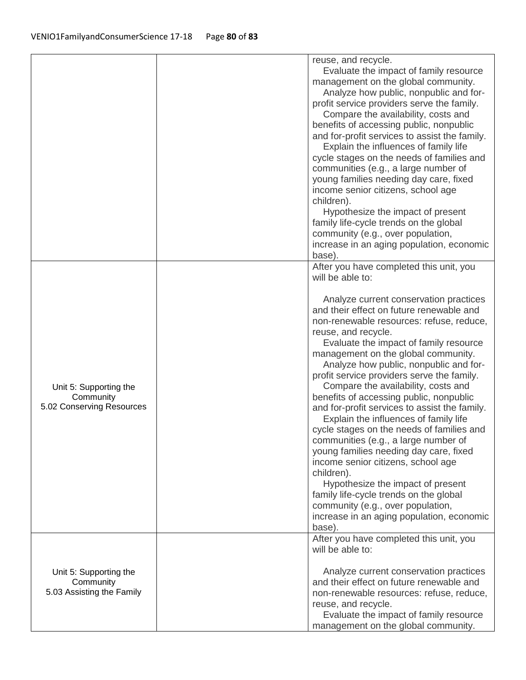|                                                                  | reuse, and recycle.<br>Evaluate the impact of family resource<br>management on the global community.<br>Analyze how public, nonpublic and for-<br>profit service providers serve the family.<br>Compare the availability, costs and<br>benefits of accessing public, nonpublic<br>and for-profit services to assist the family.<br>Explain the influences of family life<br>cycle stages on the needs of families and<br>communities (e.g., a large number of<br>young families needing day care, fixed<br>income senior citizens, school age<br>children).<br>Hypothesize the impact of present<br>family life-cycle trends on the global<br>community (e.g., over population,<br>increase in an aging population, economic<br>base).                                                                                                      |
|------------------------------------------------------------------|---------------------------------------------------------------------------------------------------------------------------------------------------------------------------------------------------------------------------------------------------------------------------------------------------------------------------------------------------------------------------------------------------------------------------------------------------------------------------------------------------------------------------------------------------------------------------------------------------------------------------------------------------------------------------------------------------------------------------------------------------------------------------------------------------------------------------------------------|
| Unit 5: Supporting the<br>Community<br>5.02 Conserving Resources | After you have completed this unit, you<br>will be able to:<br>Analyze current conservation practices<br>and their effect on future renewable and<br>non-renewable resources: refuse, reduce,<br>reuse, and recycle.<br>Evaluate the impact of family resource<br>management on the global community.<br>Analyze how public, nonpublic and for-<br>profit service providers serve the family.<br>Compare the availability, costs and<br>benefits of accessing public, nonpublic<br>and for-profit services to assist the family.<br>Explain the influences of family life<br>cycle stages on the needs of families and<br>communities (e.g., a large number of<br>young families needing day care, fixed<br>income senior citizens, school age<br>children).<br>Hypothesize the impact of present<br>family life-cycle trends on the global |
|                                                                  | community (e.g., over population,<br>increase in an aging population, economic<br>base).<br>After you have completed this unit, you                                                                                                                                                                                                                                                                                                                                                                                                                                                                                                                                                                                                                                                                                                         |
| Unit 5: Supporting the<br>Community<br>5.03 Assisting the Family | will be able to:<br>Analyze current conservation practices<br>and their effect on future renewable and<br>non-renewable resources: refuse, reduce,<br>reuse, and recycle.<br>Evaluate the impact of family resource<br>management on the global community.                                                                                                                                                                                                                                                                                                                                                                                                                                                                                                                                                                                  |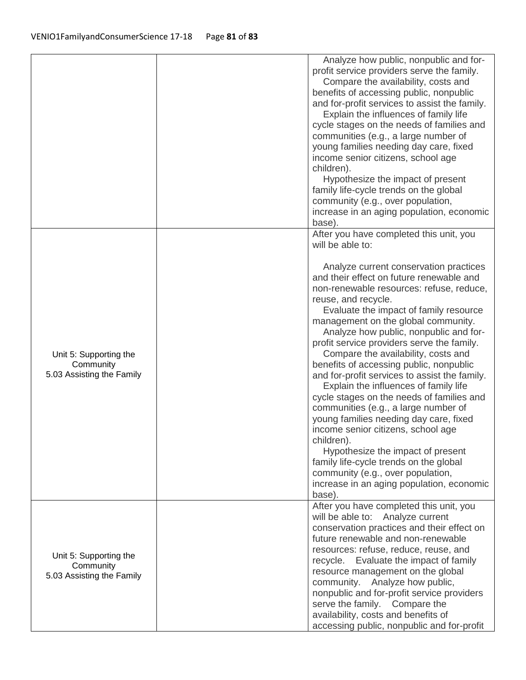|                                                                  | Analyze how public, nonpublic and for-<br>profit service providers serve the family.<br>Compare the availability, costs and<br>benefits of accessing public, nonpublic<br>and for-profit services to assist the family.<br>Explain the influences of family life<br>cycle stages on the needs of families and<br>communities (e.g., a large number of<br>young families needing day care, fixed<br>income senior citizens, school age<br>children).<br>Hypothesize the impact of present<br>family life-cycle trends on the global<br>community (e.g., over population,<br>increase in an aging population, economic<br>base).                                                                                                                                                                                                                                           |
|------------------------------------------------------------------|--------------------------------------------------------------------------------------------------------------------------------------------------------------------------------------------------------------------------------------------------------------------------------------------------------------------------------------------------------------------------------------------------------------------------------------------------------------------------------------------------------------------------------------------------------------------------------------------------------------------------------------------------------------------------------------------------------------------------------------------------------------------------------------------------------------------------------------------------------------------------|
|                                                                  | After you have completed this unit, you<br>will be able to:                                                                                                                                                                                                                                                                                                                                                                                                                                                                                                                                                                                                                                                                                                                                                                                                              |
| Unit 5: Supporting the<br>Community<br>5.03 Assisting the Family | Analyze current conservation practices<br>and their effect on future renewable and<br>non-renewable resources: refuse, reduce,<br>reuse, and recycle.<br>Evaluate the impact of family resource<br>management on the global community.<br>Analyze how public, nonpublic and for-<br>profit service providers serve the family.<br>Compare the availability, costs and<br>benefits of accessing public, nonpublic<br>and for-profit services to assist the family.<br>Explain the influences of family life<br>cycle stages on the needs of families and<br>communities (e.g., a large number of<br>young families needing day care, fixed<br>income senior citizens, school age<br>children).<br>Hypothesize the impact of present<br>family life-cycle trends on the global<br>community (e.g., over population,<br>increase in an aging population, economic<br>base). |
| Unit 5: Supporting the<br>Community<br>5.03 Assisting the Family | After you have completed this unit, you<br>will be able to: Analyze current<br>conservation practices and their effect on<br>future renewable and non-renewable<br>resources: refuse, reduce, reuse, and<br>Evaluate the impact of family<br>recycle.<br>resource management on the global<br>community. Analyze how public,<br>nonpublic and for-profit service providers<br>serve the family. Compare the<br>availability, costs and benefits of<br>accessing public, nonpublic and for-profit                                                                                                                                                                                                                                                                                                                                                                         |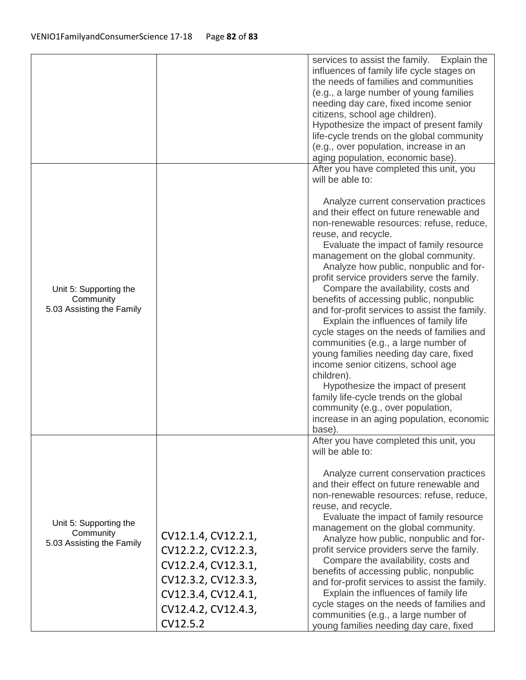|                                                                  |                                                                                                                                                    | services to assist the family. Explain the<br>influences of family life cycle stages on<br>the needs of families and communities<br>(e.g., a large number of young families<br>needing day care, fixed income senior<br>citizens, school age children).<br>Hypothesize the impact of present family<br>life-cycle trends on the global community<br>(e.g., over population, increase in an<br>aging population, economic base).                                                                                                                                                                                                                                                                                                                                                                                                                                          |
|------------------------------------------------------------------|----------------------------------------------------------------------------------------------------------------------------------------------------|--------------------------------------------------------------------------------------------------------------------------------------------------------------------------------------------------------------------------------------------------------------------------------------------------------------------------------------------------------------------------------------------------------------------------------------------------------------------------------------------------------------------------------------------------------------------------------------------------------------------------------------------------------------------------------------------------------------------------------------------------------------------------------------------------------------------------------------------------------------------------|
|                                                                  |                                                                                                                                                    | After you have completed this unit, you<br>will be able to:                                                                                                                                                                                                                                                                                                                                                                                                                                                                                                                                                                                                                                                                                                                                                                                                              |
| Unit 5: Supporting the<br>Community<br>5.03 Assisting the Family |                                                                                                                                                    | Analyze current conservation practices<br>and their effect on future renewable and<br>non-renewable resources: refuse, reduce,<br>reuse, and recycle.<br>Evaluate the impact of family resource<br>management on the global community.<br>Analyze how public, nonpublic and for-<br>profit service providers serve the family.<br>Compare the availability, costs and<br>benefits of accessing public, nonpublic<br>and for-profit services to assist the family.<br>Explain the influences of family life<br>cycle stages on the needs of families and<br>communities (e.g., a large number of<br>young families needing day care, fixed<br>income senior citizens, school age<br>children).<br>Hypothesize the impact of present<br>family life-cycle trends on the global<br>community (e.g., over population,<br>increase in an aging population, economic<br>base). |
| Unit 5: Supporting the<br>Community<br>5.03 Assisting the Family | CV12.1.4, CV12.2.1,<br>CV12.2.2, CV12.2.3,<br>CV12.2.4, CV12.3.1,<br>CV12.3.2, CV12.3.3,<br>CV12.3.4, CV12.4.1,<br>CV12.4.2, CV12.4.3,<br>CV12.5.2 | After you have completed this unit, you<br>will be able to:<br>Analyze current conservation practices<br>and their effect on future renewable and<br>non-renewable resources: refuse, reduce,<br>reuse, and recycle.<br>Evaluate the impact of family resource<br>management on the global community.<br>Analyze how public, nonpublic and for-<br>profit service providers serve the family.<br>Compare the availability, costs and<br>benefits of accessing public, nonpublic<br>and for-profit services to assist the family.<br>Explain the influences of family life<br>cycle stages on the needs of families and<br>communities (e.g., a large number of<br>young families needing day care, fixed                                                                                                                                                                 |